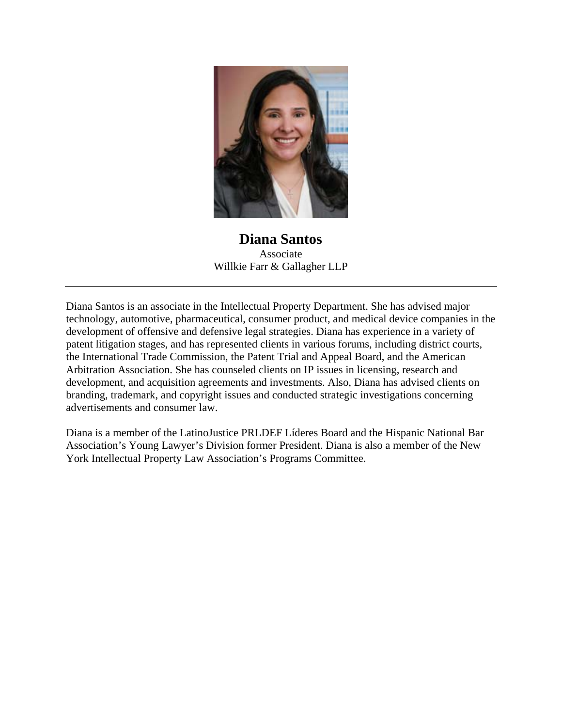

**Diana Santos**  Associate Willkie Farr & Gallagher LLP

Diana Santos is an associate in the Intellectual Property Department. She has advised major technology, automotive, pharmaceutical, consumer product, and medical device companies in the development of offensive and defensive legal strategies. Diana has experience in a variety of patent litigation stages, and has represented clients in various forums, including district courts, the International Trade Commission, the Patent Trial and Appeal Board, and the American Arbitration Association. She has counseled clients on IP issues in licensing, research and development, and acquisition agreements and investments. Also, Diana has advised clients on branding, trademark, and copyright issues and conducted strategic investigations concerning advertisements and consumer law.

Diana is a member of the LatinoJustice PRLDEF Líderes Board and the Hispanic National Bar Association's Young Lawyer's Division former President. Diana is also a member of the New York Intellectual Property Law Association's Programs Committee.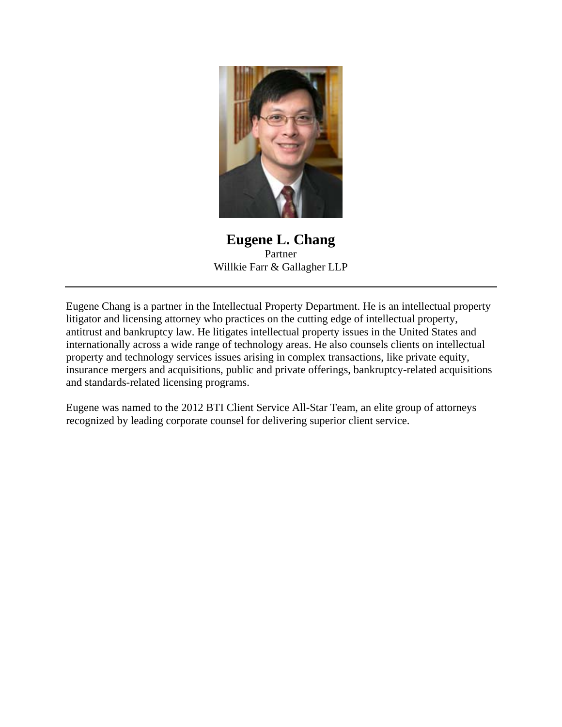

**Eugene L. Chang**  Partner Willkie Farr & Gallagher LLP

Eugene Chang is a partner in the Intellectual Property Department. He is an intellectual property litigator and licensing attorney who practices on the cutting edge of intellectual property, antitrust and bankruptcy law. He litigates intellectual property issues in the United States and internationally across a wide range of technology areas. He also counsels clients on intellectual property and technology services issues arising in complex transactions, like private equity, insurance mergers and acquisitions, public and private offerings, bankruptcy-related acquisitions and standards-related licensing programs.

Eugene was named to the 2012 BTI Client Service All-Star Team, an elite group of attorneys recognized by leading corporate counsel for delivering superior client service.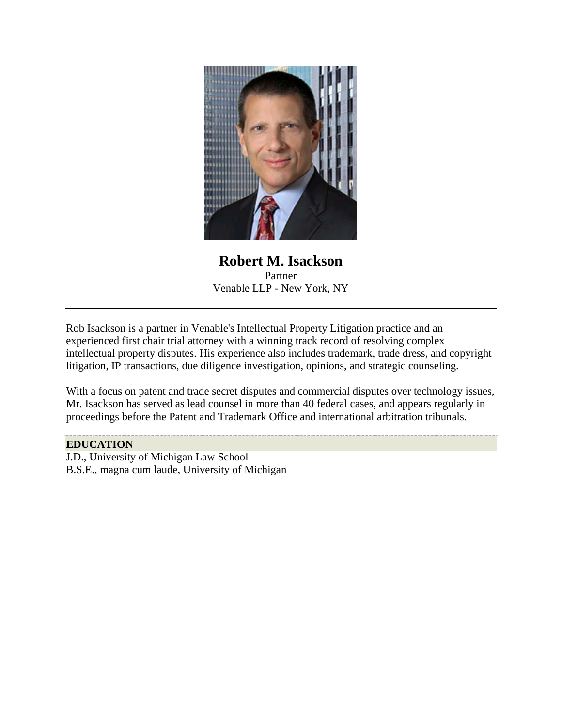

**Robert M. Isackson**  Partner Venable LLP - New York, NY

Rob Isackson is a partner in Venable's Intellectual Property Litigation practice and an experienced first chair trial attorney with a winning track record of resolving complex intellectual property disputes. His experience also includes trademark, trade dress, and copyright litigation, IP transactions, due diligence investigation, opinions, and strategic counseling.

With a focus on patent and trade secret disputes and commercial disputes over technology issues, Mr. Isackson has served as lead counsel in more than 40 federal cases, and appears regularly in proceedings before the Patent and Trademark Office and international arbitration tribunals.

# **EDUCATION**

J.D., University of Michigan Law School B.S.E., magna cum laude, University of Michigan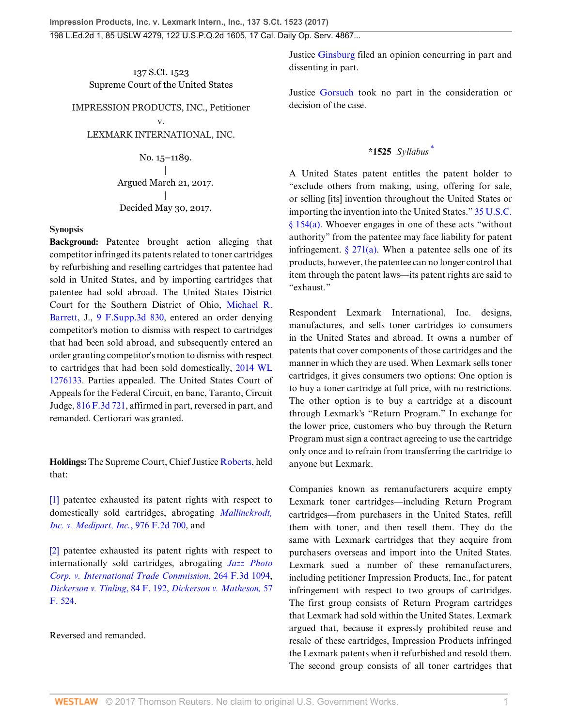137 S.Ct. 1523 Supreme Court of the United States

IMPRESSION PRODUCTS, INC., Petitioner

v.

LEXMARK INTERNATIONAL, INC.

No. 15–1189. | Argued March 21, 2017. | Decided May 30, 2017.

#### **Synopsis**

**Background:** Patentee brought action alleging that competitor infringed its patents related to toner cartridges by refurbishing and reselling cartridges that patentee had sold in United States, and by importing cartridges that patentee had sold abroad. The United States District Court for the Southern District of Ohio, [Michael R.](http://www.westlaw.com/Link/Document/FullText?findType=h&pubNum=176284&cite=0122812501&originatingDoc=I35b269ee450411e7b73588f1a9cfce05&refType=RQ&originationContext=document&vr=3.0&rs=cblt1.0&transitionType=DocumentItem&contextData=(sc.Default)) [Barrett](http://www.westlaw.com/Link/Document/FullText?findType=h&pubNum=176284&cite=0122812501&originatingDoc=I35b269ee450411e7b73588f1a9cfce05&refType=RQ&originationContext=document&vr=3.0&rs=cblt1.0&transitionType=DocumentItem&contextData=(sc.Default)), J., [9 F.Supp.3d 830,](http://www.westlaw.com/Link/Document/FullText?findType=Y&serNum=2032992465&pubNum=0007903&originatingDoc=I35b269ee450411e7b73588f1a9cfce05&refType=RP&originationContext=document&vr=3.0&rs=cblt1.0&transitionType=DocumentItem&contextData=(sc.Default)) entered an order denying competitor's motion to dismiss with respect to cartridges that had been sold abroad, and subsequently entered an order granting competitor's motion to dismiss with respect to cartridges that had been sold domestically, [2014 WL](http://www.westlaw.com/Link/Document/FullText?findType=Y&serNum=2032993655&pubNum=0000999&originatingDoc=I35b269ee450411e7b73588f1a9cfce05&refType=RP&originationContext=document&vr=3.0&rs=cblt1.0&transitionType=DocumentItem&contextData=(sc.Default)) [1276133](http://www.westlaw.com/Link/Document/FullText?findType=Y&serNum=2032993655&pubNum=0000999&originatingDoc=I35b269ee450411e7b73588f1a9cfce05&refType=RP&originationContext=document&vr=3.0&rs=cblt1.0&transitionType=DocumentItem&contextData=(sc.Default)). Parties appealed. The United States Court of Appeals for the Federal Circuit, en banc, Taranto, Circuit Judge, [816 F.3d 721,](http://www.westlaw.com/Link/Document/FullText?findType=Y&serNum=2038283800&pubNum=0000506&originatingDoc=I35b269ee450411e7b73588f1a9cfce05&refType=RP&originationContext=document&vr=3.0&rs=cblt1.0&transitionType=DocumentItem&contextData=(sc.Default)) affirmed in part, reversed in part, and remanded. Certiorari was granted.

**Holdings:** The Supreme Court, Chief Justice [Roberts](http://www.westlaw.com/Link/Document/FullText?findType=h&pubNum=176284&cite=0258116001&originatingDoc=I35b269ee450411e7b73588f1a9cfce05&refType=RQ&originationContext=document&vr=3.0&rs=cblt1.0&transitionType=DocumentItem&contextData=(sc.Default)), held that:

[1] patentee exhausted its patent rights with respect to domestically sold cartridges, abrogating *[Mallinckrodt,](http://www.westlaw.com/Link/Document/FullText?findType=Y&serNum=1992166587&pubNum=0000350&originatingDoc=I35b269ee450411e7b73588f1a9cfce05&refType=RP&originationContext=document&vr=3.0&rs=cblt1.0&transitionType=DocumentItem&contextData=(sc.Default)) [Inc. v. Medipart, Inc.](http://www.westlaw.com/Link/Document/FullText?findType=Y&serNum=1992166587&pubNum=0000350&originatingDoc=I35b269ee450411e7b73588f1a9cfce05&refType=RP&originationContext=document&vr=3.0&rs=cblt1.0&transitionType=DocumentItem&contextData=(sc.Default))*, 976 F.2d 700, and

[2] patentee exhausted its patent rights with respect to internationally sold cartridges, abrogating *[Jazz Photo](http://www.westlaw.com/Link/Document/FullText?findType=Y&serNum=2001716493&pubNum=0000506&originatingDoc=I35b269ee450411e7b73588f1a9cfce05&refType=RP&originationContext=document&vr=3.0&rs=cblt1.0&transitionType=DocumentItem&contextData=(sc.Default)) [Corp. v. International Trade Commission](http://www.westlaw.com/Link/Document/FullText?findType=Y&serNum=2001716493&pubNum=0000506&originatingDoc=I35b269ee450411e7b73588f1a9cfce05&refType=RP&originationContext=document&vr=3.0&rs=cblt1.0&transitionType=DocumentItem&contextData=(sc.Default))*, 264 F.3d 1094, *[Dickerson v. Tinling](http://www.westlaw.com/Link/Document/FullText?findType=Y&serNum=1898187568&pubNum=0000348&originatingDoc=I35b269ee450411e7b73588f1a9cfce05&refType=RP&originationContext=document&vr=3.0&rs=cblt1.0&transitionType=DocumentItem&contextData=(sc.Default))*, 84 F. 192, *[Dickerson v. Matheson,](http://www.westlaw.com/Link/Document/FullText?findType=Y&serNum=1893189216&pubNum=0000348&originatingDoc=I35b269ee450411e7b73588f1a9cfce05&refType=RP&originationContext=document&vr=3.0&rs=cblt1.0&transitionType=DocumentItem&contextData=(sc.Default))* 57 [F. 524.](http://www.westlaw.com/Link/Document/FullText?findType=Y&serNum=1893189216&pubNum=0000348&originatingDoc=I35b269ee450411e7b73588f1a9cfce05&refType=RP&originationContext=document&vr=3.0&rs=cblt1.0&transitionType=DocumentItem&contextData=(sc.Default))

Reversed and remanded.

Justice [Ginsburg](http://www.westlaw.com/Link/Document/FullText?findType=h&pubNum=176284&cite=0224420501&originatingDoc=I35b269ee450411e7b73588f1a9cfce05&refType=RQ&originationContext=document&vr=3.0&rs=cblt1.0&transitionType=DocumentItem&contextData=(sc.Default)) filed an opinion concurring in part and dissenting in part.

Justice [Gorsuch](http://www.westlaw.com/Link/Document/FullText?findType=h&pubNum=176284&cite=0183411701&originatingDoc=I35b269ee450411e7b73588f1a9cfce05&refType=RQ&originationContext=document&vr=3.0&rs=cblt1.0&transitionType=DocumentItem&contextData=(sc.Default)) took no part in the consideration or decision of the case.

# <span id="page-3-0"></span>**\*1525** *Syllabus [\\*](#page-14-0)*

A United States patent entitles the patent holder to "exclude others from making, using, offering for sale, or selling [its] invention throughout the United States or importing the invention into the United States." [35 U.S.C.](http://www.westlaw.com/Link/Document/FullText?findType=L&pubNum=1000546&cite=35USCAS154&originatingDoc=I35b269ee450411e7b73588f1a9cfce05&refType=RB&originationContext=document&vr=3.0&rs=cblt1.0&transitionType=DocumentItem&contextData=(sc.Default)#co_pp_8b3b0000958a4) [§ 154\(a\).](http://www.westlaw.com/Link/Document/FullText?findType=L&pubNum=1000546&cite=35USCAS154&originatingDoc=I35b269ee450411e7b73588f1a9cfce05&refType=RB&originationContext=document&vr=3.0&rs=cblt1.0&transitionType=DocumentItem&contextData=(sc.Default)#co_pp_8b3b0000958a4) Whoever engages in one of these acts "without authority" from the patentee may face liability for patent infringement.  $\S 271(a)$ . When a patentee sells one of its products, however, the patentee can no longer control that item through the patent laws—its patent rights are said to "exhaust."

Respondent Lexmark International, Inc. designs, manufactures, and sells toner cartridges to consumers in the United States and abroad. It owns a number of patents that cover components of those cartridges and the manner in which they are used. When Lexmark sells toner cartridges, it gives consumers two options: One option is to buy a toner cartridge at full price, with no restrictions. The other option is to buy a cartridge at a discount through Lexmark's "Return Program." In exchange for the lower price, customers who buy through the Return Program must sign a contract agreeing to use the cartridge only once and to refrain from transferring the cartridge to anyone but Lexmark.

Companies known as remanufacturers acquire empty Lexmark toner cartridges—including Return Program cartridges—from purchasers in the United States, refill them with toner, and then resell them. They do the same with Lexmark cartridges that they acquire from purchasers overseas and import into the United States. Lexmark sued a number of these remanufacturers, including petitioner Impression Products, Inc., for patent infringement with respect to two groups of cartridges. The first group consists of Return Program cartridges that Lexmark had sold within the United States. Lexmark argued that, because it expressly prohibited reuse and resale of these cartridges, Impression Products infringed the Lexmark patents when it refurbished and resold them. The second group consists of all toner cartridges that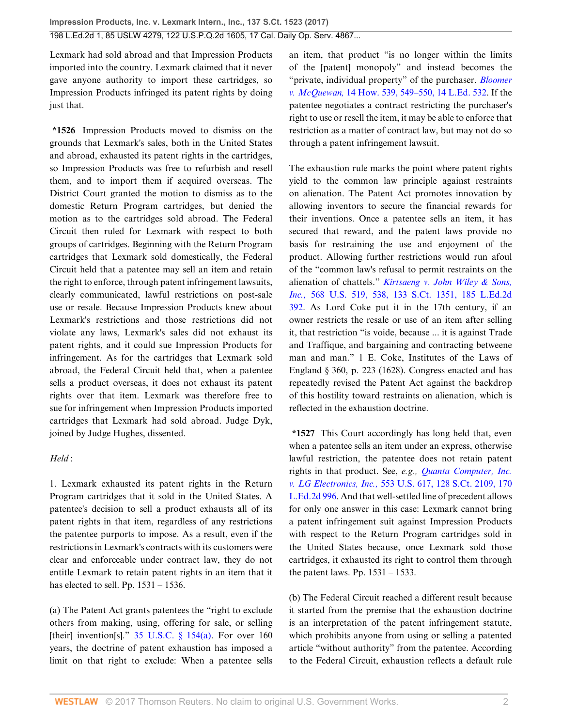Lexmark had sold abroad and that Impression Products imported into the country. Lexmark claimed that it never gave anyone authority to import these cartridges, so Impression Products infringed its patent rights by doing just that.

**\*1526** Impression Products moved to dismiss on the grounds that Lexmark's sales, both in the United States and abroad, exhausted its patent rights in the cartridges, so Impression Products was free to refurbish and resell them, and to import them if acquired overseas. The District Court granted the motion to dismiss as to the domestic Return Program cartridges, but denied the motion as to the cartridges sold abroad. The Federal Circuit then ruled for Lexmark with respect to both groups of cartridges. Beginning with the Return Program cartridges that Lexmark sold domestically, the Federal Circuit held that a patentee may sell an item and retain the right to enforce, through patent infringement lawsuits, clearly communicated, lawful restrictions on post-sale use or resale. Because Impression Products knew about Lexmark's restrictions and those restrictions did not violate any laws, Lexmark's sales did not exhaust its patent rights, and it could sue Impression Products for infringement. As for the cartridges that Lexmark sold abroad, the Federal Circuit held that, when a patentee sells a product overseas, it does not exhaust its patent rights over that item. Lexmark was therefore free to sue for infringement when Impression Products imported cartridges that Lexmark had sold abroad. Judge Dyk, joined by Judge Hughes, dissented.

# *Held* :

1. Lexmark exhausted its patent rights in the Return Program cartridges that it sold in the United States. A patentee's decision to sell a product exhausts all of its patent rights in that item, regardless of any restrictions the patentee purports to impose. As a result, even if the restrictions in Lexmark's contracts with its customers were clear and enforceable under contract law, they do not entitle Lexmark to retain patent rights in an item that it has elected to sell. Pp. 1531 – 1536.

(a) The Patent Act grants patentees the "right to exclude others from making, using, offering for sale, or selling [their] invention[s]."  $35$  U.S.C. § 154(a). For over 160 years, the doctrine of patent exhaustion has imposed a limit on that right to exclude: When a patentee sells an item, that product "is no longer within the limits of the [patent] monopoly" and instead becomes the "private, individual property" of the purchaser. *[Bloomer](http://www.westlaw.com/Link/Document/FullText?findType=Y&serNum=1800102097&pubNum=0000780&originatingDoc=I35b269ee450411e7b73588f1a9cfce05&refType=RP&fi=co_pp_sp_780_549&originationContext=document&vr=3.0&rs=cblt1.0&transitionType=DocumentItem&contextData=(sc.Default)#co_pp_sp_780_549) v. McQuewan,* [14 How. 539, 549–550, 14 L.Ed. 532](http://www.westlaw.com/Link/Document/FullText?findType=Y&serNum=1800102097&pubNum=0000780&originatingDoc=I35b269ee450411e7b73588f1a9cfce05&refType=RP&fi=co_pp_sp_780_549&originationContext=document&vr=3.0&rs=cblt1.0&transitionType=DocumentItem&contextData=(sc.Default)#co_pp_sp_780_549). If the patentee negotiates a contract restricting the purchaser's right to use or resell the item, it may be able to enforce that restriction as a matter of contract law, but may not do so through a patent infringement lawsuit.

The exhaustion rule marks the point where patent rights yield to the common law principle against restraints on alienation. The Patent Act promotes innovation by allowing inventors to secure the financial rewards for their inventions. Once a patentee sells an item, it has secured that reward, and the patent laws provide no basis for restraining the use and enjoyment of the product. Allowing further restrictions would run afoul of the "common law's refusal to permit restraints on the alienation of chattels." *[Kirtsaeng v. John Wiley & Sons,](http://www.westlaw.com/Link/Document/FullText?findType=Y&serNum=2030157847&pubNum=0000708&originatingDoc=I35b269ee450411e7b73588f1a9cfce05&refType=RP&originationContext=document&vr=3.0&rs=cblt1.0&transitionType=DocumentItem&contextData=(sc.Default)) Inc.,* [568 U.S. 519, 538, 133 S.Ct. 1351, 185 L.Ed.2d](http://www.westlaw.com/Link/Document/FullText?findType=Y&serNum=2030157847&pubNum=0000708&originatingDoc=I35b269ee450411e7b73588f1a9cfce05&refType=RP&originationContext=document&vr=3.0&rs=cblt1.0&transitionType=DocumentItem&contextData=(sc.Default)) [392](http://www.westlaw.com/Link/Document/FullText?findType=Y&serNum=2030157847&pubNum=0000708&originatingDoc=I35b269ee450411e7b73588f1a9cfce05&refType=RP&originationContext=document&vr=3.0&rs=cblt1.0&transitionType=DocumentItem&contextData=(sc.Default)). As Lord Coke put it in the 17th century, if an owner restricts the resale or use of an item after selling it, that restriction "is voide, because ... it is against Trade and Traffique, and bargaining and contracting betweene man and man." 1 E. Coke, Institutes of the Laws of England § 360, p. 223 (1628). Congress enacted and has repeatedly revised the Patent Act against the backdrop of this hostility toward restraints on alienation, which is reflected in the exhaustion doctrine.

**\*1527** This Court accordingly has long held that, even when a patentee sells an item under an express, otherwise lawful restriction, the patentee does not retain patent rights in that product. See, *e.g., [Quanta Computer, Inc.](http://www.westlaw.com/Link/Document/FullText?findType=Y&serNum=2016269690&pubNum=0000708&originatingDoc=I35b269ee450411e7b73588f1a9cfce05&refType=RP&originationContext=document&vr=3.0&rs=cblt1.0&transitionType=DocumentItem&contextData=(sc.Default)) v. LG Electronics, Inc.,* [553 U.S. 617, 128 S.Ct. 2109, 170](http://www.westlaw.com/Link/Document/FullText?findType=Y&serNum=2016269690&pubNum=0000708&originatingDoc=I35b269ee450411e7b73588f1a9cfce05&refType=RP&originationContext=document&vr=3.0&rs=cblt1.0&transitionType=DocumentItem&contextData=(sc.Default)) [L.Ed.2d 996.](http://www.westlaw.com/Link/Document/FullText?findType=Y&serNum=2016269690&pubNum=0000708&originatingDoc=I35b269ee450411e7b73588f1a9cfce05&refType=RP&originationContext=document&vr=3.0&rs=cblt1.0&transitionType=DocumentItem&contextData=(sc.Default)) And that well-settled line of precedent allows for only one answer in this case: Lexmark cannot bring a patent infringement suit against Impression Products with respect to the Return Program cartridges sold in the United States because, once Lexmark sold those cartridges, it exhausted its right to control them through the patent laws. Pp. 1531 – 1533.

(b) The Federal Circuit reached a different result because it started from the premise that the exhaustion doctrine is an interpretation of the patent infringement statute, which prohibits anyone from using or selling a patented article "without authority" from the patentee. According to the Federal Circuit, exhaustion reflects a default rule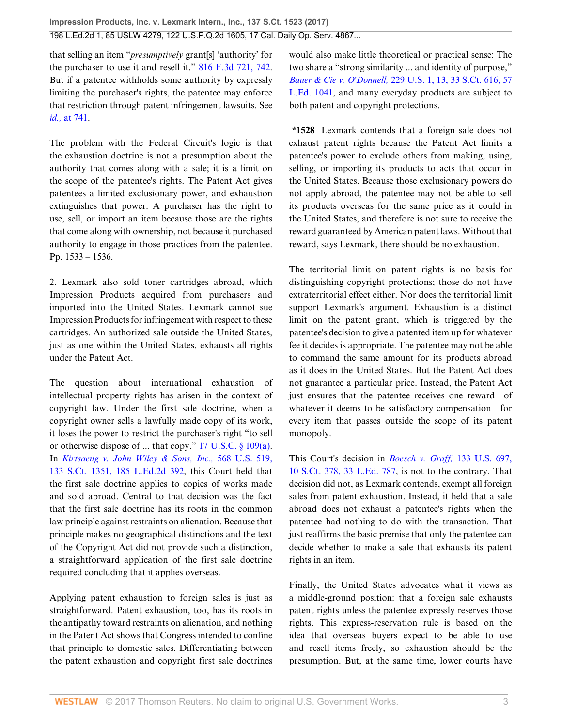that selling an item "*presumptively* grant[s] 'authority' for the purchaser to use it and resell it." [816 F.3d 721, 742](http://www.westlaw.com/Link/Document/FullText?findType=Y&serNum=2038283800&pubNum=0000506&originatingDoc=I35b269ee450411e7b73588f1a9cfce05&refType=RP&fi=co_pp_sp_506_742&originationContext=document&vr=3.0&rs=cblt1.0&transitionType=DocumentItem&contextData=(sc.Default)#co_pp_sp_506_742). But if a patentee withholds some authority by expressly limiting the purchaser's rights, the patentee may enforce that restriction through patent infringement lawsuits. See *id.,* [at 741](http://www.westlaw.com/Link/Document/FullText?findType=Y&serNum=2038283800&pubNum=0000506&originatingDoc=I35b269ee450411e7b73588f1a9cfce05&refType=RP&fi=co_pp_sp_506_741&originationContext=document&vr=3.0&rs=cblt1.0&transitionType=DocumentItem&contextData=(sc.Default)#co_pp_sp_506_741).

The problem with the Federal Circuit's logic is that the exhaustion doctrine is not a presumption about the authority that comes along with a sale; it is a limit on the scope of the patentee's rights. The Patent Act gives patentees a limited exclusionary power, and exhaustion extinguishes that power. A purchaser has the right to use, sell, or import an item because those are the rights that come along with ownership, not because it purchased authority to engage in those practices from the patentee. Pp. 1533 – 1536.

2. Lexmark also sold toner cartridges abroad, which Impression Products acquired from purchasers and imported into the United States. Lexmark cannot sue Impression Products for infringement with respect to these cartridges. An authorized sale outside the United States, just as one within the United States, exhausts all rights under the Patent Act.

The question about international exhaustion of intellectual property rights has arisen in the context of copyright law. Under the first sale doctrine, when a copyright owner sells a lawfully made copy of its work, it loses the power to restrict the purchaser's right "to sell or otherwise dispose of ... that copy." [17 U.S.C. § 109\(a\)](http://www.westlaw.com/Link/Document/FullText?findType=L&pubNum=1000546&cite=17USCAS109&originatingDoc=I35b269ee450411e7b73588f1a9cfce05&refType=RB&originationContext=document&vr=3.0&rs=cblt1.0&transitionType=DocumentItem&contextData=(sc.Default)#co_pp_8b3b0000958a4). In *[Kirtsaeng v. John Wiley & Sons, Inc.,](http://www.westlaw.com/Link/Document/FullText?findType=Y&serNum=2030157847&pubNum=0000708&originatingDoc=I35b269ee450411e7b73588f1a9cfce05&refType=RP&originationContext=document&vr=3.0&rs=cblt1.0&transitionType=DocumentItem&contextData=(sc.Default))* 568 U.S. 519, [133 S.Ct. 1351, 185 L.Ed.2d 392](http://www.westlaw.com/Link/Document/FullText?findType=Y&serNum=2030157847&pubNum=0000708&originatingDoc=I35b269ee450411e7b73588f1a9cfce05&refType=RP&originationContext=document&vr=3.0&rs=cblt1.0&transitionType=DocumentItem&contextData=(sc.Default)), this Court held that the first sale doctrine applies to copies of works made and sold abroad. Central to that decision was the fact that the first sale doctrine has its roots in the common law principle against restraints on alienation. Because that principle makes no geographical distinctions and the text of the Copyright Act did not provide such a distinction, a straightforward application of the first sale doctrine required concluding that it applies overseas.

Applying patent exhaustion to foreign sales is just as straightforward. Patent exhaustion, too, has its roots in the antipathy toward restraints on alienation, and nothing in the Patent Act shows that Congress intended to confine that principle to domestic sales. Differentiating between the patent exhaustion and copyright first sale doctrines would also make little theoretical or practical sense: The two share a "strong similarity ... and identity of purpose," *Bauer & Cie v. O'Donnell,* [229 U.S. 1, 13, 33 S.Ct. 616, 57](http://www.westlaw.com/Link/Document/FullText?findType=Y&serNum=1913100549&pubNum=0000708&originatingDoc=I35b269ee450411e7b73588f1a9cfce05&refType=RP&originationContext=document&vr=3.0&rs=cblt1.0&transitionType=DocumentItem&contextData=(sc.Default)) [L.Ed. 1041,](http://www.westlaw.com/Link/Document/FullText?findType=Y&serNum=1913100549&pubNum=0000708&originatingDoc=I35b269ee450411e7b73588f1a9cfce05&refType=RP&originationContext=document&vr=3.0&rs=cblt1.0&transitionType=DocumentItem&contextData=(sc.Default)) and many everyday products are subject to both patent and copyright protections.

**\*1528** Lexmark contends that a foreign sale does not exhaust patent rights because the Patent Act limits a patentee's power to exclude others from making, using, selling, or importing its products to acts that occur in the United States. Because those exclusionary powers do not apply abroad, the patentee may not be able to sell its products overseas for the same price as it could in the United States, and therefore is not sure to receive the reward guaranteed by American patent laws. Without that reward, says Lexmark, there should be no exhaustion.

The territorial limit on patent rights is no basis for distinguishing copyright protections; those do not have extraterritorial effect either. Nor does the territorial limit support Lexmark's argument. Exhaustion is a distinct limit on the patent grant, which is triggered by the patentee's decision to give a patented item up for whatever fee it decides is appropriate. The patentee may not be able to command the same amount for its products abroad as it does in the United States. But the Patent Act does not guarantee a particular price. Instead, the Patent Act just ensures that the patentee receives one reward—of whatever it deems to be satisfactory compensation—for every item that passes outside the scope of its patent monopoly.

This Court's decision in *[Boesch v. Graff,](http://www.westlaw.com/Link/Document/FullText?findType=Y&serNum=1890180168&pubNum=0000708&originatingDoc=I35b269ee450411e7b73588f1a9cfce05&refType=RP&originationContext=document&vr=3.0&rs=cblt1.0&transitionType=DocumentItem&contextData=(sc.Default))* 133 U.S. 697, [10 S.Ct. 378, 33 L.Ed. 787](http://www.westlaw.com/Link/Document/FullText?findType=Y&serNum=1890180168&pubNum=0000708&originatingDoc=I35b269ee450411e7b73588f1a9cfce05&refType=RP&originationContext=document&vr=3.0&rs=cblt1.0&transitionType=DocumentItem&contextData=(sc.Default)), is not to the contrary. That decision did not, as Lexmark contends, exempt all foreign sales from patent exhaustion. Instead, it held that a sale abroad does not exhaust a patentee's rights when the patentee had nothing to do with the transaction. That just reaffirms the basic premise that only the patentee can decide whether to make a sale that exhausts its patent rights in an item.

Finally, the United States advocates what it views as a middle-ground position: that a foreign sale exhausts patent rights unless the patentee expressly reserves those rights. This express-reservation rule is based on the idea that overseas buyers expect to be able to use and resell items freely, so exhaustion should be the presumption. But, at the same time, lower courts have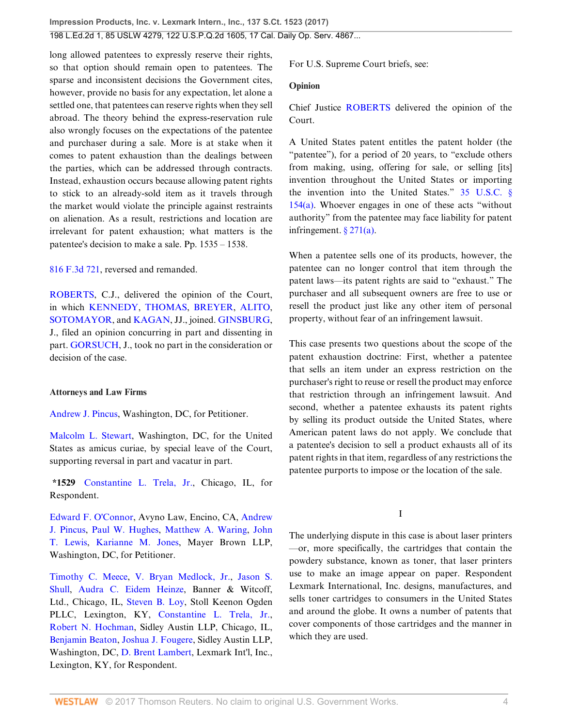long allowed patentees to expressly reserve their rights, so that option should remain open to patentees. The sparse and inconsistent decisions the Government cites, however, provide no basis for any expectation, let alone a settled one, that patentees can reserve rights when they sell abroad. The theory behind the express-reservation rule also wrongly focuses on the expectations of the patentee and purchaser during a sale. More is at stake when it comes to patent exhaustion than the dealings between the parties, which can be addressed through contracts. Instead, exhaustion occurs because allowing patent rights to stick to an already-sold item as it travels through the market would violate the principle against restraints on alienation. As a result, restrictions and location are irrelevant for patent exhaustion; what matters is the patentee's decision to make a sale. Pp. 1535 – 1538.

[816 F.3d 721,](http://www.westlaw.com/Link/Document/FullText?findType=Y&serNum=2038283800&pubNum=0000506&originatingDoc=I35b269ee450411e7b73588f1a9cfce05&refType=RP&originationContext=document&vr=3.0&rs=cblt1.0&transitionType=DocumentItem&contextData=(sc.Default)) reversed and remanded.

[ROBERTS,](http://www.westlaw.com/Link/Document/FullText?findType=h&pubNum=176284&cite=0258116001&originatingDoc=I35b269ee450411e7b73588f1a9cfce05&refType=RQ&originationContext=document&vr=3.0&rs=cblt1.0&transitionType=DocumentItem&contextData=(sc.Default)) C.J., delivered the opinion of the Court, in which [KENNEDY,](http://www.westlaw.com/Link/Document/FullText?findType=h&pubNum=176284&cite=0243105201&originatingDoc=I35b269ee450411e7b73588f1a9cfce05&refType=RQ&originationContext=document&vr=3.0&rs=cblt1.0&transitionType=DocumentItem&contextData=(sc.Default)) [THOMAS,](http://www.westlaw.com/Link/Document/FullText?findType=h&pubNum=176284&cite=0216654601&originatingDoc=I35b269ee450411e7b73588f1a9cfce05&refType=RQ&originationContext=document&vr=3.0&rs=cblt1.0&transitionType=DocumentItem&contextData=(sc.Default)) [BREYER](http://www.westlaw.com/Link/Document/FullText?findType=h&pubNum=176284&cite=0254766801&originatingDoc=I35b269ee450411e7b73588f1a9cfce05&refType=RQ&originationContext=document&vr=3.0&rs=cblt1.0&transitionType=DocumentItem&contextData=(sc.Default)), [ALITO](http://www.westlaw.com/Link/Document/FullText?findType=h&pubNum=176284&cite=0153052401&originatingDoc=I35b269ee450411e7b73588f1a9cfce05&refType=RQ&originationContext=document&vr=3.0&rs=cblt1.0&transitionType=DocumentItem&contextData=(sc.Default)), [SOTOMAYOR](http://www.westlaw.com/Link/Document/FullText?findType=h&pubNum=176284&cite=0145172701&originatingDoc=I35b269ee450411e7b73588f1a9cfce05&refType=RQ&originationContext=document&vr=3.0&rs=cblt1.0&transitionType=DocumentItem&contextData=(sc.Default)), and [KAGAN](http://www.westlaw.com/Link/Document/FullText?findType=h&pubNum=176284&cite=0301239401&originatingDoc=I35b269ee450411e7b73588f1a9cfce05&refType=RQ&originationContext=document&vr=3.0&rs=cblt1.0&transitionType=DocumentItem&contextData=(sc.Default)), JJ., joined. [GINSBURG](http://www.westlaw.com/Link/Document/FullText?findType=h&pubNum=176284&cite=0224420501&originatingDoc=I35b269ee450411e7b73588f1a9cfce05&refType=RQ&originationContext=document&vr=3.0&rs=cblt1.0&transitionType=DocumentItem&contextData=(sc.Default)), J., filed an opinion concurring in part and dissenting in part. [GORSUCH](http://www.westlaw.com/Link/Document/FullText?findType=h&pubNum=176284&cite=0183411701&originatingDoc=I35b269ee450411e7b73588f1a9cfce05&refType=RQ&originationContext=document&vr=3.0&rs=cblt1.0&transitionType=DocumentItem&contextData=(sc.Default)), J., took no part in the consideration or decision of the case.

# **Attorneys and Law Firms**

[Andrew J. Pincus](http://www.westlaw.com/Link/Document/FullText?findType=h&pubNum=176284&cite=0335110001&originatingDoc=I35b269ee450411e7b73588f1a9cfce05&refType=RQ&originationContext=document&vr=3.0&rs=cblt1.0&transitionType=DocumentItem&contextData=(sc.Default)), Washington, DC, for Petitioner.

[Malcolm L. Stewart](http://www.westlaw.com/Link/Document/FullText?findType=h&pubNum=176284&cite=0126345401&originatingDoc=I35b269ee450411e7b73588f1a9cfce05&refType=RQ&originationContext=document&vr=3.0&rs=cblt1.0&transitionType=DocumentItem&contextData=(sc.Default)), Washington, DC, for the United States as amicus curiae, by special leave of the Court, supporting reversal in part and vacatur in part.

**\*1529** [Constantine L. Trela, Jr.,](http://www.westlaw.com/Link/Document/FullText?findType=h&pubNum=176284&cite=0206837901&originatingDoc=I35b269ee450411e7b73588f1a9cfce05&refType=RQ&originationContext=document&vr=3.0&rs=cblt1.0&transitionType=DocumentItem&contextData=(sc.Default)) Chicago, IL, for Respondent.

[Edward F. O'Connor](http://www.westlaw.com/Link/Document/FullText?findType=h&pubNum=176284&cite=0106084801&originatingDoc=I35b269ee450411e7b73588f1a9cfce05&refType=RQ&originationContext=document&vr=3.0&rs=cblt1.0&transitionType=DocumentItem&contextData=(sc.Default)), Avyno Law, Encino, CA, [Andrew](http://www.westlaw.com/Link/Document/FullText?findType=h&pubNum=176284&cite=0335110001&originatingDoc=I35b269ee450411e7b73588f1a9cfce05&refType=RQ&originationContext=document&vr=3.0&rs=cblt1.0&transitionType=DocumentItem&contextData=(sc.Default)) [J. Pincus](http://www.westlaw.com/Link/Document/FullText?findType=h&pubNum=176284&cite=0335110001&originatingDoc=I35b269ee450411e7b73588f1a9cfce05&refType=RQ&originationContext=document&vr=3.0&rs=cblt1.0&transitionType=DocumentItem&contextData=(sc.Default)), [Paul W. Hughes,](http://www.westlaw.com/Link/Document/FullText?findType=h&pubNum=176284&cite=0426198701&originatingDoc=I35b269ee450411e7b73588f1a9cfce05&refType=RQ&originationContext=document&vr=3.0&rs=cblt1.0&transitionType=DocumentItem&contextData=(sc.Default)) [Matthew A. Waring](http://www.westlaw.com/Link/Document/FullText?findType=h&pubNum=176284&cite=0493815099&originatingDoc=I35b269ee450411e7b73588f1a9cfce05&refType=RQ&originationContext=document&vr=3.0&rs=cblt1.0&transitionType=DocumentItem&contextData=(sc.Default)), [John](http://www.westlaw.com/Link/Document/FullText?findType=h&pubNum=176284&cite=0497973599&originatingDoc=I35b269ee450411e7b73588f1a9cfce05&refType=RQ&originationContext=document&vr=3.0&rs=cblt1.0&transitionType=DocumentItem&contextData=(sc.Default)) [T. Lewis](http://www.westlaw.com/Link/Document/FullText?findType=h&pubNum=176284&cite=0497973599&originatingDoc=I35b269ee450411e7b73588f1a9cfce05&refType=RQ&originationContext=document&vr=3.0&rs=cblt1.0&transitionType=DocumentItem&contextData=(sc.Default)), [Karianne M. Jones,](http://www.westlaw.com/Link/Document/FullText?findType=h&pubNum=176284&cite=0502206999&originatingDoc=I35b269ee450411e7b73588f1a9cfce05&refType=RQ&originationContext=document&vr=3.0&rs=cblt1.0&transitionType=DocumentItem&contextData=(sc.Default)) Mayer Brown LLP, Washington, DC, for Petitioner.

[Timothy C. Meece](http://www.westlaw.com/Link/Document/FullText?findType=h&pubNum=176284&cite=0257866601&originatingDoc=I35b269ee450411e7b73588f1a9cfce05&refType=RQ&originationContext=document&vr=3.0&rs=cblt1.0&transitionType=DocumentItem&contextData=(sc.Default)), [V. Bryan Medlock, Jr.,](http://www.westlaw.com/Link/Document/FullText?findType=h&pubNum=176284&cite=0106157501&originatingDoc=I35b269ee450411e7b73588f1a9cfce05&refType=RQ&originationContext=document&vr=3.0&rs=cblt1.0&transitionType=DocumentItem&contextData=(sc.Default)) [Jason S.](http://www.westlaw.com/Link/Document/FullText?findType=h&pubNum=176284&cite=0320733801&originatingDoc=I35b269ee450411e7b73588f1a9cfce05&refType=RQ&originationContext=document&vr=3.0&rs=cblt1.0&transitionType=DocumentItem&contextData=(sc.Default)) [Shull,](http://www.westlaw.com/Link/Document/FullText?findType=h&pubNum=176284&cite=0320733801&originatingDoc=I35b269ee450411e7b73588f1a9cfce05&refType=RQ&originationContext=document&vr=3.0&rs=cblt1.0&transitionType=DocumentItem&contextData=(sc.Default)) [Audra C. Eidem Heinze](http://www.westlaw.com/Link/Document/FullText?findType=h&pubNum=176284&cite=0429710001&originatingDoc=I35b269ee450411e7b73588f1a9cfce05&refType=RQ&originationContext=document&vr=3.0&rs=cblt1.0&transitionType=DocumentItem&contextData=(sc.Default)), Banner & Witcoff, Ltd., Chicago, IL, [Steven B. Loy,](http://www.westlaw.com/Link/Document/FullText?findType=h&pubNum=176284&cite=0153748901&originatingDoc=I35b269ee450411e7b73588f1a9cfce05&refType=RQ&originationContext=document&vr=3.0&rs=cblt1.0&transitionType=DocumentItem&contextData=(sc.Default)) Stoll Keenon Ogden PLLC, Lexington, KY, [Constantine L. Trela, Jr.](http://www.westlaw.com/Link/Document/FullText?findType=h&pubNum=176284&cite=0206837901&originatingDoc=I35b269ee450411e7b73588f1a9cfce05&refType=RQ&originationContext=document&vr=3.0&rs=cblt1.0&transitionType=DocumentItem&contextData=(sc.Default)), [Robert N. Hochman,](http://www.westlaw.com/Link/Document/FullText?findType=h&pubNum=176284&cite=0329041801&originatingDoc=I35b269ee450411e7b73588f1a9cfce05&refType=RQ&originationContext=document&vr=3.0&rs=cblt1.0&transitionType=DocumentItem&contextData=(sc.Default)) Sidley Austin LLP, Chicago, IL, [Benjamin Beaton,](http://www.westlaw.com/Link/Document/FullText?findType=h&pubNum=176284&cite=0440768601&originatingDoc=I35b269ee450411e7b73588f1a9cfce05&refType=RQ&originationContext=document&vr=3.0&rs=cblt1.0&transitionType=DocumentItem&contextData=(sc.Default)) [Joshua J. Fougere](http://www.westlaw.com/Link/Document/FullText?findType=h&pubNum=176284&cite=0440723501&originatingDoc=I35b269ee450411e7b73588f1a9cfce05&refType=RQ&originationContext=document&vr=3.0&rs=cblt1.0&transitionType=DocumentItem&contextData=(sc.Default)), Sidley Austin LLP, Washington, DC, [D. Brent Lambert,](http://www.westlaw.com/Link/Document/FullText?findType=h&pubNum=176284&cite=0383506401&originatingDoc=I35b269ee450411e7b73588f1a9cfce05&refType=RQ&originationContext=document&vr=3.0&rs=cblt1.0&transitionType=DocumentItem&contextData=(sc.Default)) Lexmark Int'l, Inc., Lexington, KY, for Respondent.

For U.S. Supreme Court briefs, see:

#### **Opinion**

Chief Justice [ROBERTS](http://www.westlaw.com/Link/Document/FullText?findType=h&pubNum=176284&cite=0258116001&originatingDoc=I35b269ee450411e7b73588f1a9cfce05&refType=RQ&originationContext=document&vr=3.0&rs=cblt1.0&transitionType=DocumentItem&contextData=(sc.Default)) delivered the opinion of the Court.

A United States patent entitles the patent holder (the "patentee"), for a period of 20 years, to "exclude others from making, using, offering for sale, or selling [its] invention throughout the United States or importing the invention into the United States." [35 U.S.C. §](http://www.westlaw.com/Link/Document/FullText?findType=L&pubNum=1000546&cite=35USCAS154&originatingDoc=I35b269ee450411e7b73588f1a9cfce05&refType=RB&originationContext=document&vr=3.0&rs=cblt1.0&transitionType=DocumentItem&contextData=(sc.Default)#co_pp_8b3b0000958a4) [154\(a\).](http://www.westlaw.com/Link/Document/FullText?findType=L&pubNum=1000546&cite=35USCAS154&originatingDoc=I35b269ee450411e7b73588f1a9cfce05&refType=RB&originationContext=document&vr=3.0&rs=cblt1.0&transitionType=DocumentItem&contextData=(sc.Default)#co_pp_8b3b0000958a4) Whoever engages in one of these acts "without authority" from the patentee may face liability for patent infringement.  $\S 271(a)$ .

When a patentee sells one of its products, however, the patentee can no longer control that item through the patent laws—its patent rights are said to "exhaust." The purchaser and all subsequent owners are free to use or resell the product just like any other item of personal property, without fear of an infringement lawsuit.

This case presents two questions about the scope of the patent exhaustion doctrine: First, whether a patentee that sells an item under an express restriction on the purchaser's right to reuse or resell the product may enforce that restriction through an infringement lawsuit. And second, whether a patentee exhausts its patent rights by selling its product outside the United States, where American patent laws do not apply. We conclude that a patentee's decision to sell a product exhausts all of its patent rights in that item, regardless of any restrictions the patentee purports to impose or the location of the sale.

I

The underlying dispute in this case is about laser printers —or, more specifically, the cartridges that contain the powdery substance, known as toner, that laser printers use to make an image appear on paper. Respondent Lexmark International, Inc. designs, manufactures, and sells toner cartridges to consumers in the United States and around the globe. It owns a number of patents that cover components of those cartridges and the manner in which they are used.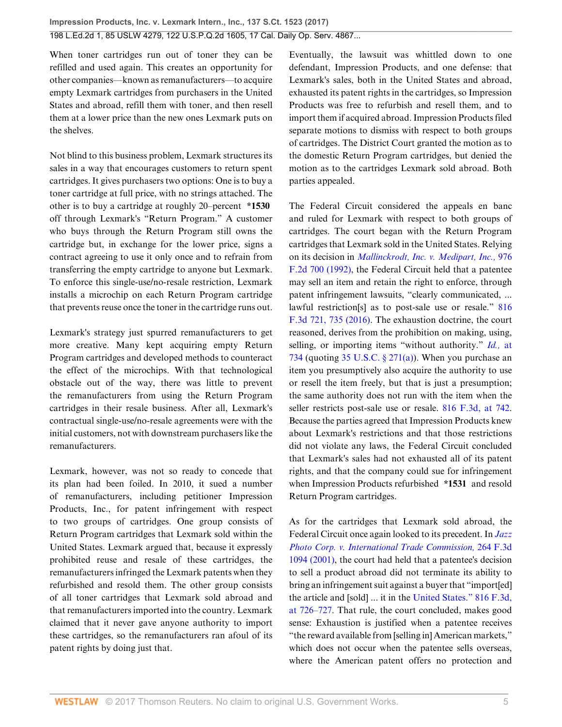When toner cartridges run out of toner they can be refilled and used again. This creates an opportunity for other companies—known as remanufacturers—to acquire empty Lexmark cartridges from purchasers in the United States and abroad, refill them with toner, and then resell them at a lower price than the new ones Lexmark puts on the shelves.

Not blind to this business problem, Lexmark structures its sales in a way that encourages customers to return spent cartridges. It gives purchasers two options: One is to buy a toner cartridge at full price, with no strings attached. The other is to buy a cartridge at roughly 20–percent **\*1530** off through Lexmark's "Return Program." A customer who buys through the Return Program still owns the cartridge but, in exchange for the lower price, signs a contract agreeing to use it only once and to refrain from transferring the empty cartridge to anyone but Lexmark. To enforce this single-use/no-resale restriction, Lexmark installs a microchip on each Return Program cartridge that prevents reuse once the toner in the cartridge runs out.

Lexmark's strategy just spurred remanufacturers to get more creative. Many kept acquiring empty Return Program cartridges and developed methods to counteract the effect of the microchips. With that technological obstacle out of the way, there was little to prevent the remanufacturers from using the Return Program cartridges in their resale business. After all, Lexmark's contractual single-use/no-resale agreements were with the initial customers, not with downstream purchasers like the remanufacturers.

Lexmark, however, was not so ready to concede that its plan had been foiled. In 2010, it sued a number of remanufacturers, including petitioner Impression Products, Inc., for patent infringement with respect to two groups of cartridges. One group consists of Return Program cartridges that Lexmark sold within the United States. Lexmark argued that, because it expressly prohibited reuse and resale of these cartridges, the remanufacturers infringed the Lexmark patents when they refurbished and resold them. The other group consists of all toner cartridges that Lexmark sold abroad and that remanufacturers imported into the country. Lexmark claimed that it never gave anyone authority to import these cartridges, so the remanufacturers ran afoul of its patent rights by doing just that.

Eventually, the lawsuit was whittled down to one defendant, Impression Products, and one defense: that Lexmark's sales, both in the United States and abroad, exhausted its patent rights in the cartridges, so Impression Products was free to refurbish and resell them, and to import them if acquired abroad. Impression Products filed separate motions to dismiss with respect to both groups of cartridges. The District Court granted the motion as to the domestic Return Program cartridges, but denied the motion as to the cartridges Lexmark sold abroad. Both parties appealed.

The Federal Circuit considered the appeals en banc and ruled for Lexmark with respect to both groups of cartridges. The court began with the Return Program cartridges that Lexmark sold in the United States. Relying on its decision in *[Mallinckrodt, Inc. v. Medipart, Inc.,](http://www.westlaw.com/Link/Document/FullText?findType=Y&serNum=1992166587&pubNum=0000350&originatingDoc=I35b269ee450411e7b73588f1a9cfce05&refType=RP&originationContext=document&vr=3.0&rs=cblt1.0&transitionType=DocumentItem&contextData=(sc.Default))* 976 [F.2d 700 \(1992\),](http://www.westlaw.com/Link/Document/FullText?findType=Y&serNum=1992166587&pubNum=0000350&originatingDoc=I35b269ee450411e7b73588f1a9cfce05&refType=RP&originationContext=document&vr=3.0&rs=cblt1.0&transitionType=DocumentItem&contextData=(sc.Default)) the Federal Circuit held that a patentee may sell an item and retain the right to enforce, through patent infringement lawsuits, "clearly communicated, ... lawful restriction[s] as to post-sale use or resale." [816](http://www.westlaw.com/Link/Document/FullText?findType=Y&serNum=2038283800&pubNum=0000506&originatingDoc=I35b269ee450411e7b73588f1a9cfce05&refType=RP&fi=co_pp_sp_506_735&originationContext=document&vr=3.0&rs=cblt1.0&transitionType=DocumentItem&contextData=(sc.Default)#co_pp_sp_506_735) [F.3d 721, 735 \(2016\)](http://www.westlaw.com/Link/Document/FullText?findType=Y&serNum=2038283800&pubNum=0000506&originatingDoc=I35b269ee450411e7b73588f1a9cfce05&refType=RP&fi=co_pp_sp_506_735&originationContext=document&vr=3.0&rs=cblt1.0&transitionType=DocumentItem&contextData=(sc.Default)#co_pp_sp_506_735). The exhaustion doctrine, the court reasoned, derives from the prohibition on making, using, selling, or importing items "without authority." *[Id.,](http://www.westlaw.com/Link/Document/FullText?findType=Y&serNum=2038283800&pubNum=0000506&originatingDoc=I35b269ee450411e7b73588f1a9cfce05&refType=RP&fi=co_pp_sp_506_734&originationContext=document&vr=3.0&rs=cblt1.0&transitionType=DocumentItem&contextData=(sc.Default)#co_pp_sp_506_734)* at [734](http://www.westlaw.com/Link/Document/FullText?findType=Y&serNum=2038283800&pubNum=0000506&originatingDoc=I35b269ee450411e7b73588f1a9cfce05&refType=RP&fi=co_pp_sp_506_734&originationContext=document&vr=3.0&rs=cblt1.0&transitionType=DocumentItem&contextData=(sc.Default)#co_pp_sp_506_734) (quoting  $35 \text{ U.S.C.}$  §  $271(a)$ ). When you purchase an item you presumptively also acquire the authority to use or resell the item freely, but that is just a presumption; the same authority does not run with the item when the seller restricts post-sale use or resale. [816 F.3d, at 742](http://www.westlaw.com/Link/Document/FullText?findType=Y&serNum=2038283800&pubNum=0000506&originatingDoc=I35b269ee450411e7b73588f1a9cfce05&refType=RP&fi=co_pp_sp_506_742&originationContext=document&vr=3.0&rs=cblt1.0&transitionType=DocumentItem&contextData=(sc.Default)#co_pp_sp_506_742). Because the parties agreed that Impression Products knew about Lexmark's restrictions and that those restrictions did not violate any laws, the Federal Circuit concluded that Lexmark's sales had not exhausted all of its patent rights, and that the company could sue for infringement when Impression Products refurbished **\*1531** and resold Return Program cartridges.

As for the cartridges that Lexmark sold abroad, the Federal Circuit once again looked to its precedent. In *[Jazz](http://www.westlaw.com/Link/Document/FullText?findType=Y&serNum=2001716493&pubNum=0000506&originatingDoc=I35b269ee450411e7b73588f1a9cfce05&refType=RP&originationContext=document&vr=3.0&rs=cblt1.0&transitionType=DocumentItem&contextData=(sc.Default)) [Photo Corp. v. International Trade Commission,](http://www.westlaw.com/Link/Document/FullText?findType=Y&serNum=2001716493&pubNum=0000506&originatingDoc=I35b269ee450411e7b73588f1a9cfce05&refType=RP&originationContext=document&vr=3.0&rs=cblt1.0&transitionType=DocumentItem&contextData=(sc.Default))* 264 F.3d [1094 \(2001\)](http://www.westlaw.com/Link/Document/FullText?findType=Y&serNum=2001716493&pubNum=0000506&originatingDoc=I35b269ee450411e7b73588f1a9cfce05&refType=RP&originationContext=document&vr=3.0&rs=cblt1.0&transitionType=DocumentItem&contextData=(sc.Default)), the court had held that a patentee's decision to sell a product abroad did not terminate its ability to bring an infringement suit against a buyer that "import[ed] the article and [sold] ... it in the [United States." 816 F.3d,](http://www.westlaw.com/Link/Document/FullText?findType=Y&serNum=2038283800&pubNum=0000506&originatingDoc=I35b269ee450411e7b73588f1a9cfce05&refType=RP&fi=co_pp_sp_506_726&originationContext=document&vr=3.0&rs=cblt1.0&transitionType=DocumentItem&contextData=(sc.Default)#co_pp_sp_506_726) [at 726–727.](http://www.westlaw.com/Link/Document/FullText?findType=Y&serNum=2038283800&pubNum=0000506&originatingDoc=I35b269ee450411e7b73588f1a9cfce05&refType=RP&fi=co_pp_sp_506_726&originationContext=document&vr=3.0&rs=cblt1.0&transitionType=DocumentItem&contextData=(sc.Default)#co_pp_sp_506_726) That rule, the court concluded, makes good sense: Exhaustion is justified when a patentee receives "the reward available from [selling in] American markets," which does not occur when the patentee sells overseas, where the American patent offers no protection and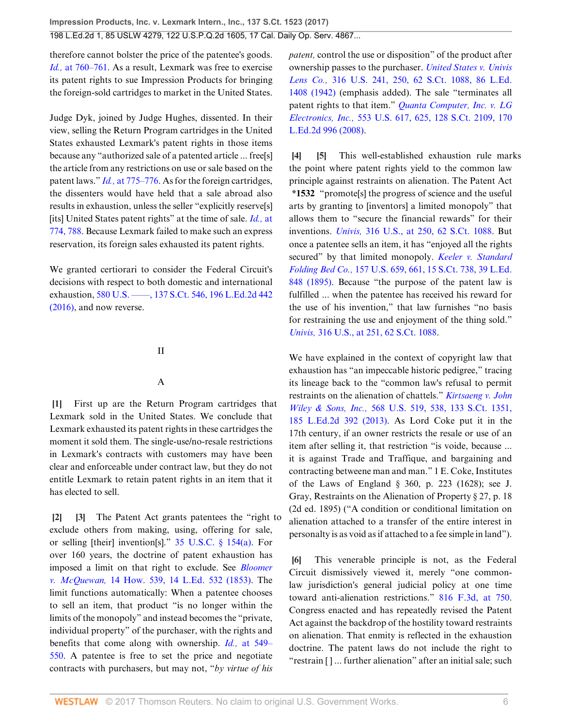therefore cannot bolster the price of the patentee's goods. *Id.,* [at 760–761](http://www.westlaw.com/Link/Document/FullText?findType=Y&serNum=2038283800&pubNum=0000506&originatingDoc=I35b269ee450411e7b73588f1a9cfce05&refType=RP&fi=co_pp_sp_506_760&originationContext=document&vr=3.0&rs=cblt1.0&transitionType=DocumentItem&contextData=(sc.Default)#co_pp_sp_506_760). As a result, Lexmark was free to exercise its patent rights to sue Impression Products for bringing the foreign-sold cartridges to market in the United States.

Judge Dyk, joined by Judge Hughes, dissented. In their view, selling the Return Program cartridges in the United States exhausted Lexmark's patent rights in those items because any "authorized sale of a patented article ... free[s] the article from any restrictions on use or sale based on the patent laws." *Id.,* [at 775–776.](http://www.westlaw.com/Link/Document/FullText?findType=Y&serNum=2038283800&pubNum=0000506&originatingDoc=I35b269ee450411e7b73588f1a9cfce05&refType=RP&fi=co_pp_sp_506_775&originationContext=document&vr=3.0&rs=cblt1.0&transitionType=DocumentItem&contextData=(sc.Default)#co_pp_sp_506_775) As for the foreign cartridges, the dissenters would have held that a sale abroad also results in exhaustion, unless the seller "explicitly reserve[s] [its] United States patent rights" at the time of sale. *[Id.,](http://www.westlaw.com/Link/Document/FullText?findType=Y&serNum=2038283800&pubNum=0000506&originatingDoc=I35b269ee450411e7b73588f1a9cfce05&refType=RP&fi=co_pp_sp_506_774&originationContext=document&vr=3.0&rs=cblt1.0&transitionType=DocumentItem&contextData=(sc.Default)#co_pp_sp_506_774)* at [774, 788.](http://www.westlaw.com/Link/Document/FullText?findType=Y&serNum=2038283800&pubNum=0000506&originatingDoc=I35b269ee450411e7b73588f1a9cfce05&refType=RP&fi=co_pp_sp_506_774&originationContext=document&vr=3.0&rs=cblt1.0&transitionType=DocumentItem&contextData=(sc.Default)#co_pp_sp_506_774) Because Lexmark failed to make such an express reservation, its foreign sales exhausted its patent rights.

We granted certiorari to consider the Federal Circuit's decisions with respect to both domestic and international exhaustion, 580 U.S. -- , 137 S.Ct. 546, 196 L.Ed.2d 442 [\(2016\),](http://www.westlaw.com/Link/Document/FullText?findType=Y&pubNum=0000708&cite=137SCT546&originatingDoc=I35b269ee450411e7b73588f1a9cfce05&refType=RP&originationContext=document&vr=3.0&rs=cblt1.0&transitionType=DocumentItem&contextData=(sc.Default)) and now reverse.

# II

# A

**[1]** First up are the Return Program cartridges that Lexmark sold in the United States. We conclude that Lexmark exhausted its patent rights in these cartridges the moment it sold them. The single-use/no-resale restrictions in Lexmark's contracts with customers may have been clear and enforceable under contract law, but they do not entitle Lexmark to retain patent rights in an item that it has elected to sell.

**[2] [3]** The Patent Act grants patentees the "right to exclude others from making, using, offering for sale, or selling [their] invention[s]." [35 U.S.C. § 154\(a\).](http://www.westlaw.com/Link/Document/FullText?findType=L&pubNum=1000546&cite=35USCAS154&originatingDoc=I35b269ee450411e7b73588f1a9cfce05&refType=RB&originationContext=document&vr=3.0&rs=cblt1.0&transitionType=DocumentItem&contextData=(sc.Default)#co_pp_8b3b0000958a4) For over 160 years, the doctrine of patent exhaustion has imposed a limit on that right to exclude. See *[Bloomer](http://www.westlaw.com/Link/Document/FullText?findType=Y&serNum=1800102097&pubNum=0000780&originatingDoc=I35b269ee450411e7b73588f1a9cfce05&refType=RP&originationContext=document&vr=3.0&rs=cblt1.0&transitionType=DocumentItem&contextData=(sc.Default)) v. McQuewan,* [14 How. 539, 14 L.Ed. 532 \(1853\)](http://www.westlaw.com/Link/Document/FullText?findType=Y&serNum=1800102097&pubNum=0000780&originatingDoc=I35b269ee450411e7b73588f1a9cfce05&refType=RP&originationContext=document&vr=3.0&rs=cblt1.0&transitionType=DocumentItem&contextData=(sc.Default)). The limit functions automatically: When a patentee chooses to sell an item, that product "is no longer within the limits of the monopoly" and instead becomes the "private, individual property" of the purchaser, with the rights and benefits that come along with ownership. *Id.,* [at 549–](http://www.westlaw.com/Link/Document/FullText?findType=Y&serNum=1800102097&pubNum=0000780&originatingDoc=I35b269ee450411e7b73588f1a9cfce05&refType=RP&fi=co_pp_sp_780_549&originationContext=document&vr=3.0&rs=cblt1.0&transitionType=DocumentItem&contextData=(sc.Default)#co_pp_sp_780_549) [550](http://www.westlaw.com/Link/Document/FullText?findType=Y&serNum=1800102097&pubNum=0000780&originatingDoc=I35b269ee450411e7b73588f1a9cfce05&refType=RP&fi=co_pp_sp_780_549&originationContext=document&vr=3.0&rs=cblt1.0&transitionType=DocumentItem&contextData=(sc.Default)#co_pp_sp_780_549). A patentee is free to set the price and negotiate contracts with purchasers, but may not, "*by virtue of his*

*patent,* control the use or disposition" of the product after ownership passes to the purchaser. *[United States v. Univis](http://www.westlaw.com/Link/Document/FullText?findType=Y&serNum=1942121585&pubNum=0000708&originatingDoc=I35b269ee450411e7b73588f1a9cfce05&refType=RP&originationContext=document&vr=3.0&rs=cblt1.0&transitionType=DocumentItem&contextData=(sc.Default)) Lens Co.,* [316 U.S. 241, 250, 62 S.Ct. 1088, 86 L.Ed.](http://www.westlaw.com/Link/Document/FullText?findType=Y&serNum=1942121585&pubNum=0000708&originatingDoc=I35b269ee450411e7b73588f1a9cfce05&refType=RP&originationContext=document&vr=3.0&rs=cblt1.0&transitionType=DocumentItem&contextData=(sc.Default)) [1408 \(1942\)](http://www.westlaw.com/Link/Document/FullText?findType=Y&serNum=1942121585&pubNum=0000708&originatingDoc=I35b269ee450411e7b73588f1a9cfce05&refType=RP&originationContext=document&vr=3.0&rs=cblt1.0&transitionType=DocumentItem&contextData=(sc.Default)) (emphasis added). The sale "terminates all patent rights to that item." *[Quanta Computer, Inc. v. LG](http://www.westlaw.com/Link/Document/FullText?findType=Y&serNum=2016269690&pubNum=0000708&originatingDoc=I35b269ee450411e7b73588f1a9cfce05&refType=RP&originationContext=document&vr=3.0&rs=cblt1.0&transitionType=DocumentItem&contextData=(sc.Default)) Electronics, Inc.,* [553 U.S. 617, 625, 128 S.Ct. 2109, 170](http://www.westlaw.com/Link/Document/FullText?findType=Y&serNum=2016269690&pubNum=0000708&originatingDoc=I35b269ee450411e7b73588f1a9cfce05&refType=RP&originationContext=document&vr=3.0&rs=cblt1.0&transitionType=DocumentItem&contextData=(sc.Default)) [L.Ed.2d 996 \(2008\)](http://www.westlaw.com/Link/Document/FullText?findType=Y&serNum=2016269690&pubNum=0000708&originatingDoc=I35b269ee450411e7b73588f1a9cfce05&refType=RP&originationContext=document&vr=3.0&rs=cblt1.0&transitionType=DocumentItem&contextData=(sc.Default)).

**[4] [5]** This well-established exhaustion rule marks the point where patent rights yield to the common law principle against restraints on alienation. The Patent Act **\*1532** "promote[s] the progress of science and the useful arts by granting to [inventors] a limited monopoly" that allows them to "secure the financial rewards" for their inventions. *Univis,* [316 U.S., at 250, 62 S.Ct. 1088.](http://www.westlaw.com/Link/Document/FullText?findType=Y&serNum=1942121585&pubNum=0000708&originatingDoc=I35b269ee450411e7b73588f1a9cfce05&refType=RP&originationContext=document&vr=3.0&rs=cblt1.0&transitionType=DocumentItem&contextData=(sc.Default)) But once a patentee sells an item, it has "enjoyed all the rights secured" by that limited monopoly. *[Keeler v. Standard](http://www.westlaw.com/Link/Document/FullText?findType=Y&serNum=1895180024&pubNum=0000708&originatingDoc=I35b269ee450411e7b73588f1a9cfce05&refType=RP&originationContext=document&vr=3.0&rs=cblt1.0&transitionType=DocumentItem&contextData=(sc.Default)) Folding Bed Co.,* [157 U.S. 659, 661, 15 S.Ct. 738, 39 L.Ed.](http://www.westlaw.com/Link/Document/FullText?findType=Y&serNum=1895180024&pubNum=0000708&originatingDoc=I35b269ee450411e7b73588f1a9cfce05&refType=RP&originationContext=document&vr=3.0&rs=cblt1.0&transitionType=DocumentItem&contextData=(sc.Default)) [848 \(1895\)](http://www.westlaw.com/Link/Document/FullText?findType=Y&serNum=1895180024&pubNum=0000708&originatingDoc=I35b269ee450411e7b73588f1a9cfce05&refType=RP&originationContext=document&vr=3.0&rs=cblt1.0&transitionType=DocumentItem&contextData=(sc.Default)). Because "the purpose of the patent law is fulfilled ... when the patentee has received his reward for the use of his invention," that law furnishes "no basis for restraining the use and enjoyment of the thing sold." *Univis,* [316 U.S., at 251, 62 S.Ct. 1088.](http://www.westlaw.com/Link/Document/FullText?findType=Y&serNum=1942121585&pubNum=0000708&originatingDoc=I35b269ee450411e7b73588f1a9cfce05&refType=RP&originationContext=document&vr=3.0&rs=cblt1.0&transitionType=DocumentItem&contextData=(sc.Default))

We have explained in the context of copyright law that exhaustion has "an impeccable historic pedigree," tracing its lineage back to the "common law's refusal to permit restraints on the alienation of chattels." *[Kirtsaeng v. John](http://www.westlaw.com/Link/Document/FullText?findType=Y&serNum=2030157847&pubNum=0000708&originatingDoc=I35b269ee450411e7b73588f1a9cfce05&refType=RP&originationContext=document&vr=3.0&rs=cblt1.0&transitionType=DocumentItem&contextData=(sc.Default)) Wiley & Sons, Inc.,* [568 U.S. 519, 538, 133 S.Ct. 1351,](http://www.westlaw.com/Link/Document/FullText?findType=Y&serNum=2030157847&pubNum=0000708&originatingDoc=I35b269ee450411e7b73588f1a9cfce05&refType=RP&originationContext=document&vr=3.0&rs=cblt1.0&transitionType=DocumentItem&contextData=(sc.Default)) [185 L.Ed.2d 392 \(2013\).](http://www.westlaw.com/Link/Document/FullText?findType=Y&serNum=2030157847&pubNum=0000708&originatingDoc=I35b269ee450411e7b73588f1a9cfce05&refType=RP&originationContext=document&vr=3.0&rs=cblt1.0&transitionType=DocumentItem&contextData=(sc.Default)) As Lord Coke put it in the 17th century, if an owner restricts the resale or use of an item after selling it, that restriction "is voide, because ... it is against Trade and Traffique, and bargaining and contracting betweene man and man." 1 E. Coke, Institutes of the Laws of England § 360, p. 223 (1628); see J. Gray, Restraints on the Alienation of Property § 27, p. 18 (2d ed. 1895) ("A condition or conditional limitation on alienation attached to a transfer of the entire interest in personalty is as void as if attached to a fee simple in land").

**[6]** This venerable principle is not, as the Federal Circuit dismissively viewed it, merely "one commonlaw jurisdiction's general judicial policy at one time toward anti-alienation restrictions." [816 F.3d, at 750](http://www.westlaw.com/Link/Document/FullText?findType=Y&serNum=2038283800&pubNum=0000506&originatingDoc=I35b269ee450411e7b73588f1a9cfce05&refType=RP&fi=co_pp_sp_506_750&originationContext=document&vr=3.0&rs=cblt1.0&transitionType=DocumentItem&contextData=(sc.Default)#co_pp_sp_506_750). Congress enacted and has repeatedly revised the Patent Act against the backdrop of the hostility toward restraints on alienation. That enmity is reflected in the exhaustion doctrine. The patent laws do not include the right to "restrain [] ... further alienation" after an initial sale; such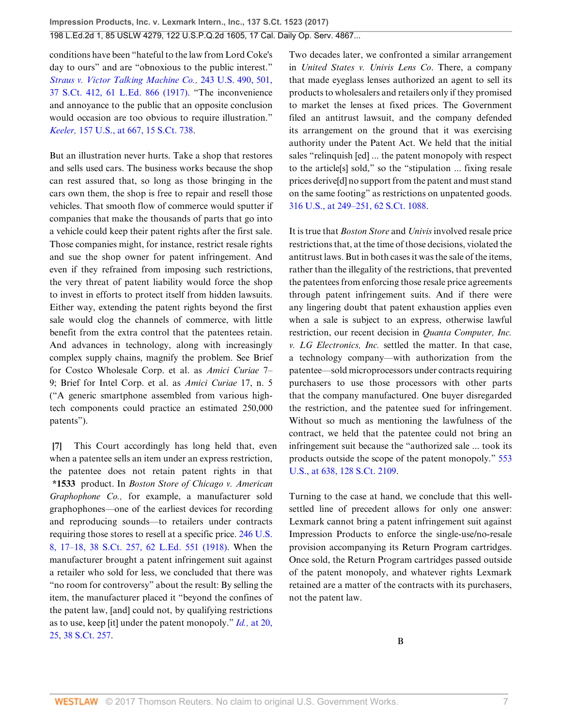conditions have been "hateful to the law from Lord Coke's day to ours" and are "obnoxious to the public interest." *[Straus v. Victor Talking Machine Co.,](http://www.westlaw.com/Link/Document/FullText?findType=Y&serNum=1917100479&pubNum=0000708&originatingDoc=I35b269ee450411e7b73588f1a9cfce05&refType=RP&originationContext=document&vr=3.0&rs=cblt1.0&transitionType=DocumentItem&contextData=(sc.Default))* 243 U.S. 490, 501, [37 S.Ct. 412, 61 L.Ed. 866 \(1917\)](http://www.westlaw.com/Link/Document/FullText?findType=Y&serNum=1917100479&pubNum=0000708&originatingDoc=I35b269ee450411e7b73588f1a9cfce05&refType=RP&originationContext=document&vr=3.0&rs=cblt1.0&transitionType=DocumentItem&contextData=(sc.Default)). "The inconvenience and annoyance to the public that an opposite conclusion would occasion are too obvious to require illustration." *Keeler,* [157 U.S., at 667, 15 S.Ct. 738](http://www.westlaw.com/Link/Document/FullText?findType=Y&serNum=1895180024&pubNum=0000708&originatingDoc=I35b269ee450411e7b73588f1a9cfce05&refType=RP&originationContext=document&vr=3.0&rs=cblt1.0&transitionType=DocumentItem&contextData=(sc.Default)).

But an illustration never hurts. Take a shop that restores and sells used cars. The business works because the shop can rest assured that, so long as those bringing in the cars own them, the shop is free to repair and resell those vehicles. That smooth flow of commerce would sputter if companies that make the thousands of parts that go into a vehicle could keep their patent rights after the first sale. Those companies might, for instance, restrict resale rights and sue the shop owner for patent infringement. And even if they refrained from imposing such restrictions, the very threat of patent liability would force the shop to invest in efforts to protect itself from hidden lawsuits. Either way, extending the patent rights beyond the first sale would clog the channels of commerce, with little benefit from the extra control that the patentees retain. And advances in technology, along with increasingly complex supply chains, magnify the problem. See Brief for Costco Wholesale Corp. et al. as *Amici Curiae* 7– 9; Brief for Intel Corp. et al. as *Amici Curiae* 17, n. 5 ("A generic smartphone assembled from various hightech components could practice an estimated 250,000 patents").

**[7]** This Court accordingly has long held that, even when a patentee sells an item under an express restriction, the patentee does not retain patent rights in that **\*1533** product. In *Boston Store of Chicago v. American Graphophone Co.,* for example, a manufacturer sold graphophones—one of the earliest devices for recording and reproducing sounds—to retailers under contracts requiring those stores to resell at a specific price. [246 U.S.](http://www.westlaw.com/Link/Document/FullText?findType=Y&serNum=1918100404&pubNum=0000708&originatingDoc=I35b269ee450411e7b73588f1a9cfce05&refType=RP&originationContext=document&vr=3.0&rs=cblt1.0&transitionType=DocumentItem&contextData=(sc.Default)) [8, 17–18, 38 S.Ct. 257, 62 L.Ed. 551 \(1918\)](http://www.westlaw.com/Link/Document/FullText?findType=Y&serNum=1918100404&pubNum=0000708&originatingDoc=I35b269ee450411e7b73588f1a9cfce05&refType=RP&originationContext=document&vr=3.0&rs=cblt1.0&transitionType=DocumentItem&contextData=(sc.Default)). When the manufacturer brought a patent infringement suit against a retailer who sold for less, we concluded that there was "no room for controversy" about the result: By selling the item, the manufacturer placed it "beyond the confines of the patent law, [and] could not, by qualifying restrictions as to use, keep [it] under the patent monopoly." *Id.,* [at 20,](http://www.westlaw.com/Link/Document/FullText?findType=Y&serNum=1918100404&pubNum=0000708&originatingDoc=I35b269ee450411e7b73588f1a9cfce05&refType=RP&originationContext=document&vr=3.0&rs=cblt1.0&transitionType=DocumentItem&contextData=(sc.Default)) [25, 38 S.Ct. 257.](http://www.westlaw.com/Link/Document/FullText?findType=Y&serNum=1918100404&pubNum=0000708&originatingDoc=I35b269ee450411e7b73588f1a9cfce05&refType=RP&originationContext=document&vr=3.0&rs=cblt1.0&transitionType=DocumentItem&contextData=(sc.Default))

Two decades later, we confronted a similar arrangement in *United States v. Univis Lens Co*. There, a company that made eyeglass lenses authorized an agent to sell its products to wholesalers and retailers only if they promised to market the lenses at fixed prices. The Government filed an antitrust lawsuit, and the company defended its arrangement on the ground that it was exercising authority under the Patent Act. We held that the initial sales "relinquish [ed] ... the patent monopoly with respect to the article[s] sold," so the "stipulation ... fixing resale prices derive[d] no support from the patent and must stand on the same footing" as restrictions on unpatented goods. [316 U.S., at 249–251, 62 S.Ct. 1088](http://www.westlaw.com/Link/Document/FullText?findType=Y&serNum=1942121585&pubNum=0000708&originatingDoc=I35b269ee450411e7b73588f1a9cfce05&refType=RP&originationContext=document&vr=3.0&rs=cblt1.0&transitionType=DocumentItem&contextData=(sc.Default)).

It is true that *Boston Store* and *Univis* involved resale price restrictions that, at the time of those decisions, violated the antitrust laws. But in both cases it was the sale of the items, rather than the illegality of the restrictions, that prevented the patentees from enforcing those resale price agreements through patent infringement suits. And if there were any lingering doubt that patent exhaustion applies even when a sale is subject to an express, otherwise lawful restriction, our recent decision in *Quanta Computer, Inc. v. LG Electronics, Inc.* settled the matter. In that case, a technology company—with authorization from the patentee—sold microprocessors under contracts requiring purchasers to use those processors with other parts that the company manufactured. One buyer disregarded the restriction, and the patentee sued for infringement. Without so much as mentioning the lawfulness of the contract, we held that the patentee could not bring an infringement suit because the "authorized sale ... took its products outside the scope of the patent monopoly." [553](http://www.westlaw.com/Link/Document/FullText?findType=Y&serNum=2016269690&pubNum=0000708&originatingDoc=I35b269ee450411e7b73588f1a9cfce05&refType=RP&originationContext=document&vr=3.0&rs=cblt1.0&transitionType=DocumentItem&contextData=(sc.Default)) [U.S., at 638, 128 S.Ct. 2109.](http://www.westlaw.com/Link/Document/FullText?findType=Y&serNum=2016269690&pubNum=0000708&originatingDoc=I35b269ee450411e7b73588f1a9cfce05&refType=RP&originationContext=document&vr=3.0&rs=cblt1.0&transitionType=DocumentItem&contextData=(sc.Default))

Turning to the case at hand, we conclude that this wellsettled line of precedent allows for only one answer: Lexmark cannot bring a patent infringement suit against Impression Products to enforce the single-use/no-resale provision accompanying its Return Program cartridges. Once sold, the Return Program cartridges passed outside of the patent monopoly, and whatever rights Lexmark retained are a matter of the contracts with its purchasers, not the patent law.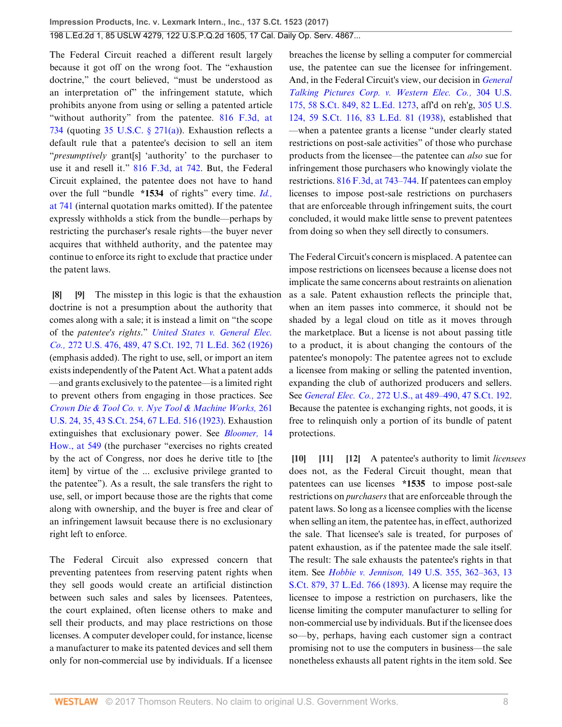The Federal Circuit reached a different result largely because it got off on the wrong foot. The "exhaustion doctrine," the court believed, "must be understood as an interpretation of" the infringement statute, which prohibits anyone from using or selling a patented article "without authority" from the patentee. [816 F.3d, at](http://www.westlaw.com/Link/Document/FullText?findType=Y&serNum=2038283800&pubNum=0000506&originatingDoc=I35b269ee450411e7b73588f1a9cfce05&refType=RP&fi=co_pp_sp_506_734&originationContext=document&vr=3.0&rs=cblt1.0&transitionType=DocumentItem&contextData=(sc.Default)#co_pp_sp_506_734) [734](http://www.westlaw.com/Link/Document/FullText?findType=Y&serNum=2038283800&pubNum=0000506&originatingDoc=I35b269ee450411e7b73588f1a9cfce05&refType=RP&fi=co_pp_sp_506_734&originationContext=document&vr=3.0&rs=cblt1.0&transitionType=DocumentItem&contextData=(sc.Default)#co_pp_sp_506_734) (quoting [35 U.S.C. § 271\(a\)](http://www.westlaw.com/Link/Document/FullText?findType=L&pubNum=1000546&cite=35USCAS271&originatingDoc=I35b269ee450411e7b73588f1a9cfce05&refType=RB&originationContext=document&vr=3.0&rs=cblt1.0&transitionType=DocumentItem&contextData=(sc.Default)#co_pp_8b3b0000958a4)). Exhaustion reflects a default rule that a patentee's decision to sell an item "*presumptively* grant[s] 'authority' to the purchaser to use it and resell it." [816 F.3d, at 742](http://www.westlaw.com/Link/Document/FullText?findType=Y&serNum=2038283800&pubNum=0000506&originatingDoc=I35b269ee450411e7b73588f1a9cfce05&refType=RP&fi=co_pp_sp_506_742&originationContext=document&vr=3.0&rs=cblt1.0&transitionType=DocumentItem&contextData=(sc.Default)#co_pp_sp_506_742). But, the Federal Circuit explained, the patentee does not have to hand over the full "bundle **\*1534** of rights" every time. *[Id.,](http://www.westlaw.com/Link/Document/FullText?findType=Y&serNum=2038283800&pubNum=0000506&originatingDoc=I35b269ee450411e7b73588f1a9cfce05&refType=RP&fi=co_pp_sp_506_741&originationContext=document&vr=3.0&rs=cblt1.0&transitionType=DocumentItem&contextData=(sc.Default)#co_pp_sp_506_741)* [at 741](http://www.westlaw.com/Link/Document/FullText?findType=Y&serNum=2038283800&pubNum=0000506&originatingDoc=I35b269ee450411e7b73588f1a9cfce05&refType=RP&fi=co_pp_sp_506_741&originationContext=document&vr=3.0&rs=cblt1.0&transitionType=DocumentItem&contextData=(sc.Default)#co_pp_sp_506_741) (internal quotation marks omitted). If the patentee expressly withholds a stick from the bundle—perhaps by restricting the purchaser's resale rights—the buyer never acquires that withheld authority, and the patentee may continue to enforce its right to exclude that practice under the patent laws.

**[8] [9]** The misstep in this logic is that the exhaustion doctrine is not a presumption about the authority that comes along with a sale; it is instead a limit on "the scope of the *patentee's rights*." *[United States v. General Elec.](http://www.westlaw.com/Link/Document/FullText?findType=Y&serNum=1926122340&pubNum=0000708&originatingDoc=I35b269ee450411e7b73588f1a9cfce05&refType=RP&originationContext=document&vr=3.0&rs=cblt1.0&transitionType=DocumentItem&contextData=(sc.Default)) Co.,* [272 U.S. 476, 489, 47 S.Ct. 192, 71 L.Ed. 362 \(1926\)](http://www.westlaw.com/Link/Document/FullText?findType=Y&serNum=1926122340&pubNum=0000708&originatingDoc=I35b269ee450411e7b73588f1a9cfce05&refType=RP&originationContext=document&vr=3.0&rs=cblt1.0&transitionType=DocumentItem&contextData=(sc.Default)) (emphasis added). The right to use, sell, or import an item exists independently of the Patent Act. What a patent adds —and grants exclusively to the patentee—is a limited right to prevent others from engaging in those practices. See *[Crown Die & Tool Co. v. Nye Tool & Machine Works,](http://www.westlaw.com/Link/Document/FullText?findType=Y&serNum=1923120358&pubNum=0000708&originatingDoc=I35b269ee450411e7b73588f1a9cfce05&refType=RP&originationContext=document&vr=3.0&rs=cblt1.0&transitionType=DocumentItem&contextData=(sc.Default))* 261 [U.S. 24, 35, 43 S.Ct. 254, 67 L.Ed. 516 \(1923\)](http://www.westlaw.com/Link/Document/FullText?findType=Y&serNum=1923120358&pubNum=0000708&originatingDoc=I35b269ee450411e7b73588f1a9cfce05&refType=RP&originationContext=document&vr=3.0&rs=cblt1.0&transitionType=DocumentItem&contextData=(sc.Default)). Exhaustion extinguishes that exclusionary power. See *[Bloomer,](http://www.westlaw.com/Link/Document/FullText?findType=Y&serNum=1800102097&pubNum=0000780&originatingDoc=I35b269ee450411e7b73588f1a9cfce05&refType=RP&fi=co_pp_sp_780_549&originationContext=document&vr=3.0&rs=cblt1.0&transitionType=DocumentItem&contextData=(sc.Default)#co_pp_sp_780_549)* 14 [How., at 549](http://www.westlaw.com/Link/Document/FullText?findType=Y&serNum=1800102097&pubNum=0000780&originatingDoc=I35b269ee450411e7b73588f1a9cfce05&refType=RP&fi=co_pp_sp_780_549&originationContext=document&vr=3.0&rs=cblt1.0&transitionType=DocumentItem&contextData=(sc.Default)#co_pp_sp_780_549) (the purchaser "exercises no rights created by the act of Congress, nor does he derive title to [the item] by virtue of the ... exclusive privilege granted to the patentee"). As a result, the sale transfers the right to use, sell, or import because those are the rights that come along with ownership, and the buyer is free and clear of an infringement lawsuit because there is no exclusionary right left to enforce.

The Federal Circuit also expressed concern that preventing patentees from reserving patent rights when they sell goods would create an artificial distinction between such sales and sales by licensees. Patentees, the court explained, often license others to make and sell their products, and may place restrictions on those licenses. A computer developer could, for instance, license a manufacturer to make its patented devices and sell them only for non-commercial use by individuals. If a licensee breaches the license by selling a computer for commercial use, the patentee can sue the licensee for infringement. And, in the Federal Circuit's view, our decision in *[General](http://www.westlaw.com/Link/Document/FullText?findType=Y&serNum=1938122171&pubNum=0000708&originatingDoc=I35b269ee450411e7b73588f1a9cfce05&refType=RP&originationContext=document&vr=3.0&rs=cblt1.0&transitionType=DocumentItem&contextData=(sc.Default)) Talking Pictures [Corp. v. Western Elec. Co.,](http://www.westlaw.com/Link/Document/FullText?findType=Y&serNum=1938122171&pubNum=0000708&originatingDoc=I35b269ee450411e7b73588f1a9cfce05&refType=RP&originationContext=document&vr=3.0&rs=cblt1.0&transitionType=DocumentItem&contextData=(sc.Default))* 304 U.S. [175, 58 S.Ct. 849, 82 L.Ed. 1273](http://www.westlaw.com/Link/Document/FullText?findType=Y&serNum=1938122171&pubNum=0000708&originatingDoc=I35b269ee450411e7b73588f1a9cfce05&refType=RP&originationContext=document&vr=3.0&rs=cblt1.0&transitionType=DocumentItem&contextData=(sc.Default)), aff'd on reh'g, [305 U.S.](http://www.westlaw.com/Link/Document/FullText?findType=Y&serNum=1938122173&pubNum=0000708&originatingDoc=I35b269ee450411e7b73588f1a9cfce05&refType=RP&originationContext=document&vr=3.0&rs=cblt1.0&transitionType=DocumentItem&contextData=(sc.Default)) [124, 59 S.Ct. 116, 83 L.Ed. 81 \(1938\),](http://www.westlaw.com/Link/Document/FullText?findType=Y&serNum=1938122173&pubNum=0000708&originatingDoc=I35b269ee450411e7b73588f1a9cfce05&refType=RP&originationContext=document&vr=3.0&rs=cblt1.0&transitionType=DocumentItem&contextData=(sc.Default)) established that —when a patentee grants a license "under clearly stated restrictions on post-sale activities" of those who purchase products from the licensee—the patentee can *also* sue for infringement those purchasers who knowingly violate the restrictions. [816 F.3d, at 743–744](http://www.westlaw.com/Link/Document/FullText?findType=Y&serNum=2038283800&pubNum=0000506&originatingDoc=I35b269ee450411e7b73588f1a9cfce05&refType=RP&fi=co_pp_sp_506_743&originationContext=document&vr=3.0&rs=cblt1.0&transitionType=DocumentItem&contextData=(sc.Default)#co_pp_sp_506_743). If patentees can employ licenses to impose post-sale restrictions on purchasers that are enforceable through infringement suits, the court concluded, it would make little sense to prevent patentees from doing so when they sell directly to consumers.

The Federal Circuit's concern is misplaced. A patentee can impose restrictions on licensees because a license does not implicate the same concerns about restraints on alienation as a sale. Patent exhaustion reflects the principle that, when an item passes into commerce, it should not be shaded by a legal cloud on title as it moves through the marketplace. But a license is not about passing title to a product, it is about changing the contours of the patentee's monopoly: The patentee agrees not to exclude a licensee from making or selling the patented invention, expanding the club of authorized producers and sellers. See *General Elec. Co.,* [272 U.S., at 489–490, 47 S.Ct. 192](http://www.westlaw.com/Link/Document/FullText?findType=Y&serNum=1926122340&pubNum=0000708&originatingDoc=I35b269ee450411e7b73588f1a9cfce05&refType=RP&originationContext=document&vr=3.0&rs=cblt1.0&transitionType=DocumentItem&contextData=(sc.Default)). Because the patentee is exchanging rights, not goods, it is free to relinquish only a portion of its bundle of patent protections.

**[10] [11] [12]** A patentee's authority to limit *licensees* does not, as the Federal Circuit thought, mean that patentees can use licenses **\*1535** to impose post-sale restrictions on *purchasers* that are enforceable through the patent laws. So long as a licensee complies with the license when selling an item, the patentee has, in effect, authorized the sale. That licensee's sale is treated, for purposes of patent exhaustion, as if the patentee made the sale itself. The result: The sale exhausts the patentee's rights in that item. See *Hobbie v. Jennison,* [149 U.S. 355, 362–363, 13](http://www.westlaw.com/Link/Document/FullText?findType=Y&serNum=1893180147&pubNum=0000708&originatingDoc=I35b269ee450411e7b73588f1a9cfce05&refType=RP&originationContext=document&vr=3.0&rs=cblt1.0&transitionType=DocumentItem&contextData=(sc.Default)) [S.Ct. 879, 37 L.Ed. 766 \(1893\)](http://www.westlaw.com/Link/Document/FullText?findType=Y&serNum=1893180147&pubNum=0000708&originatingDoc=I35b269ee450411e7b73588f1a9cfce05&refType=RP&originationContext=document&vr=3.0&rs=cblt1.0&transitionType=DocumentItem&contextData=(sc.Default)). A license may require the licensee to impose a restriction on purchasers, like the license limiting the computer manufacturer to selling for non-commercial use by individuals. But if the licensee does so—by, perhaps, having each customer sign a contract promising not to use the computers in business—the sale nonetheless exhausts all patent rights in the item sold. See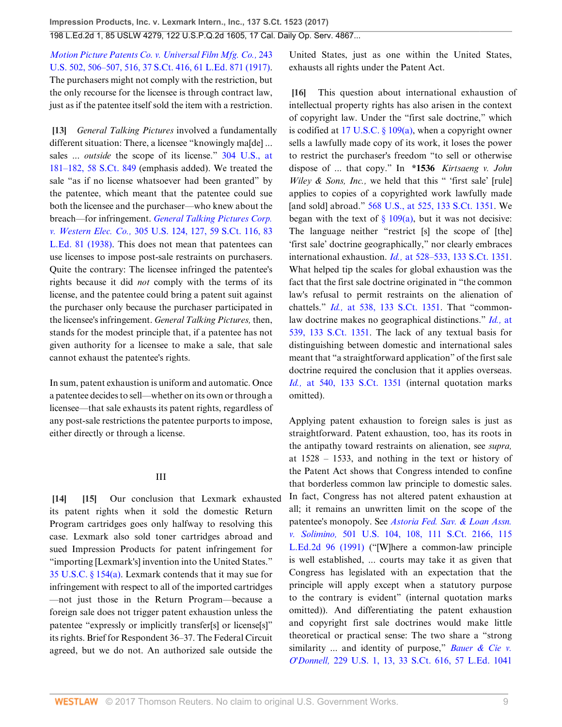*[Motion Picture Patents Co. v. Universal Film Mfg. Co.,](http://www.westlaw.com/Link/Document/FullText?findType=Y&serNum=1917100447&pubNum=0000708&originatingDoc=I35b269ee450411e7b73588f1a9cfce05&refType=RP&originationContext=document&vr=3.0&rs=cblt1.0&transitionType=DocumentItem&contextData=(sc.Default))* 243 [U.S. 502, 506–507, 516, 37 S.Ct. 416, 61 L.Ed. 871 \(1917\)](http://www.westlaw.com/Link/Document/FullText?findType=Y&serNum=1917100447&pubNum=0000708&originatingDoc=I35b269ee450411e7b73588f1a9cfce05&refType=RP&originationContext=document&vr=3.0&rs=cblt1.0&transitionType=DocumentItem&contextData=(sc.Default)). The purchasers might not comply with the restriction, but the only recourse for the licensee is through contract law, just as if the patentee itself sold the item with a restriction.

**[13]** *General Talking Pictures* involved a fundamentally different situation: There, a licensee "knowingly maldel... sales ... *outside* the scope of its license." [304 U.S., at](http://www.westlaw.com/Link/Document/FullText?findType=Y&serNum=1938122171&pubNum=0000708&originatingDoc=I35b269ee450411e7b73588f1a9cfce05&refType=RP&originationContext=document&vr=3.0&rs=cblt1.0&transitionType=DocumentItem&contextData=(sc.Default)) [181–182, 58 S.Ct. 849](http://www.westlaw.com/Link/Document/FullText?findType=Y&serNum=1938122171&pubNum=0000708&originatingDoc=I35b269ee450411e7b73588f1a9cfce05&refType=RP&originationContext=document&vr=3.0&rs=cblt1.0&transitionType=DocumentItem&contextData=(sc.Default)) (emphasis added). We treated the sale "as if no license whatsoever had been granted" by the patentee, which meant that the patentee could sue both the licensee and the purchaser—who knew about the breach—for infringement. *[General Talking Pictures Corp.](http://www.westlaw.com/Link/Document/FullText?findType=Y&serNum=1938122173&pubNum=0000708&originatingDoc=I35b269ee450411e7b73588f1a9cfce05&refType=RP&originationContext=document&vr=3.0&rs=cblt1.0&transitionType=DocumentItem&contextData=(sc.Default)) v. Western Elec. Co.,* [305 U.S. 124, 127, 59 S.Ct. 116, 83](http://www.westlaw.com/Link/Document/FullText?findType=Y&serNum=1938122173&pubNum=0000708&originatingDoc=I35b269ee450411e7b73588f1a9cfce05&refType=RP&originationContext=document&vr=3.0&rs=cblt1.0&transitionType=DocumentItem&contextData=(sc.Default)) [L.Ed. 81 \(1938\)](http://www.westlaw.com/Link/Document/FullText?findType=Y&serNum=1938122173&pubNum=0000708&originatingDoc=I35b269ee450411e7b73588f1a9cfce05&refType=RP&originationContext=document&vr=3.0&rs=cblt1.0&transitionType=DocumentItem&contextData=(sc.Default)). This does not mean that patentees can use licenses to impose post-sale restraints on purchasers. Quite the contrary: The licensee infringed the patentee's rights because it did *not* comply with the terms of its license, and the patentee could bring a patent suit against the purchaser only because the purchaser participated in the licensee's infringement. *General Talking Pictures,* then, stands for the modest principle that, if a patentee has not given authority for a licensee to make a sale, that sale cannot exhaust the patentee's rights.

In sum, patent exhaustion is uniform and automatic. Once a patentee decides to sell—whether on its own or through a licensee—that sale exhausts its patent rights, regardless of any post-sale restrictions the patentee purports to impose, either directly or through a license.

#### III

**[14] [15]** Our conclusion that Lexmark exhausted its patent rights when it sold the domestic Return Program cartridges goes only halfway to resolving this case. Lexmark also sold toner cartridges abroad and sued Impression Products for patent infringement for "importing [Lexmark's] invention into the United States." [35 U.S.C. § 154\(a\)](http://www.westlaw.com/Link/Document/FullText?findType=L&pubNum=1000546&cite=35USCAS154&originatingDoc=I35b269ee450411e7b73588f1a9cfce05&refType=RB&originationContext=document&vr=3.0&rs=cblt1.0&transitionType=DocumentItem&contextData=(sc.Default)#co_pp_8b3b0000958a4). Lexmark contends that it may sue for infringement with respect to all of the imported cartridges —not just those in the Return Program—because a foreign sale does not trigger patent exhaustion unless the patentee "expressly or implicitly transfer[s] or license[s]" its rights. Brief for Respondent 36–37. The Federal Circuit agreed, but we do not. An authorized sale outside the

United States, just as one within the United States, exhausts all rights under the Patent Act.

**[16]** This question about international exhaustion of intellectual property rights has also arisen in the context of copyright law. Under the "first sale doctrine," which is codified at [17 U.S.C. § 109\(a\),](http://www.westlaw.com/Link/Document/FullText?findType=L&pubNum=1000546&cite=17USCAS109&originatingDoc=I35b269ee450411e7b73588f1a9cfce05&refType=RB&originationContext=document&vr=3.0&rs=cblt1.0&transitionType=DocumentItem&contextData=(sc.Default)#co_pp_8b3b0000958a4) when a copyright owner sells a lawfully made copy of its work, it loses the power to restrict the purchaser's freedom "to sell or otherwise dispose of ... that copy." In **\*1536** *Kirtsaeng v. John Wiley & Sons, Inc., we held that this* " 'first sale' [rule] applies to copies of a copyrighted work lawfully made [and sold] abroad." [568 U.S., at 525, 133 S.Ct. 1351](http://www.westlaw.com/Link/Document/FullText?findType=Y&serNum=2030157847&pubNum=0000708&originatingDoc=I35b269ee450411e7b73588f1a9cfce05&refType=RP&originationContext=document&vr=3.0&rs=cblt1.0&transitionType=DocumentItem&contextData=(sc.Default)). We began with the text of  $\S$  109(a), but it was not decisive: The language neither "restrict [s] the scope of [the] 'first sale' doctrine geographically," nor clearly embraces international exhaustion. *Id.,* [at 528–533, 133 S.Ct. 1351](http://www.westlaw.com/Link/Document/FullText?findType=Y&serNum=2030157847&pubNum=0000708&originatingDoc=I35b269ee450411e7b73588f1a9cfce05&refType=RP&originationContext=document&vr=3.0&rs=cblt1.0&transitionType=DocumentItem&contextData=(sc.Default)). What helped tip the scales for global exhaustion was the fact that the first sale doctrine originated in "the common law's refusal to permit restraints on the alienation of chattels." *Id.,* [at 538, 133 S.Ct. 1351.](http://www.westlaw.com/Link/Document/FullText?findType=Y&serNum=2030157847&pubNum=0000708&originatingDoc=I35b269ee450411e7b73588f1a9cfce05&refType=RP&originationContext=document&vr=3.0&rs=cblt1.0&transitionType=DocumentItem&contextData=(sc.Default)) That "commonlaw doctrine makes no geographical distinctions." *[Id.,](http://www.westlaw.com/Link/Document/FullText?findType=Y&serNum=2030157847&pubNum=0000708&originatingDoc=I35b269ee450411e7b73588f1a9cfce05&refType=RP&originationContext=document&vr=3.0&rs=cblt1.0&transitionType=DocumentItem&contextData=(sc.Default))* at [539, 133 S.Ct. 1351.](http://www.westlaw.com/Link/Document/FullText?findType=Y&serNum=2030157847&pubNum=0000708&originatingDoc=I35b269ee450411e7b73588f1a9cfce05&refType=RP&originationContext=document&vr=3.0&rs=cblt1.0&transitionType=DocumentItem&contextData=(sc.Default)) The lack of any textual basis for distinguishing between domestic and international sales meant that "a straightforward application" of the first sale doctrine required the conclusion that it applies overseas. *Id.,* [at 540, 133 S.Ct. 1351](http://www.westlaw.com/Link/Document/FullText?findType=Y&serNum=2030157847&pubNum=0000708&originatingDoc=I35b269ee450411e7b73588f1a9cfce05&refType=RP&originationContext=document&vr=3.0&rs=cblt1.0&transitionType=DocumentItem&contextData=(sc.Default)) (internal quotation marks omitted).

Applying patent exhaustion to foreign sales is just as straightforward. Patent exhaustion, too, has its roots in the antipathy toward restraints on alienation, see *supra,* at 1528 – 1533, and nothing in the text or history of the Patent Act shows that Congress intended to confine that borderless common law principle to domestic sales. In fact, Congress has not altered patent exhaustion at all; it remains an unwritten limit on the scope of the patentee's monopoly. See *[Astoria Fed. Sav. & Loan Assn.](http://www.westlaw.com/Link/Document/FullText?findType=Y&serNum=1991104229&pubNum=0000708&originatingDoc=I35b269ee450411e7b73588f1a9cfce05&refType=RP&originationContext=document&vr=3.0&rs=cblt1.0&transitionType=DocumentItem&contextData=(sc.Default)) v. Solimino,* [501 U.S. 104, 108, 111 S.Ct. 2166, 115](http://www.westlaw.com/Link/Document/FullText?findType=Y&serNum=1991104229&pubNum=0000708&originatingDoc=I35b269ee450411e7b73588f1a9cfce05&refType=RP&originationContext=document&vr=3.0&rs=cblt1.0&transitionType=DocumentItem&contextData=(sc.Default)) [L.Ed.2d 96 \(1991\)](http://www.westlaw.com/Link/Document/FullText?findType=Y&serNum=1991104229&pubNum=0000708&originatingDoc=I35b269ee450411e7b73588f1a9cfce05&refType=RP&originationContext=document&vr=3.0&rs=cblt1.0&transitionType=DocumentItem&contextData=(sc.Default)) ("[W]here a common-law principle is well established, ... courts may take it as given that Congress has legislated with an expectation that the principle will apply except when a statutory purpose to the contrary is evident" (internal quotation marks omitted)). And differentiating the patent exhaustion and copyright first sale doctrines would make little theoretical or practical sense: The two share a "strong similarity ... and identity of purpose," *[Bauer & Cie v.](http://www.westlaw.com/Link/Document/FullText?findType=Y&serNum=1913100549&pubNum=0000708&originatingDoc=I35b269ee450411e7b73588f1a9cfce05&refType=RP&originationContext=document&vr=3.0&rs=cblt1.0&transitionType=DocumentItem&contextData=(sc.Default)) O'Donnell,* [229 U.S. 1, 13, 33 S.Ct. 616, 57 L.Ed. 1041](http://www.westlaw.com/Link/Document/FullText?findType=Y&serNum=1913100549&pubNum=0000708&originatingDoc=I35b269ee450411e7b73588f1a9cfce05&refType=RP&originationContext=document&vr=3.0&rs=cblt1.0&transitionType=DocumentItem&contextData=(sc.Default))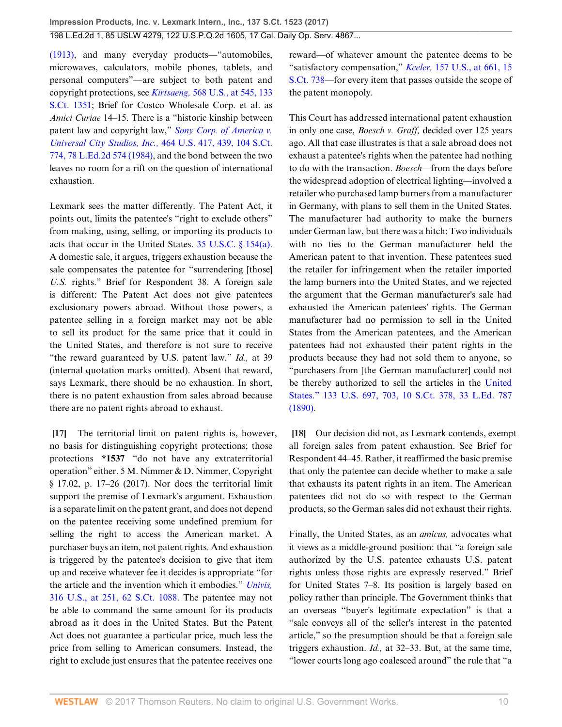[\(1913\),](http://www.westlaw.com/Link/Document/FullText?findType=Y&serNum=1913100549&pubNum=0000708&originatingDoc=I35b269ee450411e7b73588f1a9cfce05&refType=RP&originationContext=document&vr=3.0&rs=cblt1.0&transitionType=DocumentItem&contextData=(sc.Default)) and many everyday products—"automobiles, microwaves, calculators, mobile phones, tablets, and personal computers"—are subject to both patent and copyright protections, see *Kirtsaeng,* [568 U.S., at 545, 133](http://www.westlaw.com/Link/Document/FullText?findType=Y&serNum=2030157847&pubNum=0000708&originatingDoc=I35b269ee450411e7b73588f1a9cfce05&refType=RP&originationContext=document&vr=3.0&rs=cblt1.0&transitionType=DocumentItem&contextData=(sc.Default)) [S.Ct. 1351;](http://www.westlaw.com/Link/Document/FullText?findType=Y&serNum=2030157847&pubNum=0000708&originatingDoc=I35b269ee450411e7b73588f1a9cfce05&refType=RP&originationContext=document&vr=3.0&rs=cblt1.0&transitionType=DocumentItem&contextData=(sc.Default)) Brief for Costco Wholesale Corp. et al. as *Amici Curiae* 14–15. There is a "historic kinship between patent law and copyright law," *[Sony Corp. of America v.](http://www.westlaw.com/Link/Document/FullText?findType=Y&serNum=1984103021&pubNum=0000708&originatingDoc=I35b269ee450411e7b73588f1a9cfce05&refType=RP&originationContext=document&vr=3.0&rs=cblt1.0&transitionType=DocumentItem&contextData=(sc.Default)) Universal City Studios, Inc.,* [464 U.S. 417, 439, 104 S.Ct.](http://www.westlaw.com/Link/Document/FullText?findType=Y&serNum=1984103021&pubNum=0000708&originatingDoc=I35b269ee450411e7b73588f1a9cfce05&refType=RP&originationContext=document&vr=3.0&rs=cblt1.0&transitionType=DocumentItem&contextData=(sc.Default)) [774, 78 L.Ed.2d 574 \(1984\)](http://www.westlaw.com/Link/Document/FullText?findType=Y&serNum=1984103021&pubNum=0000708&originatingDoc=I35b269ee450411e7b73588f1a9cfce05&refType=RP&originationContext=document&vr=3.0&rs=cblt1.0&transitionType=DocumentItem&contextData=(sc.Default)), and the bond between the two leaves no room for a rift on the question of international exhaustion.

Lexmark sees the matter differently. The Patent Act, it points out, limits the patentee's "right to exclude others" from making, using, selling, or importing its products to acts that occur in the United States. [35 U.S.C. § 154\(a\)](http://www.westlaw.com/Link/Document/FullText?findType=L&pubNum=1000546&cite=35USCAS154&originatingDoc=I35b269ee450411e7b73588f1a9cfce05&refType=RB&originationContext=document&vr=3.0&rs=cblt1.0&transitionType=DocumentItem&contextData=(sc.Default)#co_pp_8b3b0000958a4). A domestic sale, it argues, triggers exhaustion because the sale compensates the patentee for "surrendering [those] *U.S.* rights." Brief for Respondent 38. A foreign sale is different: The Patent Act does not give patentees exclusionary powers abroad. Without those powers, a patentee selling in a foreign market may not be able to sell its product for the same price that it could in the United States, and therefore is not sure to receive "the reward guaranteed by U.S. patent law." *Id.,* at 39 (internal quotation marks omitted). Absent that reward, says Lexmark, there should be no exhaustion. In short, there is no patent exhaustion from sales abroad because there are no patent rights abroad to exhaust.

**[17]** The territorial limit on patent rights is, however, no basis for distinguishing copyright protections; those protections **\*1537** "do not have any extraterritorial operation" either. 5 M. Nimmer & D. Nimmer, Copyright § 17.02, p. 17–26 (2017). Nor does the territorial limit support the premise of Lexmark's argument. Exhaustion is a separate limit on the patent grant, and does not depend on the patentee receiving some undefined premium for selling the right to access the American market. A purchaser buys an item, not patent rights. And exhaustion is triggered by the patentee's decision to give that item up and receive whatever fee it decides is appropriate "for the article and the invention which it embodies." *[Univis,](http://www.westlaw.com/Link/Document/FullText?findType=Y&serNum=1942121585&pubNum=0000708&originatingDoc=I35b269ee450411e7b73588f1a9cfce05&refType=RP&originationContext=document&vr=3.0&rs=cblt1.0&transitionType=DocumentItem&contextData=(sc.Default))* [316 U.S., at 251, 62 S.Ct. 1088.](http://www.westlaw.com/Link/Document/FullText?findType=Y&serNum=1942121585&pubNum=0000708&originatingDoc=I35b269ee450411e7b73588f1a9cfce05&refType=RP&originationContext=document&vr=3.0&rs=cblt1.0&transitionType=DocumentItem&contextData=(sc.Default)) The patentee may not be able to command the same amount for its products abroad as it does in the United States. But the Patent Act does not guarantee a particular price, much less the price from selling to American consumers. Instead, the right to exclude just ensures that the patentee receives one

reward—of whatever amount the patentee deems to be "satisfactory compensation," *Keeler,* [157 U.S., at 661, 15](http://www.westlaw.com/Link/Document/FullText?findType=Y&serNum=1895180024&pubNum=0000708&originatingDoc=I35b269ee450411e7b73588f1a9cfce05&refType=RP&originationContext=document&vr=3.0&rs=cblt1.0&transitionType=DocumentItem&contextData=(sc.Default)) [S.Ct. 738—](http://www.westlaw.com/Link/Document/FullText?findType=Y&serNum=1895180024&pubNum=0000708&originatingDoc=I35b269ee450411e7b73588f1a9cfce05&refType=RP&originationContext=document&vr=3.0&rs=cblt1.0&transitionType=DocumentItem&contextData=(sc.Default))for every item that passes outside the scope of the patent monopoly.

This Court has addressed international patent exhaustion in only one case, *Boesch v. Graff,* decided over 125 years ago. All that case illustrates is that a sale abroad does not exhaust a patentee's rights when the patentee had nothing to do with the transaction. *Boesch*—from the days before the widespread adoption of electrical lighting—involved a retailer who purchased lamp burners from a manufacturer in Germany, with plans to sell them in the United States. The manufacturer had authority to make the burners under German law, but there was a hitch: Two individuals with no ties to the German manufacturer held the American patent to that invention. These patentees sued the retailer for infringement when the retailer imported the lamp burners into the United States, and we rejected the argument that the German manufacturer's sale had exhausted the American patentees' rights. The German manufacturer had no permission to sell in the United States from the American patentees, and the American patentees had not exhausted their patent rights in the products because they had not sold them to anyone, so "purchasers from [the German manufacturer] could not be thereby authorized to sell the articles in the [United](http://www.westlaw.com/Link/Document/FullText?findType=Y&serNum=1890180168&pubNum=0000708&originatingDoc=I35b269ee450411e7b73588f1a9cfce05&refType=RP&originationContext=document&vr=3.0&rs=cblt1.0&transitionType=DocumentItem&contextData=(sc.Default)) [States." 133 U.S. 697, 703, 10 S.Ct. 378, 33 L.Ed. 787](http://www.westlaw.com/Link/Document/FullText?findType=Y&serNum=1890180168&pubNum=0000708&originatingDoc=I35b269ee450411e7b73588f1a9cfce05&refType=RP&originationContext=document&vr=3.0&rs=cblt1.0&transitionType=DocumentItem&contextData=(sc.Default)) [\(1890\).](http://www.westlaw.com/Link/Document/FullText?findType=Y&serNum=1890180168&pubNum=0000708&originatingDoc=I35b269ee450411e7b73588f1a9cfce05&refType=RP&originationContext=document&vr=3.0&rs=cblt1.0&transitionType=DocumentItem&contextData=(sc.Default))

**[18]** Our decision did not, as Lexmark contends, exempt all foreign sales from patent exhaustion. See Brief for Respondent 44–45. Rather, it reaffirmed the basic premise that only the patentee can decide whether to make a sale that exhausts its patent rights in an item. The American patentees did not do so with respect to the German products, so the German sales did not exhaust their rights.

Finally, the United States, as an *amicus,* advocates what it views as a middle-ground position: that "a foreign sale authorized by the U.S. patentee exhausts U.S. patent rights unless those rights are expressly reserved." Brief for United States 7–8. Its position is largely based on policy rather than principle. The Government thinks that an overseas "buyer's legitimate expectation" is that a "sale conveys all of the seller's interest in the patented article," so the presumption should be that a foreign sale triggers exhaustion. *Id.,* at 32–33. But, at the same time, "lower courts long ago coalesced around" the rule that "a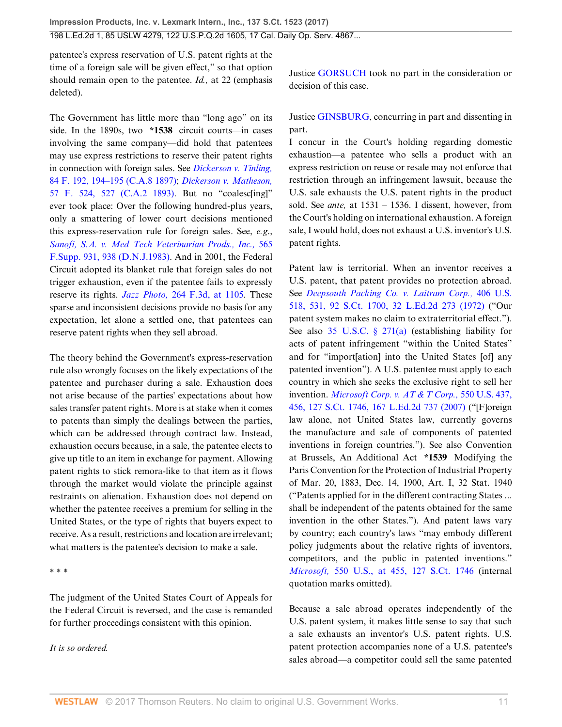patentee's express reservation of U.S. patent rights at the time of a foreign sale will be given effect," so that option should remain open to the patentee. *Id.,* at 22 (emphasis deleted).

The Government has little more than "long ago" on its side. In the 1890s, two **\*1538** circuit courts—in cases involving the same company—did hold that patentees may use express restrictions to reserve their patent rights in connection with foreign sales. See *[Dickerson v. Tinling,](http://www.westlaw.com/Link/Document/FullText?findType=Y&serNum=1898187568&pubNum=0000348&originatingDoc=I35b269ee450411e7b73588f1a9cfce05&refType=RP&fi=co_pp_sp_348_194&originationContext=document&vr=3.0&rs=cblt1.0&transitionType=DocumentItem&contextData=(sc.Default)#co_pp_sp_348_194)* [84 F. 192, 194–195 \(C.A.8 1897\)](http://www.westlaw.com/Link/Document/FullText?findType=Y&serNum=1898187568&pubNum=0000348&originatingDoc=I35b269ee450411e7b73588f1a9cfce05&refType=RP&fi=co_pp_sp_348_194&originationContext=document&vr=3.0&rs=cblt1.0&transitionType=DocumentItem&contextData=(sc.Default)#co_pp_sp_348_194); *[Dickerson v. Matheson,](http://www.westlaw.com/Link/Document/FullText?findType=Y&serNum=1893189216&pubNum=0000348&originatingDoc=I35b269ee450411e7b73588f1a9cfce05&refType=RP&fi=co_pp_sp_348_527&originationContext=document&vr=3.0&rs=cblt1.0&transitionType=DocumentItem&contextData=(sc.Default)#co_pp_sp_348_527)* [57 F. 524, 527 \(C.A.2 1893\).](http://www.westlaw.com/Link/Document/FullText?findType=Y&serNum=1893189216&pubNum=0000348&originatingDoc=I35b269ee450411e7b73588f1a9cfce05&refType=RP&fi=co_pp_sp_348_527&originationContext=document&vr=3.0&rs=cblt1.0&transitionType=DocumentItem&contextData=(sc.Default)#co_pp_sp_348_527) But no "coalesc[ing]" ever took place: Over the following hundred-plus years, only a smattering of lower court decisions mentioned this express-reservation rule for foreign sales. See, *e.g*., *[Sanofi, S.A. v. Med–Tech Veterinarian Prods., Inc.,](http://www.westlaw.com/Link/Document/FullText?findType=Y&serNum=1983128536&pubNum=0000345&originatingDoc=I35b269ee450411e7b73588f1a9cfce05&refType=RP&fi=co_pp_sp_345_938&originationContext=document&vr=3.0&rs=cblt1.0&transitionType=DocumentItem&contextData=(sc.Default)#co_pp_sp_345_938)* 565 [F.Supp. 931, 938 \(D.N.J.1983\).](http://www.westlaw.com/Link/Document/FullText?findType=Y&serNum=1983128536&pubNum=0000345&originatingDoc=I35b269ee450411e7b73588f1a9cfce05&refType=RP&fi=co_pp_sp_345_938&originationContext=document&vr=3.0&rs=cblt1.0&transitionType=DocumentItem&contextData=(sc.Default)#co_pp_sp_345_938) And in 2001, the Federal Circuit adopted its blanket rule that foreign sales do not trigger exhaustion, even if the patentee fails to expressly reserve its rights. *Jazz Photo,* [264 F.3d, at 1105](http://www.westlaw.com/Link/Document/FullText?findType=Y&serNum=2001716493&pubNum=0000506&originatingDoc=I35b269ee450411e7b73588f1a9cfce05&refType=RP&fi=co_pp_sp_506_1105&originationContext=document&vr=3.0&rs=cblt1.0&transitionType=DocumentItem&contextData=(sc.Default)#co_pp_sp_506_1105). These sparse and inconsistent decisions provide no basis for any expectation, let alone a settled one, that patentees can reserve patent rights when they sell abroad.

The theory behind the Government's express-reservation rule also wrongly focuses on the likely expectations of the patentee and purchaser during a sale. Exhaustion does not arise because of the parties' expectations about how sales transfer patent rights. More is at stake when it comes to patents than simply the dealings between the parties, which can be addressed through contract law. Instead, exhaustion occurs because, in a sale, the patentee elects to give up title to an item in exchange for payment. Allowing patent rights to stick remora-like to that item as it flows through the market would violate the principle against restraints on alienation. Exhaustion does not depend on whether the patentee receives a premium for selling in the United States, or the type of rights that buyers expect to receive. As a result, restrictions and location are irrelevant; what matters is the patentee's decision to make a sale.

\* \* \*

The judgment of the United States Court of Appeals for the Federal Circuit is reversed, and the case is remanded for further proceedings consistent with this opinion.

*It is so ordered.*

Justice [GORSUCH](http://www.westlaw.com/Link/Document/FullText?findType=h&pubNum=176284&cite=0183411701&originatingDoc=I35b269ee450411e7b73588f1a9cfce05&refType=RQ&originationContext=document&vr=3.0&rs=cblt1.0&transitionType=DocumentItem&contextData=(sc.Default)) took no part in the consideration or decision of this case.

Justice [GINSBURG,](http://www.westlaw.com/Link/Document/FullText?findType=h&pubNum=176284&cite=0224420501&originatingDoc=I35b269ee450411e7b73588f1a9cfce05&refType=RQ&originationContext=document&vr=3.0&rs=cblt1.0&transitionType=DocumentItem&contextData=(sc.Default)) concurring in part and dissenting in part.

I concur in the Court's holding regarding domestic exhaustion—a patentee who sells a product with an express restriction on reuse or resale may not enforce that restriction through an infringement lawsuit, because the U.S. sale exhausts the U.S. patent rights in the product sold. See *ante,* at 1531 – 1536. I dissent, however, from the Court's holding on international exhaustion. A foreign sale, I would hold, does not exhaust a U.S. inventor's U.S. patent rights.

Patent law is territorial. When an inventor receives a U.S. patent, that patent provides no protection abroad. See *[Deepsouth Packing Co. v. Laitram Corp.,](http://www.westlaw.com/Link/Document/FullText?findType=Y&serNum=1972127128&pubNum=0000708&originatingDoc=I35b269ee450411e7b73588f1a9cfce05&refType=RP&originationContext=document&vr=3.0&rs=cblt1.0&transitionType=DocumentItem&contextData=(sc.Default))* 406 U.S. [518, 531, 92 S.Ct. 1700, 32 L.Ed.2d 273 \(1972\)](http://www.westlaw.com/Link/Document/FullText?findType=Y&serNum=1972127128&pubNum=0000708&originatingDoc=I35b269ee450411e7b73588f1a9cfce05&refType=RP&originationContext=document&vr=3.0&rs=cblt1.0&transitionType=DocumentItem&contextData=(sc.Default)) ("Our patent system makes no claim to extraterritorial effect."). See also [35 U.S.C. § 271\(a\)](http://www.westlaw.com/Link/Document/FullText?findType=L&pubNum=1000546&cite=35USCAS271&originatingDoc=I35b269ee450411e7b73588f1a9cfce05&refType=RB&originationContext=document&vr=3.0&rs=cblt1.0&transitionType=DocumentItem&contextData=(sc.Default)#co_pp_8b3b0000958a4) (establishing liability for acts of patent infringement "within the United States" and for "import[ation] into the United States [of] any patented invention"). A U.S. patentee must apply to each country in which she seeks the exclusive right to sell her invention. *[Microsoft Corp. v. AT & T Corp.,](http://www.westlaw.com/Link/Document/FullText?findType=Y&serNum=2012126123&pubNum=0000708&originatingDoc=I35b269ee450411e7b73588f1a9cfce05&refType=RP&originationContext=document&vr=3.0&rs=cblt1.0&transitionType=DocumentItem&contextData=(sc.Default))* 550 U.S. 437, [456, 127 S.Ct. 1746, 167 L.Ed.2d 737 \(2007\)](http://www.westlaw.com/Link/Document/FullText?findType=Y&serNum=2012126123&pubNum=0000708&originatingDoc=I35b269ee450411e7b73588f1a9cfce05&refType=RP&originationContext=document&vr=3.0&rs=cblt1.0&transitionType=DocumentItem&contextData=(sc.Default)) ("[F]oreign law alone, not United States law, currently governs the manufacture and sale of components of patented inventions in foreign countries."). See also Convention at Brussels, An Additional Act **\*1539** Modifying the Paris Convention for the Protection of Industrial Property of Mar. 20, 1883, Dec. 14, 1900, Art. I, 32 Stat. 1940 ("Patents applied for in the different contracting States ... shall be independent of the patents obtained for the same invention in the other States."). And patent laws vary by country; each country's laws "may embody different policy judgments about the relative rights of inventors, competitors, and the public in patented inventions." *Microsoft,* [550 U.S., at 455, 127 S.Ct. 1746](http://www.westlaw.com/Link/Document/FullText?findType=Y&serNum=2012126123&pubNum=0000708&originatingDoc=I35b269ee450411e7b73588f1a9cfce05&refType=RP&originationContext=document&vr=3.0&rs=cblt1.0&transitionType=DocumentItem&contextData=(sc.Default)) (internal quotation marks omitted).

Because a sale abroad operates independently of the U.S. patent system, it makes little sense to say that such a sale exhausts an inventor's U.S. patent rights. U.S. patent protection accompanies none of a U.S. patentee's sales abroad—a competitor could sell the same patented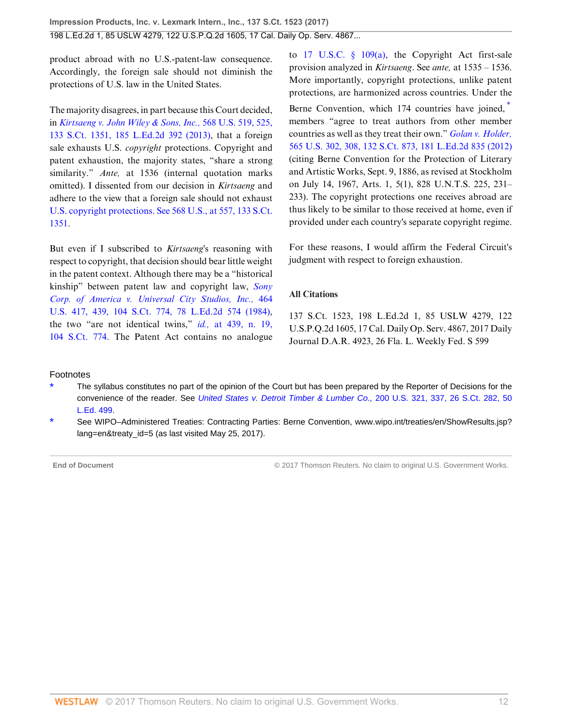product abroad with no U.S.-patent-law consequence. Accordingly, the foreign sale should not diminish the protections of U.S. law in the United States.

The majority disagrees, in part because this Court decided, in *[Kirtsaeng v. John Wiley & Sons, Inc.,](http://www.westlaw.com/Link/Document/FullText?findType=Y&serNum=2030157847&pubNum=0000708&originatingDoc=I35b269ee450411e7b73588f1a9cfce05&refType=RP&originationContext=document&vr=3.0&rs=cblt1.0&transitionType=DocumentItem&contextData=(sc.Default))* 568 U.S. 519, 525, [133 S.Ct. 1351, 185 L.Ed.2d 392 \(2013\)](http://www.westlaw.com/Link/Document/FullText?findType=Y&serNum=2030157847&pubNum=0000708&originatingDoc=I35b269ee450411e7b73588f1a9cfce05&refType=RP&originationContext=document&vr=3.0&rs=cblt1.0&transitionType=DocumentItem&contextData=(sc.Default)), that a foreign sale exhausts U.S. *copyright* protections. Copyright and patent exhaustion, the majority states, "share a strong similarity." *Ante,* at 1536 (internal quotation marks omitted). I dissented from our decision in *Kirtsaeng* and adhere to the view that a foreign sale should not exhaust [U.S. copyright protections. See 568 U.S., at 557, 133 S.Ct.](http://www.westlaw.com/Link/Document/FullText?findType=Y&serNum=2030157847&pubNum=0000708&originatingDoc=I35b269ee450411e7b73588f1a9cfce05&refType=RP&originationContext=document&vr=3.0&rs=cblt1.0&transitionType=DocumentItem&contextData=(sc.Default)) [1351](http://www.westlaw.com/Link/Document/FullText?findType=Y&serNum=2030157847&pubNum=0000708&originatingDoc=I35b269ee450411e7b73588f1a9cfce05&refType=RP&originationContext=document&vr=3.0&rs=cblt1.0&transitionType=DocumentItem&contextData=(sc.Default)).

But even if I subscribed to *Kirtsaeng*'s reasoning with respect to copyright, that decision should bear little weight in the patent context. Although there may be a "historical kinship" between patent law and copyright law, *[Sony](http://www.westlaw.com/Link/Document/FullText?findType=Y&serNum=1984103021&pubNum=0000708&originatingDoc=I35b269ee450411e7b73588f1a9cfce05&refType=RP&originationContext=document&vr=3.0&rs=cblt1.0&transitionType=DocumentItem&contextData=(sc.Default)) [Corp. of America v. Universal City Studios, Inc.,](http://www.westlaw.com/Link/Document/FullText?findType=Y&serNum=1984103021&pubNum=0000708&originatingDoc=I35b269ee450411e7b73588f1a9cfce05&refType=RP&originationContext=document&vr=3.0&rs=cblt1.0&transitionType=DocumentItem&contextData=(sc.Default))* 464 [U.S. 417, 439, 104 S.Ct. 774, 78 L.Ed.2d 574 \(1984\)](http://www.westlaw.com/Link/Document/FullText?findType=Y&serNum=1984103021&pubNum=0000708&originatingDoc=I35b269ee450411e7b73588f1a9cfce05&refType=RP&originationContext=document&vr=3.0&rs=cblt1.0&transitionType=DocumentItem&contextData=(sc.Default)), the two "are not identical twins," *id.,* [at 439, n. 19,](http://www.westlaw.com/Link/Document/FullText?findType=Y&serNum=1984103021&pubNum=0000708&originatingDoc=I35b269ee450411e7b73588f1a9cfce05&refType=RP&originationContext=document&vr=3.0&rs=cblt1.0&transitionType=DocumentItem&contextData=(sc.Default)) [104 S.Ct. 774](http://www.westlaw.com/Link/Document/FullText?findType=Y&serNum=1984103021&pubNum=0000708&originatingDoc=I35b269ee450411e7b73588f1a9cfce05&refType=RP&originationContext=document&vr=3.0&rs=cblt1.0&transitionType=DocumentItem&contextData=(sc.Default)). The Patent Act contains no analogue

to  $17$  U.S.C. §  $109(a)$ , the Copyright Act first-sale provision analyzed in *Kirtsaeng*. See *ante,* at 1535 – 1536. More importantly, copyright protections, unlike patent protections, are harmonized across countries. Under the

<span id="page-14-2"></span>Berne Convention, which 174 countries have joined,[\\*](#page-14-1) members "agree to treat authors from other member countries as well as they treat their own." *[Golan v. Holder,](http://www.westlaw.com/Link/Document/FullText?findType=Y&serNum=2026877422&pubNum=0000708&originatingDoc=I35b269ee450411e7b73588f1a9cfce05&refType=RP&originationContext=document&vr=3.0&rs=cblt1.0&transitionType=DocumentItem&contextData=(sc.Default))* [565 U.S. 302, 308, 132 S.Ct. 873, 181 L.Ed.2d 835 \(2012\)](http://www.westlaw.com/Link/Document/FullText?findType=Y&serNum=2026877422&pubNum=0000708&originatingDoc=I35b269ee450411e7b73588f1a9cfce05&refType=RP&originationContext=document&vr=3.0&rs=cblt1.0&transitionType=DocumentItem&contextData=(sc.Default)) (citing Berne Convention for the Protection of Literary and Artistic Works, Sept. 9, 1886, as revised at Stockholm on July 14, 1967, Arts. 1, 5(1), 828 U.N.T.S. 225, 231– 233). The copyright protections one receives abroad are thus likely to be similar to those received at home, even if provided under each country's separate copyright regime.

For these reasons, I would affirm the Federal Circuit's judgment with respect to foreign exhaustion.

#### **All Citations**

137 S.Ct. 1523, 198 L.Ed.2d 1, 85 USLW 4279, 122 U.S.P.Q.2d 1605, 17 Cal. Daily Op. Serv. 4867, 2017 Daily Journal D.A.R. 4923, 26 Fla. L. Weekly Fed. S 599

# Footnotes

- <span id="page-14-0"></span>The syllabus constitutes no part of the opinion of the Court but has been prepared by the Reporter of Decisions for the convenience of the reader. See [United States v. Detroit Timber & Lumber Co.,](http://www.westlaw.com/Link/Document/FullText?findType=Y&serNum=1906101604&pubNum=0000708&originatingDoc=I35b269ee450411e7b73588f1a9cfce05&refType=RP&originationContext=document&vr=3.0&rs=cblt1.0&transitionType=DocumentItem&contextData=(sc.Default)) 200 U.S. 321, 337, 26 S.Ct. 282, 50 [L.Ed. 499.](http://www.westlaw.com/Link/Document/FullText?findType=Y&serNum=1906101604&pubNum=0000708&originatingDoc=I35b269ee450411e7b73588f1a9cfce05&refType=RP&originationContext=document&vr=3.0&rs=cblt1.0&transitionType=DocumentItem&contextData=(sc.Default))
- <span id="page-14-1"></span>See WIPO–Administered Treaties: Contracting Parties: Berne Convention, www.wipo.int/treaties/en/ShowResults.jsp? lang=en&treaty\_id=5 (as last visited May 25, 2017).

**End of Document** © 2017 Thomson Reuters. No claim to original U.S. Government Works.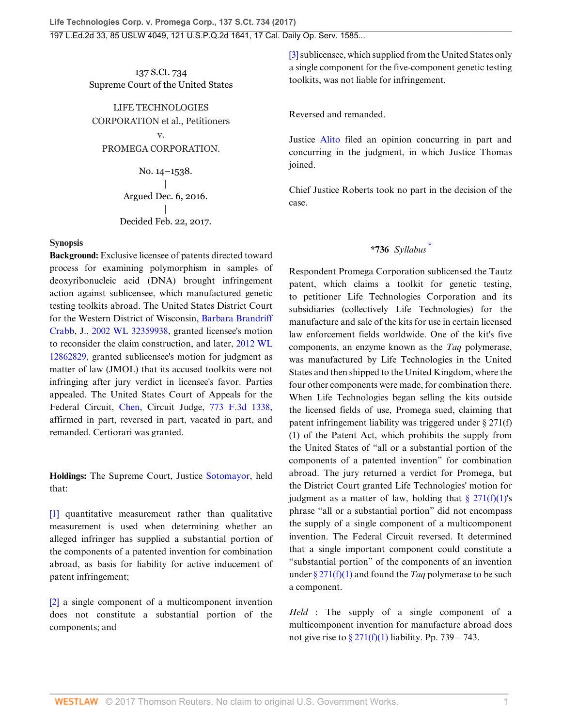137 S.Ct. 734 Supreme Court of the United States

LIFE TECHNOLOGIES CORPORATION et al., Petitioners v. PROMEGA CORPORATION.

> No. 14–1538. | Argued Dec. 6, 2016. | Decided Feb. 22, 2017.

#### **Synopsis**

**Background:** Exclusive licensee of patents directed toward process for examining polymorphism in samples of deoxyribonucleic acid (DNA) brought infringement action against sublicensee, which manufactured genetic testing toolkits abroad. The United States District Court for the Western District of Wisconsin, [Barbara Brandriff](http://www.westlaw.com/Link/Document/FullText?findType=h&pubNum=176284&cite=0218243801&originatingDoc=I912d5103f8df11e6bfb79a463a4b3bc7&refType=RQ&originationContext=document&vr=3.0&rs=cblt1.0&transitionType=DocumentItem&contextData=(sc.Default)) [Crabb](http://www.westlaw.com/Link/Document/FullText?findType=h&pubNum=176284&cite=0218243801&originatingDoc=I912d5103f8df11e6bfb79a463a4b3bc7&refType=RQ&originationContext=document&vr=3.0&rs=cblt1.0&transitionType=DocumentItem&contextData=(sc.Default)), J., [2002 WL 32359938](http://www.westlaw.com/Link/Document/FullText?findType=Y&serNum=2004135428&pubNum=0000999&originatingDoc=I912d5103f8df11e6bfb79a463a4b3bc7&refType=RP&originationContext=document&vr=3.0&rs=cblt1.0&transitionType=DocumentItem&contextData=(sc.Default)), granted licensee's motion to reconsider the claim construction, and later, [2012 WL](http://www.westlaw.com/Link/Document/FullText?findType=Y&serNum=2039598754&pubNum=0000999&originatingDoc=I912d5103f8df11e6bfb79a463a4b3bc7&refType=RP&originationContext=document&vr=3.0&rs=cblt1.0&transitionType=DocumentItem&contextData=(sc.Default)) [12862829](http://www.westlaw.com/Link/Document/FullText?findType=Y&serNum=2039598754&pubNum=0000999&originatingDoc=I912d5103f8df11e6bfb79a463a4b3bc7&refType=RP&originationContext=document&vr=3.0&rs=cblt1.0&transitionType=DocumentItem&contextData=(sc.Default)), granted sublicensee's motion for judgment as matter of law (JMOL) that its accused toolkits were not infringing after jury verdict in licensee's favor. Parties appealed. The United States Court of Appeals for the Federal Circuit, [Chen](http://www.westlaw.com/Link/Document/FullText?findType=h&pubNum=176284&cite=0479122301&originatingDoc=I912d5103f8df11e6bfb79a463a4b3bc7&refType=RQ&originationContext=document&vr=3.0&rs=cblt1.0&transitionType=DocumentItem&contextData=(sc.Default)), Circuit Judge, [773 F.3d 1338](http://www.westlaw.com/Link/Document/FullText?findType=Y&serNum=2034981683&pubNum=0000506&originatingDoc=I912d5103f8df11e6bfb79a463a4b3bc7&refType=RP&originationContext=document&vr=3.0&rs=cblt1.0&transitionType=DocumentItem&contextData=(sc.Default)), affirmed in part, reversed in part, vacated in part, and remanded. Certiorari was granted.

**Holdings:** The Supreme Court, Justice [Sotomayor](http://www.westlaw.com/Link/Document/FullText?findType=h&pubNum=176284&cite=0145172701&originatingDoc=I912d5103f8df11e6bfb79a463a4b3bc7&refType=RQ&originationContext=document&vr=3.0&rs=cblt1.0&transitionType=DocumentItem&contextData=(sc.Default)), held that:

[1] quantitative measurement rather than qualitative measurement is used when determining whether an alleged infringer has supplied a substantial portion of the components of a patented invention for combination abroad, as basis for liability for active inducement of patent infringement;

[2] a single component of a multicomponent invention does not constitute a substantial portion of the components; and

[3] sublicensee, which supplied from the United States only a single component for the five-component genetic testing toolkits, was not liable for infringement.

Reversed and remanded.

Justice [Alito](http://www.westlaw.com/Link/Document/FullText?findType=h&pubNum=176284&cite=0153052401&originatingDoc=I912d5103f8df11e6bfb79a463a4b3bc7&refType=RQ&originationContext=document&vr=3.0&rs=cblt1.0&transitionType=DocumentItem&contextData=(sc.Default)) filed an opinion concurring in part and concurring in the judgment, in which Justice Thomas joined.

Chief Justice Roberts took no part in the decision of the case.

# <span id="page-15-0"></span>**\*736** *Syllabus [\\*](#page-21-0)*

Respondent Promega Corporation sublicensed the Tautz patent, which claims a toolkit for genetic testing, to petitioner Life Technologies Corporation and its subsidiaries (collectively Life Technologies) for the manufacture and sale of the kits for use in certain licensed law enforcement fields worldwide. One of the kit's five components, an enzyme known as the *Taq* polymerase, was manufactured by Life Technologies in the United States and then shipped to the United Kingdom, where the four other components were made, for combination there. When Life Technologies began selling the kits outside the licensed fields of use, Promega sued, claiming that patent infringement liability was triggered under § 271(f) (1) of the Patent Act, which prohibits the supply from the United States of "all or a substantial portion of the components of a patented invention" for combination abroad. The jury returned a verdict for Promega, but the District Court granted Life Technologies' motion for judgment as a matter of law, holding that  $\S 271(f)(1)$ 's phrase "all or a substantial portion" did not encompass the supply of a single component of a multicomponent invention. The Federal Circuit reversed. It determined that a single important component could constitute a "substantial portion" of the components of an invention under [§ 271\(f\)\(1\)](http://www.westlaw.com/Link/Document/FullText?findType=L&pubNum=1000546&cite=35USCAS271&originatingDoc=I912d5103f8df11e6bfb79a463a4b3bc7&refType=RB&originationContext=document&vr=3.0&rs=cblt1.0&transitionType=DocumentItem&contextData=(sc.Default)#co_pp_9daf00009de57) and found the *Taq* polymerase to be such a component.

*Held* : The supply of a single component of a multicomponent invention for manufacture abroad does not give rise to  $\S 271(f)(1)$  liability. Pp. 739 – 743.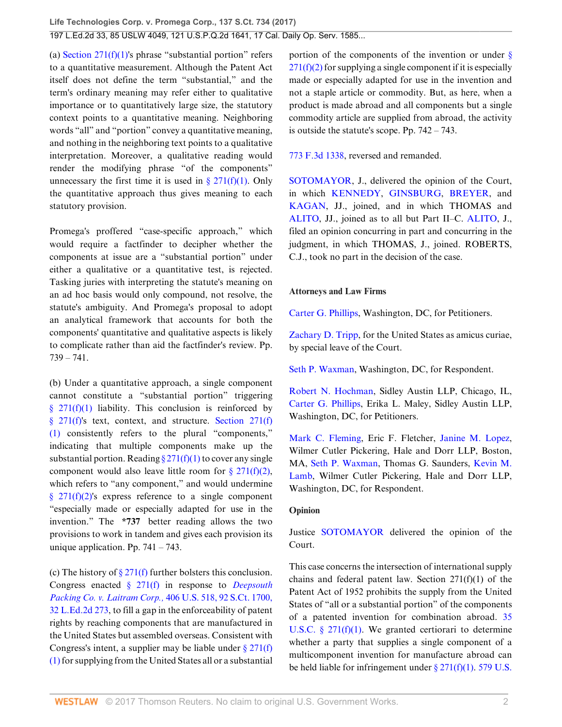(a) Section  $271(f)(1)$ 's phrase "substantial portion" refers to a quantitative measurement. Although the Patent Act itself does not define the term "substantial," and the term's ordinary meaning may refer either to qualitative importance or to quantitatively large size, the statutory context points to a quantitative meaning. Neighboring words "all" and "portion" convey a quantitative meaning, and nothing in the neighboring text points to a qualitative interpretation. Moreover, a qualitative reading would render the modifying phrase "of the components" unnecessary the first time it is used in  $\S 271(f)(1)$ . Only the quantitative approach thus gives meaning to each statutory provision.

Promega's proffered "case-specific approach," which would require a factfinder to decipher whether the components at issue are a "substantial portion" under either a qualitative or a quantitative test, is rejected. Tasking juries with interpreting the statute's meaning on an ad hoc basis would only compound, not resolve, the statute's ambiguity. And Promega's proposal to adopt an analytical framework that accounts for both the components' quantitative and qualitative aspects is likely to complicate rather than aid the factfinder's review. Pp. 739 – 741.

(b) Under a quantitative approach, a single component cannot constitute a "substantial portion" triggering §  $271(f)(1)$  liability. This conclusion is reinforced by [§ 271\(f\)](http://www.westlaw.com/Link/Document/FullText?findType=L&pubNum=1000546&cite=35USCAS271&originatingDoc=I912d5103f8df11e6bfb79a463a4b3bc7&refType=RB&originationContext=document&vr=3.0&rs=cblt1.0&transitionType=DocumentItem&contextData=(sc.Default)#co_pp_ae0d0000c5150)'s text, context, and structure. [Section 271\(f\)](http://www.westlaw.com/Link/Document/FullText?findType=L&pubNum=1000546&cite=35USCAS271&originatingDoc=I912d5103f8df11e6bfb79a463a4b3bc7&refType=RB&originationContext=document&vr=3.0&rs=cblt1.0&transitionType=DocumentItem&contextData=(sc.Default)#co_pp_9daf00009de57) [\(1\)](http://www.westlaw.com/Link/Document/FullText?findType=L&pubNum=1000546&cite=35USCAS271&originatingDoc=I912d5103f8df11e6bfb79a463a4b3bc7&refType=RB&originationContext=document&vr=3.0&rs=cblt1.0&transitionType=DocumentItem&contextData=(sc.Default)#co_pp_9daf00009de57) consistently refers to the plural "components," indicating that multiple components make up the substantial portion. Reading  $\S 271(f)(1)$  to cover any single component would also leave little room for  $\S 271(f)(2)$ , which refers to "any component," and would undermine  $\frac{8}{9}$  271(f)(2)'s express reference to a single component "especially made or especially adapted for use in the invention." The **\*737** better reading allows the two provisions to work in tandem and gives each provision its unique application. Pp.  $741 - 743$ .

(c) The history of  $\S 271(f)$  further bolsters this conclusion. Congress enacted [§ 271\(f\)](http://www.westlaw.com/Link/Document/FullText?findType=L&pubNum=1000546&cite=35USCAS271&originatingDoc=I912d5103f8df11e6bfb79a463a4b3bc7&refType=RB&originationContext=document&vr=3.0&rs=cblt1.0&transitionType=DocumentItem&contextData=(sc.Default)#co_pp_ae0d0000c5150) in response to *[Deepsouth](http://www.westlaw.com/Link/Document/FullText?findType=Y&serNum=1972127128&pubNum=0000708&originatingDoc=I912d5103f8df11e6bfb79a463a4b3bc7&refType=RP&originationContext=document&vr=3.0&rs=cblt1.0&transitionType=DocumentItem&contextData=(sc.Default)) [Packing Co. v. Laitram Corp.,](http://www.westlaw.com/Link/Document/FullText?findType=Y&serNum=1972127128&pubNum=0000708&originatingDoc=I912d5103f8df11e6bfb79a463a4b3bc7&refType=RP&originationContext=document&vr=3.0&rs=cblt1.0&transitionType=DocumentItem&contextData=(sc.Default))* 406 U.S. 518, 92 S.Ct. 1700, [32 L.Ed.2d 273](http://www.westlaw.com/Link/Document/FullText?findType=Y&serNum=1972127128&pubNum=0000708&originatingDoc=I912d5103f8df11e6bfb79a463a4b3bc7&refType=RP&originationContext=document&vr=3.0&rs=cblt1.0&transitionType=DocumentItem&contextData=(sc.Default)), to fill a gap in the enforceability of patent rights by reaching components that are manufactured in the United States but assembled overseas. Consistent with Congress's intent, a supplier may be liable under  $\S 271(f)$ [\(1\)](http://www.westlaw.com/Link/Document/FullText?findType=L&pubNum=1000546&cite=35USCAS271&originatingDoc=I912d5103f8df11e6bfb79a463a4b3bc7&refType=RB&originationContext=document&vr=3.0&rs=cblt1.0&transitionType=DocumentItem&contextData=(sc.Default)#co_pp_9daf00009de57) for supplying from the United States all or a substantial

portion of the components of the invention or under [§](http://www.westlaw.com/Link/Document/FullText?findType=L&pubNum=1000546&cite=35USCAS271&originatingDoc=I912d5103f8df11e6bfb79a463a4b3bc7&refType=RB&originationContext=document&vr=3.0&rs=cblt1.0&transitionType=DocumentItem&contextData=(sc.Default)#co_pp_ac4e0000281c0)  $271(f)(2)$  for supplying a single component if it is especially made or especially adapted for use in the invention and not a staple article or commodity. But, as here, when a product is made abroad and all components but a single commodity article are supplied from abroad, the activity is outside the statute's scope. Pp. 742 – 743.

#### [773 F.3d 1338,](http://www.westlaw.com/Link/Document/FullText?findType=Y&serNum=2034981683&pubNum=0000506&originatingDoc=I912d5103f8df11e6bfb79a463a4b3bc7&refType=RP&originationContext=document&vr=3.0&rs=cblt1.0&transitionType=DocumentItem&contextData=(sc.Default)) reversed and remanded.

[SOTOMAYOR](http://www.westlaw.com/Link/Document/FullText?findType=h&pubNum=176284&cite=0145172701&originatingDoc=I912d5103f8df11e6bfb79a463a4b3bc7&refType=RQ&originationContext=document&vr=3.0&rs=cblt1.0&transitionType=DocumentItem&contextData=(sc.Default)), J., delivered the opinion of the Court, in which [KENNEDY](http://www.westlaw.com/Link/Document/FullText?findType=h&pubNum=176284&cite=0243105201&originatingDoc=I912d5103f8df11e6bfb79a463a4b3bc7&refType=RQ&originationContext=document&vr=3.0&rs=cblt1.0&transitionType=DocumentItem&contextData=(sc.Default)), [GINSBURG,](http://www.westlaw.com/Link/Document/FullText?findType=h&pubNum=176284&cite=0224420501&originatingDoc=I912d5103f8df11e6bfb79a463a4b3bc7&refType=RQ&originationContext=document&vr=3.0&rs=cblt1.0&transitionType=DocumentItem&contextData=(sc.Default)) [BREYER,](http://www.westlaw.com/Link/Document/FullText?findType=h&pubNum=176284&cite=0254766801&originatingDoc=I912d5103f8df11e6bfb79a463a4b3bc7&refType=RQ&originationContext=document&vr=3.0&rs=cblt1.0&transitionType=DocumentItem&contextData=(sc.Default)) and [KAGAN](http://www.westlaw.com/Link/Document/FullText?findType=h&pubNum=176284&cite=0301239401&originatingDoc=I912d5103f8df11e6bfb79a463a4b3bc7&refType=RQ&originationContext=document&vr=3.0&rs=cblt1.0&transitionType=DocumentItem&contextData=(sc.Default)), JJ., joined, and in which THOMAS and [ALITO,](http://www.westlaw.com/Link/Document/FullText?findType=h&pubNum=176284&cite=0153052401&originatingDoc=I912d5103f8df11e6bfb79a463a4b3bc7&refType=RQ&originationContext=document&vr=3.0&rs=cblt1.0&transitionType=DocumentItem&contextData=(sc.Default)) JJ., joined as to all but Part II–C. [ALITO,](http://www.westlaw.com/Link/Document/FullText?findType=h&pubNum=176284&cite=0153052401&originatingDoc=I912d5103f8df11e6bfb79a463a4b3bc7&refType=RQ&originationContext=document&vr=3.0&rs=cblt1.0&transitionType=DocumentItem&contextData=(sc.Default)) J., filed an opinion concurring in part and concurring in the judgment, in which THOMAS, J., joined. ROBERTS, C.J., took no part in the decision of the case.

# **Attorneys and Law Firms**

[Carter G. Phillips](http://www.westlaw.com/Link/Document/FullText?findType=h&pubNum=176284&cite=0128635201&originatingDoc=I912d5103f8df11e6bfb79a463a4b3bc7&refType=RQ&originationContext=document&vr=3.0&rs=cblt1.0&transitionType=DocumentItem&contextData=(sc.Default)), Washington, DC, for Petitioners.

[Zachary D. Tripp](http://www.westlaw.com/Link/Document/FullText?findType=h&pubNum=176284&cite=0421397601&originatingDoc=I912d5103f8df11e6bfb79a463a4b3bc7&refType=RQ&originationContext=document&vr=3.0&rs=cblt1.0&transitionType=DocumentItem&contextData=(sc.Default)), for the United States as amicus curiae, by special leave of the Court.

[Seth P. Waxman](http://www.westlaw.com/Link/Document/FullText?findType=h&pubNum=176284&cite=0106644001&originatingDoc=I912d5103f8df11e6bfb79a463a4b3bc7&refType=RQ&originationContext=document&vr=3.0&rs=cblt1.0&transitionType=DocumentItem&contextData=(sc.Default)), Washington, DC, for Respondent.

[Robert N. Hochman,](http://www.westlaw.com/Link/Document/FullText?findType=h&pubNum=176284&cite=0329041801&originatingDoc=I912d5103f8df11e6bfb79a463a4b3bc7&refType=RQ&originationContext=document&vr=3.0&rs=cblt1.0&transitionType=DocumentItem&contextData=(sc.Default)) Sidley Austin LLP, Chicago, IL, [Carter G. Phillips,](http://www.westlaw.com/Link/Document/FullText?findType=h&pubNum=176284&cite=0128635201&originatingDoc=I912d5103f8df11e6bfb79a463a4b3bc7&refType=RQ&originationContext=document&vr=3.0&rs=cblt1.0&transitionType=DocumentItem&contextData=(sc.Default)) Erika L. Maley, Sidley Austin LLP, Washington, DC, for Petitioners.

[Mark C. Fleming,](http://www.westlaw.com/Link/Document/FullText?findType=h&pubNum=176284&cite=0360227001&originatingDoc=I912d5103f8df11e6bfb79a463a4b3bc7&refType=RQ&originationContext=document&vr=3.0&rs=cblt1.0&transitionType=DocumentItem&contextData=(sc.Default)) Eric F. Fletcher, [Janine M. Lopez](http://www.westlaw.com/Link/Document/FullText?findType=h&pubNum=176284&cite=0498855399&originatingDoc=I912d5103f8df11e6bfb79a463a4b3bc7&refType=RQ&originationContext=document&vr=3.0&rs=cblt1.0&transitionType=DocumentItem&contextData=(sc.Default)), Wilmer Cutler Pickering, Hale and Dorr LLP, Boston, MA, [Seth P. Waxman,](http://www.westlaw.com/Link/Document/FullText?findType=h&pubNum=176284&cite=0106644001&originatingDoc=I912d5103f8df11e6bfb79a463a4b3bc7&refType=RQ&originationContext=document&vr=3.0&rs=cblt1.0&transitionType=DocumentItem&contextData=(sc.Default)) Thomas G. Saunders, [Kevin M.](http://www.westlaw.com/Link/Document/FullText?findType=h&pubNum=176284&cite=0498989799&originatingDoc=I912d5103f8df11e6bfb79a463a4b3bc7&refType=RQ&originationContext=document&vr=3.0&rs=cblt1.0&transitionType=DocumentItem&contextData=(sc.Default)) [Lamb](http://www.westlaw.com/Link/Document/FullText?findType=h&pubNum=176284&cite=0498989799&originatingDoc=I912d5103f8df11e6bfb79a463a4b3bc7&refType=RQ&originationContext=document&vr=3.0&rs=cblt1.0&transitionType=DocumentItem&contextData=(sc.Default)), Wilmer Cutler Pickering, Hale and Dorr LLP, Washington, DC, for Respondent.

# **Opinion**

Justice [SOTOMAYOR](http://www.westlaw.com/Link/Document/FullText?findType=h&pubNum=176284&cite=0145172701&originatingDoc=I912d5103f8df11e6bfb79a463a4b3bc7&refType=RQ&originationContext=document&vr=3.0&rs=cblt1.0&transitionType=DocumentItem&contextData=(sc.Default)) delivered the opinion of the Court.

This case concerns the intersection of international supply chains and federal patent law. Section 271(f)(1) of the Patent Act of 1952 prohibits the supply from the United States of "all or a substantial portion" of the components of a patented invention for combination abroad. [35](http://www.westlaw.com/Link/Document/FullText?findType=L&pubNum=1000546&cite=35USCAS271&originatingDoc=I912d5103f8df11e6bfb79a463a4b3bc7&refType=RB&originationContext=document&vr=3.0&rs=cblt1.0&transitionType=DocumentItem&contextData=(sc.Default)#co_pp_9daf00009de57) U.S.C.  $\S 271(f)(1)$ . We granted certiorari to determine whether a party that supplies a single component of a multicomponent invention for manufacture abroad can be held liable for infringement under  $\S 271(f)(1)$ . [579 U.S.](http://www.westlaw.com/Link/Document/FullText?findType=Y&serNum=2036566679&pubNum=0000708&originatingDoc=I912d5103f8df11e6bfb79a463a4b3bc7&refType=RP&originationContext=document&vr=3.0&rs=cblt1.0&transitionType=DocumentItem&contextData=(sc.Default))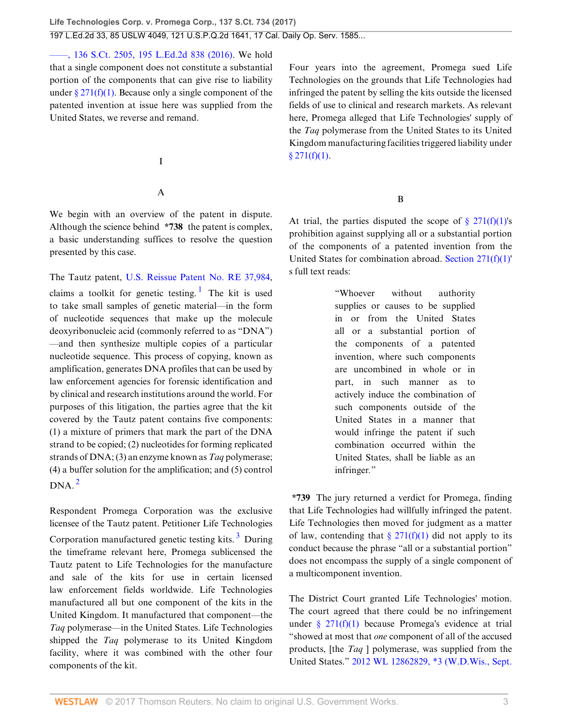[––––, 136 S.Ct. 2505, 195 L.Ed.2d 838 \(2016\)](http://www.westlaw.com/Link/Document/FullText?findType=Y&serNum=2036566679&pubNum=0000708&originatingDoc=I912d5103f8df11e6bfb79a463a4b3bc7&refType=RP&originationContext=document&vr=3.0&rs=cblt1.0&transitionType=DocumentItem&contextData=(sc.Default)). We hold that a single component does not constitute a substantial portion of the components that can give rise to liability under  $\S 271(f)(1)$ . Because only a single component of the patented invention at issue here was supplied from the United States, we reverse and remand.

I

# <span id="page-17-0"></span>A

We begin with an overview of the patent in dispute. Although the science behind **\*738** the patent is complex, a basic understanding suffices to resolve the question presented by this case.

The Tautz patent, [U.S. Reissue Patent No. RE 37,984](http://www.westlaw.com/Link/Document/FullText?findType=Y&serNum=2003150574&pubNum=0004073&originatingDoc=I912d5103f8df11e6bfb79a463a4b3bc7&refType=PA&docFamilyGuid=Ic7d98270742d11d797e5f7f2fcbea176&originationContext=document&vr=3.0&rs=cblt1.0&transitionType=DocumentItem&contextData=(sc.Default)), claims a toolkit for genetic testing.<sup>[1](#page-21-1)</sup> The kit is used to take small samples of genetic material—in the form of nucleotide sequences that make up the molecule deoxyribonucleic acid (commonly referred to as "DNA") —and then synthesize multiple copies of a particular nucleotide sequence. This process of copying, known as amplification, generates DNA profiles that can be used by law enforcement agencies for forensic identification and by clinical and research institutions around the world. For purposes of this litigation, the parties agree that the kit covered by the Tautz patent contains five components: (1) a mixture of primers that mark the part of the DNA strand to be copied; (2) nucleotides for forming replicated strands of DNA; (3) an enzyme known as *Taq* polymerase; (4) a buffer solution for the amplification; and (5) control  $DNA<sup>2</sup>$  $DNA<sup>2</sup>$  $DNA<sup>2</sup>$ 

<span id="page-17-1"></span>Respondent Promega Corporation was the exclusive licensee of the Tautz patent. Petitioner Life Technologies Corporation manufactured genetic testing kits.<sup>[3](#page-21-3)</sup> During the timeframe relevant here, Promega sublicensed the Tautz patent to Life Technologies for the manufacture and sale of the kits for use in certain licensed law enforcement fields worldwide. Life Technologies manufactured all but one component of the kits in the United Kingdom. It manufactured that component—the *Taq* polymerase—in the United States. Life Technologies shipped the *Taq* polymerase to its United Kingdom facility, where it was combined with the other four components of the kit.

Four years into the agreement, Promega sued Life Technologies on the grounds that Life Technologies had infringed the patent by selling the kits outside the licensed fields of use to clinical and research markets. As relevant here, Promega alleged that Life Technologies' supply of the *Taq* polymerase from the United States to its United Kingdom manufacturing facilities triggered liability under  $§$  271(f)(1).

B

At trial, the parties disputed the scope of  $\S 271(f)(1)'s$ prohibition against supplying all or a substantial portion of the components of a patented invention from the United States for combination abroad. [Section 271\(f\)\(1\)](http://www.westlaw.com/Link/Document/FullText?findType=L&pubNum=1000546&cite=35USCAS271&originatingDoc=I912d5103f8df11e6bfb79a463a4b3bc7&refType=RB&originationContext=document&vr=3.0&rs=cblt1.0&transitionType=DocumentItem&contextData=(sc.Default)#co_pp_9daf00009de57)' s full text reads:

> "Whoever without authority supplies or causes to be supplied in or from the United States all or a substantial portion of the components of a patented invention, where such components are uncombined in whole or in part, in such manner as to actively induce the combination of such components outside of the United States in a manner that would infringe the patent if such combination occurred within the United States, shall be liable as an infringer*.*"

<span id="page-17-2"></span>**\*739** The jury returned a verdict for Promega, finding that Life Technologies had willfully infringed the patent. Life Technologies then moved for judgment as a matter of law, contending that  $\S 271(f)(1)$  did not apply to its conduct because the phrase "all or a substantial portion" does not encompass the supply of a single component of a multicomponent invention.

The District Court granted Life Technologies' motion. The court agreed that there could be no infringement under [§ 271\(f\)\(1\)](http://www.westlaw.com/Link/Document/FullText?findType=L&pubNum=1000546&cite=35USCAS271&originatingDoc=I912d5103f8df11e6bfb79a463a4b3bc7&refType=RB&originationContext=document&vr=3.0&rs=cblt1.0&transitionType=DocumentItem&contextData=(sc.Default)#co_pp_9daf00009de57) because Promega's evidence at trial "showed at most that *one* component of all of the accused products, [the *Taq* ] polymerase, was supplied from the United States." [2012 WL 12862829, \\*3 \(W.D.Wis., Sept.](http://www.westlaw.com/Link/Document/FullText?findType=Y&serNum=2039598754&pubNum=0000999&originatingDoc=I912d5103f8df11e6bfb79a463a4b3bc7&refType=RP&originationContext=document&vr=3.0&rs=cblt1.0&transitionType=DocumentItem&contextData=(sc.Default))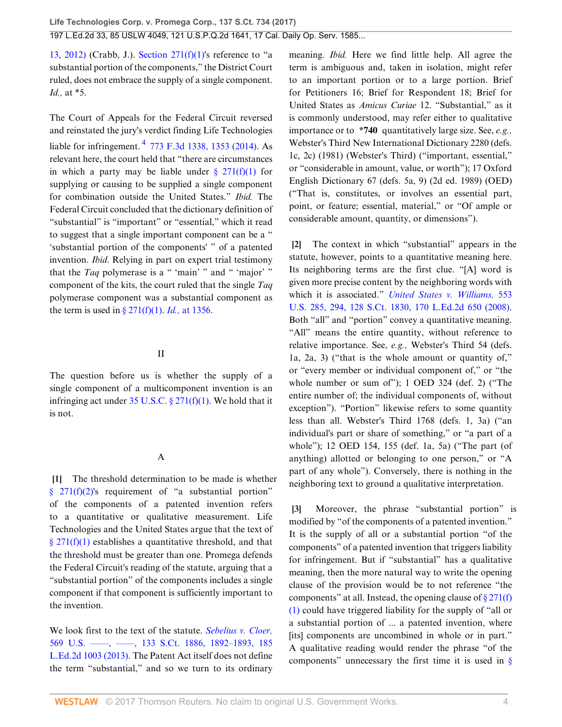[13, 2012\)](http://www.westlaw.com/Link/Document/FullText?findType=Y&serNum=2039598754&pubNum=0000999&originatingDoc=I912d5103f8df11e6bfb79a463a4b3bc7&refType=RP&originationContext=document&vr=3.0&rs=cblt1.0&transitionType=DocumentItem&contextData=(sc.Default)) (Crabb, J.). [Section 271\(f\)\(1\)](http://www.westlaw.com/Link/Document/FullText?findType=L&pubNum=1000546&cite=35USCAS271&originatingDoc=I912d5103f8df11e6bfb79a463a4b3bc7&refType=RB&originationContext=document&vr=3.0&rs=cblt1.0&transitionType=DocumentItem&contextData=(sc.Default)#co_pp_9daf00009de57)'s reference to "a substantial portion of the components," the District Court ruled, does not embrace the supply of a single component. *Id.,* at \*5.

<span id="page-18-0"></span>The Court of Appeals for the Federal Circuit reversed and reinstated the jury's verdict finding Life Technologies liable for infringement. <sup>[4](#page-21-4)</sup> [773 F.3d 1338, 1353 \(2014\).](http://www.westlaw.com/Link/Document/FullText?findType=Y&serNum=2034981683&pubNum=0000506&originatingDoc=I912d5103f8df11e6bfb79a463a4b3bc7&refType=RP&fi=co_pp_sp_506_1353&originationContext=document&vr=3.0&rs=cblt1.0&transitionType=DocumentItem&contextData=(sc.Default)#co_pp_sp_506_1353) As relevant here, the court held that "there are circumstances in which a party may be liable under  $\frac{8}{3}$  271(f)(1) for supplying or causing to be supplied a single component for combination outside the United States." *Ibid.* The Federal Circuit concluded that the dictionary definition of "substantial" is "important" or "essential," which it read to suggest that a single important component can be a " 'substantial portion of the components' " of a patented invention. *Ibid*. Relying in part on expert trial testimony that the *Taq* polymerase is a " 'main' " and " 'major' " component of the kits, the court ruled that the single *Taq* polymerase component was a substantial component as the term is used in [§ 271\(f\)\(1\).](http://www.westlaw.com/Link/Document/FullText?findType=L&pubNum=1000546&cite=35USCAS271&originatingDoc=I912d5103f8df11e6bfb79a463a4b3bc7&refType=RB&originationContext=document&vr=3.0&rs=cblt1.0&transitionType=DocumentItem&contextData=(sc.Default)#co_pp_9daf00009de57) *Id.,* [at 1356](http://www.westlaw.com/Link/Document/FullText?findType=Y&serNum=2034981683&pubNum=0000506&originatingDoc=I912d5103f8df11e6bfb79a463a4b3bc7&refType=RP&fi=co_pp_sp_506_1356&originationContext=document&vr=3.0&rs=cblt1.0&transitionType=DocumentItem&contextData=(sc.Default)#co_pp_sp_506_1356).

#### II

The question before us is whether the supply of a single component of a multicomponent invention is an infringing act under [35 U.S.C. § 271\(f\)\(1\).](http://www.westlaw.com/Link/Document/FullText?findType=L&pubNum=1000546&cite=35USCAS271&originatingDoc=I912d5103f8df11e6bfb79a463a4b3bc7&refType=RB&originationContext=document&vr=3.0&rs=cblt1.0&transitionType=DocumentItem&contextData=(sc.Default)#co_pp_9daf00009de57) We hold that it is not.

# A

**[1]** The threshold determination to be made is whether  $§$  271(f)(2)'s requirement of "a substantial portion" of the components of a patented invention refers to a quantitative or qualitative measurement. Life Technologies and the United States argue that the text of  $\S 271(f)(1)$  establishes a quantitative threshold, and that the threshold must be greater than one. Promega defends the Federal Circuit's reading of the statute, arguing that a "substantial portion" of the components includes a single component if that component is sufficiently important to the invention.

We look first to the text of the statute. *[Sebelius v. Cloer,](http://www.westlaw.com/Link/Document/FullText?findType=Y&serNum=2030568662&pubNum=0000708&originatingDoc=I912d5103f8df11e6bfb79a463a4b3bc7&refType=RP&fi=co_pp_sp_708_1892&originationContext=document&vr=3.0&rs=cblt1.0&transitionType=DocumentItem&contextData=(sc.Default)#co_pp_sp_708_1892)* [569 U.S. ––––, ––––, 133 S.Ct. 1886, 1892–1893, 185](http://www.westlaw.com/Link/Document/FullText?findType=Y&serNum=2030568662&pubNum=0000708&originatingDoc=I912d5103f8df11e6bfb79a463a4b3bc7&refType=RP&fi=co_pp_sp_708_1892&originationContext=document&vr=3.0&rs=cblt1.0&transitionType=DocumentItem&contextData=(sc.Default)#co_pp_sp_708_1892) [L.Ed.2d 1003 \(2013\).](http://www.westlaw.com/Link/Document/FullText?findType=Y&serNum=2030568662&pubNum=0000708&originatingDoc=I912d5103f8df11e6bfb79a463a4b3bc7&refType=RP&fi=co_pp_sp_708_1892&originationContext=document&vr=3.0&rs=cblt1.0&transitionType=DocumentItem&contextData=(sc.Default)#co_pp_sp_708_1892) The Patent Act itself does not define the term "substantial," and so we turn to its ordinary

meaning. *Ibid.* Here we find little help. All agree the term is ambiguous and, taken in isolation, might refer to an important portion or to a large portion. Brief for Petitioners 16; Brief for Respondent 18; Brief for United States as *Amicus Curiae* 12. "Substantial," as it is commonly understood, may refer either to qualitative importance or to **\*740** quantitatively large size. See, *e.g.,* Webster's Third New International Dictionary 2280 (defs. 1c, 2c) (1981) (Webster's Third) ("important, essential," or "considerable in amount, value, or worth"); 17 Oxford English Dictionary 67 (defs. 5a, 9) (2d ed. 1989) (OED) ("That is, constitutes, or involves an essential part, point, or feature; essential, material," or "Of ample or considerable amount, quantity, or dimensions").

**[2]** The context in which "substantial" appears in the statute, however, points to a quantitative meaning here. Its neighboring terms are the first clue. "[A] word is given more precise content by the neighboring words with which it is associated." *[United States v. Williams,](http://www.westlaw.com/Link/Document/FullText?findType=Y&serNum=2016121499&pubNum=0000708&originatingDoc=I912d5103f8df11e6bfb79a463a4b3bc7&refType=RP&originationContext=document&vr=3.0&rs=cblt1.0&transitionType=DocumentItem&contextData=(sc.Default))* 553 [U.S. 285, 294, 128 S.Ct. 1830, 170 L.Ed.2d 650 \(2008\)](http://www.westlaw.com/Link/Document/FullText?findType=Y&serNum=2016121499&pubNum=0000708&originatingDoc=I912d5103f8df11e6bfb79a463a4b3bc7&refType=RP&originationContext=document&vr=3.0&rs=cblt1.0&transitionType=DocumentItem&contextData=(sc.Default)). Both "all" and "portion" convey a quantitative meaning. "All" means the entire quantity, without reference to relative importance. See, *e.g.,* Webster's Third 54 (defs. 1a, 2a, 3) ("that is the whole amount or quantity of," or "every member or individual component of," or "the whole number or sum of"); 1 OED 324 (def. 2) ("The entire number of; the individual components of, without exception"). "Portion" likewise refers to some quantity less than all. Webster's Third 1768 (defs. 1, 3a) ("an individual's part or share of something," or "a part of a whole"); 12 OED 154, 155 (def. 1a, 5a) ("The part (of anything) allotted or belonging to one person," or "A part of any whole"). Conversely, there is nothing in the neighboring text to ground a qualitative interpretation.

**[3]** Moreover, the phrase "substantial portion" is modified by "of the components of a patented invention." It is the supply of all or a substantial portion "of the components" of a patented invention that triggers liability for infringement. But if "substantial" has a qualitative meaning, then the more natural way to write the opening clause of the provision would be to not reference "the components" at all. Instead, the opening clause of  $\S 271(f)$ [\(1\)](http://www.westlaw.com/Link/Document/FullText?findType=L&pubNum=1000546&cite=35USCAS271&originatingDoc=I912d5103f8df11e6bfb79a463a4b3bc7&refType=RB&originationContext=document&vr=3.0&rs=cblt1.0&transitionType=DocumentItem&contextData=(sc.Default)#co_pp_9daf00009de57) could have triggered liability for the supply of "all or a substantial portion of ... a patented invention, where [its] components are uncombined in whole or in part." A qualitative reading would render the phrase "of the components" unnecessary the first time it is used in  $\S$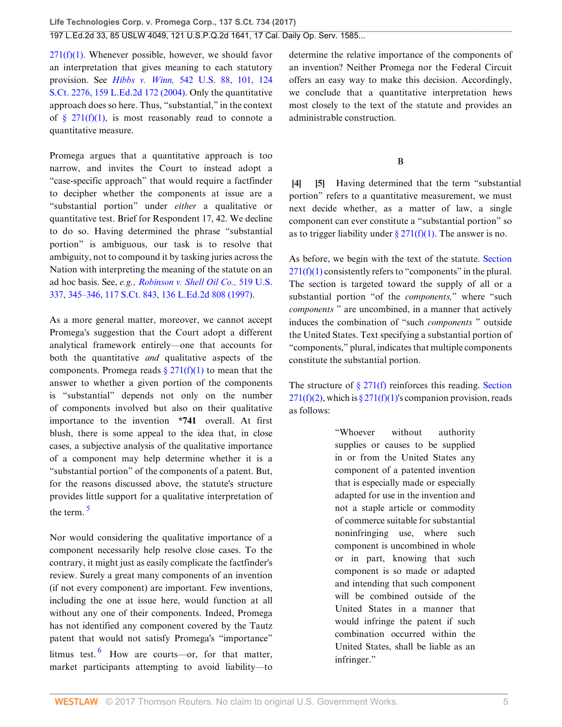$271(f)(1)$ . Whenever possible, however, we should favor an interpretation that gives meaning to each statutory provision. See *Hibbs v. Winn,* [542 U.S. 88, 101, 124](http://www.westlaw.com/Link/Document/FullText?findType=Y&serNum=2004581258&pubNum=0000708&originatingDoc=I912d5103f8df11e6bfb79a463a4b3bc7&refType=RP&originationContext=document&vr=3.0&rs=cblt1.0&transitionType=DocumentItem&contextData=(sc.Default)) [S.Ct. 2276, 159 L.Ed.2d 172 \(2004\).](http://www.westlaw.com/Link/Document/FullText?findType=Y&serNum=2004581258&pubNum=0000708&originatingDoc=I912d5103f8df11e6bfb79a463a4b3bc7&refType=RP&originationContext=document&vr=3.0&rs=cblt1.0&transitionType=DocumentItem&contextData=(sc.Default)) Only the quantitative approach does so here. Thus, "substantial," in the context of  $\frac{8}{9}$  271(f)(1), is most reasonably read to connote a quantitative measure.

Promega argues that a quantitative approach is too narrow, and invites the Court to instead adopt a "case-specific approach" that would require a factfinder to decipher whether the components at issue are a "substantial portion" under *either* a qualitative or quantitative test. Brief for Respondent 17, 42. We decline to do so. Having determined the phrase "substantial portion" is ambiguous, our task is to resolve that ambiguity, not to compound it by tasking juries across the Nation with interpreting the meaning of the statute on an ad hoc basis. See, *e.g., [Robinson v. Shell Oil Co.,](http://www.westlaw.com/Link/Document/FullText?findType=Y&serNum=1997052884&pubNum=0000708&originatingDoc=I912d5103f8df11e6bfb79a463a4b3bc7&refType=RP&originationContext=document&vr=3.0&rs=cblt1.0&transitionType=DocumentItem&contextData=(sc.Default))* 519 U.S. [337, 345–346, 117 S.Ct. 843, 136 L.Ed.2d 808 \(1997\)](http://www.westlaw.com/Link/Document/FullText?findType=Y&serNum=1997052884&pubNum=0000708&originatingDoc=I912d5103f8df11e6bfb79a463a4b3bc7&refType=RP&originationContext=document&vr=3.0&rs=cblt1.0&transitionType=DocumentItem&contextData=(sc.Default)).

As a more general matter, moreover, we cannot accept Promega's suggestion that the Court adopt a different analytical framework entirely—one that accounts for both the quantitative *and* qualitative aspects of the components. Promega reads  $\S 271(f)(1)$  to mean that the answer to whether a given portion of the components is "substantial" depends not only on the number of components involved but also on their qualitative importance to the invention **\*741** overall. At first blush, there is some appeal to the idea that, in close cases, a subjective analysis of the qualitative importance of a component may help determine whether it is a "substantial portion" of the components of a patent. But, for the reasons discussed above, the statute's structure provides little support for a qualitative interpretation of the term.  $5$ 

<span id="page-19-1"></span><span id="page-19-0"></span>Nor would considering the qualitative importance of a component necessarily help resolve close cases. To the contrary, it might just as easily complicate the factfinder's review. Surely a great many components of an invention (if not every component) are important. Few inventions, including the one at issue here, would function at all without any one of their components. Indeed, Promega has not identified any component covered by the Tautz patent that would not satisfy Promega's "importance" litmus test. <sup>[6](#page-21-6)</sup> How are courts—or, for that matter, market participants attempting to avoid liability—to determine the relative importance of the components of an invention? Neither Promega nor the Federal Circuit offers an easy way to make this decision. Accordingly, we conclude that a quantitative interpretation hews most closely to the text of the statute and provides an administrable construction.

# B

**[4] [5]** Having determined that the term "substantial portion" refers to a quantitative measurement, we must next decide whether, as a matter of law, a single component can ever constitute a "substantial portion" so as to trigger liability under  $\S 271(f)(1)$ . The answer is no.

As before, we begin with the text of the statute. [Section](http://www.westlaw.com/Link/Document/FullText?findType=L&pubNum=1000546&cite=35USCAS271&originatingDoc=I912d5103f8df11e6bfb79a463a4b3bc7&refType=RB&originationContext=document&vr=3.0&rs=cblt1.0&transitionType=DocumentItem&contextData=(sc.Default)#co_pp_9daf00009de57)  $271(f)(1)$  consistently refers to "components" in the plural. The section is targeted toward the supply of all or a substantial portion "of the *components,*" where "such *components* " are uncombined, in a manner that actively induces the combination of "such *components* " outside the United States. Text specifying a substantial portion of "components," plural, indicates that multiple components constitute the substantial portion.

The structure of  $\S 271(f)$  reinforces this reading. [Section](http://www.westlaw.com/Link/Document/FullText?findType=L&pubNum=1000546&cite=35USCAS271&originatingDoc=I912d5103f8df11e6bfb79a463a4b3bc7&refType=RB&originationContext=document&vr=3.0&rs=cblt1.0&transitionType=DocumentItem&contextData=(sc.Default)#co_pp_ac4e0000281c0)  $271(f)(2)$ , which is §  $271(f)(1)$ 's companion provision, reads as follows:

> "Whoever without authority supplies or causes to be supplied in or from the United States any component of a patented invention that is especially made or especially adapted for use in the invention and not a staple article or commodity of commerce suitable for substantial noninfringing use, where such component is uncombined in whole or in part, knowing that such component is so made or adapted and intending that such component will be combined outside of the United States in a manner that would infringe the patent if such combination occurred within the United States, shall be liable as an infringer."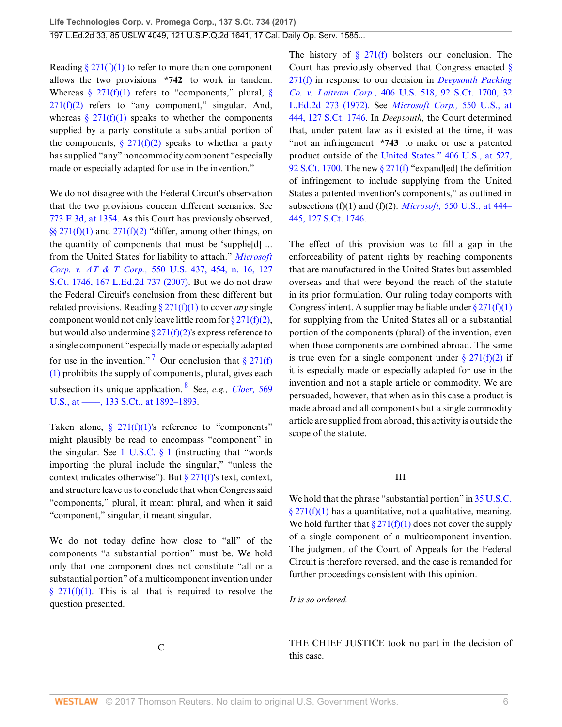Reading  $\S 271(f)(1)$  to refer to more than one component allows the two provisions **\*742** to work in tandem. Whereas [§ 271\(f\)\(1\)](http://www.westlaw.com/Link/Document/FullText?findType=L&pubNum=1000546&cite=35USCAS271&originatingDoc=I912d5103f8df11e6bfb79a463a4b3bc7&refType=RB&originationContext=document&vr=3.0&rs=cblt1.0&transitionType=DocumentItem&contextData=(sc.Default)#co_pp_9daf00009de57) refers to "components," plural, [§](http://www.westlaw.com/Link/Document/FullText?findType=L&pubNum=1000546&cite=35USCAS271&originatingDoc=I912d5103f8df11e6bfb79a463a4b3bc7&refType=RB&originationContext=document&vr=3.0&rs=cblt1.0&transitionType=DocumentItem&contextData=(sc.Default)#co_pp_ac4e0000281c0)  $271(f)(2)$  refers to "any component," singular. And, whereas  $\S 271(f)(1)$  speaks to whether the components supplied by a party constitute a substantial portion of the components,  $\S 271(f)(2)$  speaks to whether a party has supplied "any" noncommodity component "especially made or especially adapted for use in the invention."

We do not disagree with the Federal Circuit's observation that the two provisions concern different scenarios. See [773 F.3d, at 1354.](http://www.westlaw.com/Link/Document/FullText?findType=Y&serNum=2034981683&pubNum=0000506&originatingDoc=I912d5103f8df11e6bfb79a463a4b3bc7&refType=RP&fi=co_pp_sp_506_1354&originationContext=document&vr=3.0&rs=cblt1.0&transitionType=DocumentItem&contextData=(sc.Default)#co_pp_sp_506_1354) As this Court has previously observed,  $\S$  271(f)(1) and [271\(f\)\(2\)](http://www.westlaw.com/Link/Document/FullText?findType=L&pubNum=1000546&cite=35USCAS271&originatingDoc=I912d5103f8df11e6bfb79a463a4b3bc7&refType=RB&originationContext=document&vr=3.0&rs=cblt1.0&transitionType=DocumentItem&contextData=(sc.Default)#co_pp_ac4e0000281c0) "differ, among other things, on the quantity of components that must be 'supplie[d] ... from the United States' for liability to attach." *[Microsoft](http://www.westlaw.com/Link/Document/FullText?findType=Y&serNum=2012126123&pubNum=0000708&originatingDoc=I912d5103f8df11e6bfb79a463a4b3bc7&refType=RP&originationContext=document&vr=3.0&rs=cblt1.0&transitionType=DocumentItem&contextData=(sc.Default)) Corp. v. AT & T Corp.,* [550 U.S. 437, 454, n. 16, 127](http://www.westlaw.com/Link/Document/FullText?findType=Y&serNum=2012126123&pubNum=0000708&originatingDoc=I912d5103f8df11e6bfb79a463a4b3bc7&refType=RP&originationContext=document&vr=3.0&rs=cblt1.0&transitionType=DocumentItem&contextData=(sc.Default)) [S.Ct. 1746, 167 L.Ed.2d 737 \(2007\).](http://www.westlaw.com/Link/Document/FullText?findType=Y&serNum=2012126123&pubNum=0000708&originatingDoc=I912d5103f8df11e6bfb79a463a4b3bc7&refType=RP&originationContext=document&vr=3.0&rs=cblt1.0&transitionType=DocumentItem&contextData=(sc.Default)) But we do not draw the Federal Circuit's conclusion from these different but related provisions. Reading [§ 271\(f\)\(1\)](http://www.westlaw.com/Link/Document/FullText?findType=L&pubNum=1000546&cite=35USCAS271&originatingDoc=I912d5103f8df11e6bfb79a463a4b3bc7&refType=RB&originationContext=document&vr=3.0&rs=cblt1.0&transitionType=DocumentItem&contextData=(sc.Default)#co_pp_9daf00009de57) to cover *any* single component would not only leave little room for  $\S 271(f)(2)$ , but would also undermine  $\S 271(f)(2)$ 's express reference to a single component "especially made or especially adapted for use in the invention."<sup>[7](#page-21-7)</sup> Our conclusion that  $\S 271(f)$ [\(1\)](http://www.westlaw.com/Link/Document/FullText?findType=L&pubNum=1000546&cite=35USCAS271&originatingDoc=I912d5103f8df11e6bfb79a463a4b3bc7&refType=RB&originationContext=document&vr=3.0&rs=cblt1.0&transitionType=DocumentItem&contextData=(sc.Default)#co_pp_9daf00009de57) prohibits the supply of components, plural, gives each subsection its unique application. [8](#page-21-8) See, *e.g., [Cloer,](http://www.westlaw.com/Link/Document/FullText?findType=Y&serNum=2030568662&pubNum=0000708&originatingDoc=I912d5103f8df11e6bfb79a463a4b3bc7&refType=RP&fi=co_pp_sp_708_1892&originationContext=document&vr=3.0&rs=cblt1.0&transitionType=DocumentItem&contextData=(sc.Default)#co_pp_sp_708_1892)* 569 U.S., at ——, 133 S.Ct., at 1892–1893.

<span id="page-20-1"></span><span id="page-20-0"></span>Taken alone,  $\S 271(f)(1)$ 's reference to "components" might plausibly be read to encompass "component" in the singular. See  $1 \text{ U.S.C. } \S 1$  (instructing that "words" importing the plural include the singular," "unless the context indicates otherwise"). But [§ 271\(f\)](http://www.westlaw.com/Link/Document/FullText?findType=L&pubNum=1000546&cite=35USCAS271&originatingDoc=I912d5103f8df11e6bfb79a463a4b3bc7&refType=RB&originationContext=document&vr=3.0&rs=cblt1.0&transitionType=DocumentItem&contextData=(sc.Default)#co_pp_ae0d0000c5150)'s text, context, and structure leave us to conclude that when Congress said "components," plural, it meant plural, and when it said "component," singular, it meant singular.

We do not today define how close to "all" of the components "a substantial portion" must be. We hold only that one component does not constitute "all or a substantial portion" of a multicomponent invention under  $§$  271(f)(1). This is all that is required to resolve the question presented.

The history of  $\S$  271(f) bolsters our conclusion. The Court has previously observed that Congress enacted  $\delta$ [271\(f\)](http://www.westlaw.com/Link/Document/FullText?findType=L&pubNum=1000546&cite=35USCAS271&originatingDoc=I912d5103f8df11e6bfb79a463a4b3bc7&refType=RB&originationContext=document&vr=3.0&rs=cblt1.0&transitionType=DocumentItem&contextData=(sc.Default)#co_pp_ae0d0000c5150) in response to our decision in *[Deepsouth Packing](http://www.westlaw.com/Link/Document/FullText?findType=Y&serNum=1972127128&pubNum=0000708&originatingDoc=I912d5103f8df11e6bfb79a463a4b3bc7&refType=RP&originationContext=document&vr=3.0&rs=cblt1.0&transitionType=DocumentItem&contextData=(sc.Default)) Co. v. Laitram Corp.,* [406 U.S. 518, 92 S.Ct. 1700, 32](http://www.westlaw.com/Link/Document/FullText?findType=Y&serNum=1972127128&pubNum=0000708&originatingDoc=I912d5103f8df11e6bfb79a463a4b3bc7&refType=RP&originationContext=document&vr=3.0&rs=cblt1.0&transitionType=DocumentItem&contextData=(sc.Default)) [L.Ed.2d 273 \(1972\).](http://www.westlaw.com/Link/Document/FullText?findType=Y&serNum=1972127128&pubNum=0000708&originatingDoc=I912d5103f8df11e6bfb79a463a4b3bc7&refType=RP&originationContext=document&vr=3.0&rs=cblt1.0&transitionType=DocumentItem&contextData=(sc.Default)) See *[Microsoft Corp.,](http://www.westlaw.com/Link/Document/FullText?findType=Y&serNum=2012126123&pubNum=0000708&originatingDoc=I912d5103f8df11e6bfb79a463a4b3bc7&refType=RP&originationContext=document&vr=3.0&rs=cblt1.0&transitionType=DocumentItem&contextData=(sc.Default))* 550 U.S., at [444, 127 S.Ct. 1746](http://www.westlaw.com/Link/Document/FullText?findType=Y&serNum=2012126123&pubNum=0000708&originatingDoc=I912d5103f8df11e6bfb79a463a4b3bc7&refType=RP&originationContext=document&vr=3.0&rs=cblt1.0&transitionType=DocumentItem&contextData=(sc.Default)). In *Deepsouth,* the Court determined that, under patent law as it existed at the time, it was "not an infringement **\*743** to make or use a patented product outside of the [United States." 406 U.S., at 527,](http://www.westlaw.com/Link/Document/FullText?findType=Y&serNum=1972127128&pubNum=0000708&originatingDoc=I912d5103f8df11e6bfb79a463a4b3bc7&refType=RP&originationContext=document&vr=3.0&rs=cblt1.0&transitionType=DocumentItem&contextData=(sc.Default)) [92 S.Ct. 1700](http://www.westlaw.com/Link/Document/FullText?findType=Y&serNum=1972127128&pubNum=0000708&originatingDoc=I912d5103f8df11e6bfb79a463a4b3bc7&refType=RP&originationContext=document&vr=3.0&rs=cblt1.0&transitionType=DocumentItem&contextData=(sc.Default)). The new [§ 271\(f\)](http://www.westlaw.com/Link/Document/FullText?findType=L&pubNum=1000546&cite=35USCAS271&originatingDoc=I912d5103f8df11e6bfb79a463a4b3bc7&refType=RB&originationContext=document&vr=3.0&rs=cblt1.0&transitionType=DocumentItem&contextData=(sc.Default)#co_pp_ae0d0000c5150) "expand[ed] the definition of infringement to include supplying from the United States a patented invention's components," as outlined in subsections (f)(1) and (f)(2). *Microsoft,* [550 U.S., at 444–](http://www.westlaw.com/Link/Document/FullText?findType=Y&serNum=2012126123&pubNum=0000708&originatingDoc=I912d5103f8df11e6bfb79a463a4b3bc7&refType=RP&originationContext=document&vr=3.0&rs=cblt1.0&transitionType=DocumentItem&contextData=(sc.Default)) [445, 127 S.Ct. 1746.](http://www.westlaw.com/Link/Document/FullText?findType=Y&serNum=2012126123&pubNum=0000708&originatingDoc=I912d5103f8df11e6bfb79a463a4b3bc7&refType=RP&originationContext=document&vr=3.0&rs=cblt1.0&transitionType=DocumentItem&contextData=(sc.Default))

The effect of this provision was to fill a gap in the enforceability of patent rights by reaching components that are manufactured in the United States but assembled overseas and that were beyond the reach of the statute in its prior formulation. Our ruling today comports with Congress' intent. A supplier may be liable under  $\S 271(f)(1)$ for supplying from the United States all or a substantial portion of the components (plural) of the invention, even when those components are combined abroad. The same is true even for a single component under  $\S 271(f)(2)$  if it is especially made or especially adapted for use in the invention and not a staple article or commodity. We are persuaded, however, that when as in this case a product is made abroad and all components but a single commodity article are supplied from abroad, this activity is outside the scope of the statute.

#### III

We hold that the phrase "substantial portion" in [35 U.S.C.](http://www.westlaw.com/Link/Document/FullText?findType=L&pubNum=1000546&cite=35USCAS271&originatingDoc=I912d5103f8df11e6bfb79a463a4b3bc7&refType=RB&originationContext=document&vr=3.0&rs=cblt1.0&transitionType=DocumentItem&contextData=(sc.Default)#co_pp_9daf00009de57)  $\S 271(f)(1)$  has a quantitative, not a qualitative, meaning. We hold further that  $\S 271(f)(1)$  does not cover the supply of a single component of a multicomponent invention. The judgment of the Court of Appeals for the Federal Circuit is therefore reversed, and the case is remanded for further proceedings consistent with this opinion.

*It is so ordered.*

THE CHIEF JUSTICE took no part in the decision of this case.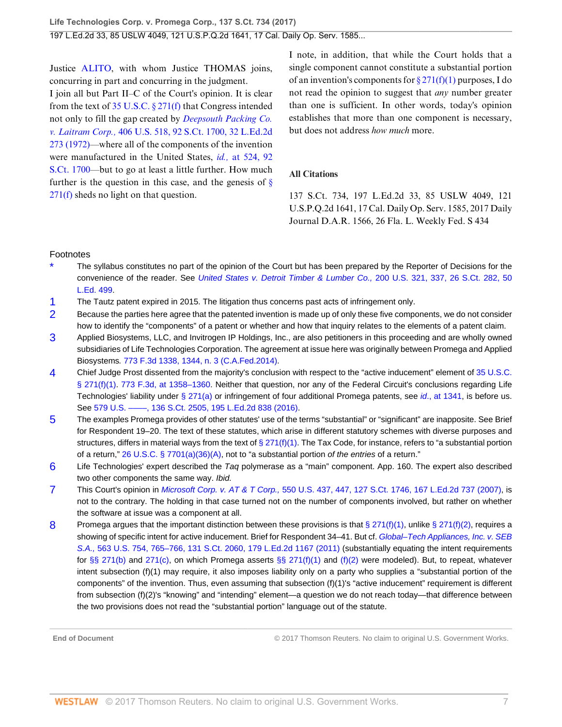Justice [ALITO](http://www.westlaw.com/Link/Document/FullText?findType=h&pubNum=176284&cite=0153052401&originatingDoc=I912d5103f8df11e6bfb79a463a4b3bc7&refType=RQ&originationContext=document&vr=3.0&rs=cblt1.0&transitionType=DocumentItem&contextData=(sc.Default)), with whom Justice THOMAS joins, concurring in part and concurring in the judgment.

I join all but Part II–C of the Court's opinion. It is clear from the text of [35 U.S.C. § 271\(f\)](http://www.westlaw.com/Link/Document/FullText?findType=L&pubNum=1000546&cite=35USCAS271&originatingDoc=I912d5103f8df11e6bfb79a463a4b3bc7&refType=RB&originationContext=document&vr=3.0&rs=cblt1.0&transitionType=DocumentItem&contextData=(sc.Default)#co_pp_ae0d0000c5150) that Congress intended not only to fill the gap created by *[Deepsouth Packing Co.](http://www.westlaw.com/Link/Document/FullText?findType=Y&serNum=1972127128&pubNum=0000708&originatingDoc=I912d5103f8df11e6bfb79a463a4b3bc7&refType=RP&originationContext=document&vr=3.0&rs=cblt1.0&transitionType=DocumentItem&contextData=(sc.Default)) v. Laitram Corp.,* [406 U.S. 518, 92 S.Ct. 1700, 32 L.Ed.2d](http://www.westlaw.com/Link/Document/FullText?findType=Y&serNum=1972127128&pubNum=0000708&originatingDoc=I912d5103f8df11e6bfb79a463a4b3bc7&refType=RP&originationContext=document&vr=3.0&rs=cblt1.0&transitionType=DocumentItem&contextData=(sc.Default)) [273 \(1972\)](http://www.westlaw.com/Link/Document/FullText?findType=Y&serNum=1972127128&pubNum=0000708&originatingDoc=I912d5103f8df11e6bfb79a463a4b3bc7&refType=RP&originationContext=document&vr=3.0&rs=cblt1.0&transitionType=DocumentItem&contextData=(sc.Default))—where all of the components of the invention were manufactured in the United States, *id.,* [at 524, 92](http://www.westlaw.com/Link/Document/FullText?findType=Y&serNum=1972127128&pubNum=0000708&originatingDoc=I912d5103f8df11e6bfb79a463a4b3bc7&refType=RP&originationContext=document&vr=3.0&rs=cblt1.0&transitionType=DocumentItem&contextData=(sc.Default)) [S.Ct. 1700](http://www.westlaw.com/Link/Document/FullText?findType=Y&serNum=1972127128&pubNum=0000708&originatingDoc=I912d5103f8df11e6bfb79a463a4b3bc7&refType=RP&originationContext=document&vr=3.0&rs=cblt1.0&transitionType=DocumentItem&contextData=(sc.Default))—but to go at least a little further. How much further is the question in this case, and the genesis of  $\S$ [271\(f\)](http://www.westlaw.com/Link/Document/FullText?findType=L&pubNum=1000546&cite=35USCAS271&originatingDoc=I912d5103f8df11e6bfb79a463a4b3bc7&refType=RB&originationContext=document&vr=3.0&rs=cblt1.0&transitionType=DocumentItem&contextData=(sc.Default)#co_pp_ae0d0000c5150) sheds no light on that question.

I note, in addition, that while the Court holds that a single component cannot constitute a substantial portion of an invention's components for  $\S 271(f)(1)$  purposes, I do not read the opinion to suggest that *any* number greater than one is sufficient. In other words, today's opinion establishes that more than one component is necessary, but does not address *how much* more.

#### **All Citations**

137 S.Ct. 734, 197 L.Ed.2d 33, 85 USLW 4049, 121 U.S.P.Q.2d 1641, 17 Cal. Daily Op. Serv. 1585, 2017 Daily Journal D.A.R. 1566, 26 Fla. L. Weekly Fed. S 434

#### Footnotes

- <span id="page-21-0"></span>The syllabus constitutes no part of the opinion of the Court but has been prepared by the Reporter of Decisions for the convenience of the reader. See [United States v. Detroit Timber & Lumber Co.,](http://www.westlaw.com/Link/Document/FullText?findType=Y&serNum=1906101604&pubNum=0000708&originatingDoc=I912d5103f8df11e6bfb79a463a4b3bc7&refType=RP&originationContext=document&vr=3.0&rs=cblt1.0&transitionType=DocumentItem&contextData=(sc.Default)) 200 U.S. 321, 337, 26 S.Ct. 282, 50 [L.Ed. 499.](http://www.westlaw.com/Link/Document/FullText?findType=Y&serNum=1906101604&pubNum=0000708&originatingDoc=I912d5103f8df11e6bfb79a463a4b3bc7&refType=RP&originationContext=document&vr=3.0&rs=cblt1.0&transitionType=DocumentItem&contextData=(sc.Default))
- <span id="page-21-1"></span>[1](#page-17-0) The Tautz patent expired in 2015. The litigation thus concerns past acts of infringement only.
- <span id="page-21-2"></span>[2](#page-17-1) Because the parties here agree that the patented invention is made up of only these five components, we do not consider how to identify the "components" of a patent or whether and how that inquiry relates to the elements of a patent claim.
- <span id="page-21-3"></span>[3](#page-17-2) Applied Biosystems, LLC, and Invitrogen IP Holdings, Inc., are also petitioners in this proceeding and are wholly owned subsidiaries of Life Technologies Corporation. The agreement at issue here was originally between Promega and Applied Biosystems. [773 F.3d 1338, 1344, n. 3 \(C.A.Fed.2014\)](http://www.westlaw.com/Link/Document/FullText?findType=Y&serNum=2034981683&pubNum=0000506&originatingDoc=I912d5103f8df11e6bfb79a463a4b3bc7&refType=RP&fi=co_pp_sp_506_1344&originationContext=document&vr=3.0&rs=cblt1.0&transitionType=DocumentItem&contextData=(sc.Default)#co_pp_sp_506_1344).
- <span id="page-21-4"></span>[4](#page-18-0) Chief Judge Prost dissented from the majority's conclusion with respect to the "active inducement" element of [35 U.S.C.](http://www.westlaw.com/Link/Document/FullText?findType=L&pubNum=1000546&cite=35USCAS271&originatingDoc=I912d5103f8df11e6bfb79a463a4b3bc7&refType=RB&originationContext=document&vr=3.0&rs=cblt1.0&transitionType=DocumentItem&contextData=(sc.Default)#co_pp_9daf00009de57) [§ 271\(f\)\(1\).](http://www.westlaw.com/Link/Document/FullText?findType=L&pubNum=1000546&cite=35USCAS271&originatingDoc=I912d5103f8df11e6bfb79a463a4b3bc7&refType=RB&originationContext=document&vr=3.0&rs=cblt1.0&transitionType=DocumentItem&contextData=(sc.Default)#co_pp_9daf00009de57) [773 F.3d, at 1358–1360](http://www.westlaw.com/Link/Document/FullText?findType=Y&serNum=2034981683&pubNum=0000506&originatingDoc=I912d5103f8df11e6bfb79a463a4b3bc7&refType=RP&fi=co_pp_sp_506_1358&originationContext=document&vr=3.0&rs=cblt1.0&transitionType=DocumentItem&contextData=(sc.Default)#co_pp_sp_506_1358). Neither that question, nor any of the Federal Circuit's conclusions regarding Life Technologies' liability under [§ 271\(a\)](http://www.westlaw.com/Link/Document/FullText?findType=L&pubNum=1000546&cite=35USCAS271&originatingDoc=I912d5103f8df11e6bfb79a463a4b3bc7&refType=RB&originationContext=document&vr=3.0&rs=cblt1.0&transitionType=DocumentItem&contextData=(sc.Default)#co_pp_8b3b0000958a4) or infringement of four additional Promega patents, see id[., at 1341](http://www.westlaw.com/Link/Document/FullText?findType=Y&serNum=2034981683&pubNum=0000506&originatingDoc=I912d5103f8df11e6bfb79a463a4b3bc7&refType=RP&fi=co_pp_sp_506_1341&originationContext=document&vr=3.0&rs=cblt1.0&transitionType=DocumentItem&contextData=(sc.Default)#co_pp_sp_506_1341), is before us. See 579 U.S. ----, 136 S.Ct. 2505, 195 L.Ed.2d 838 (2016).
- <span id="page-21-5"></span>[5](#page-19-0) The examples Promega provides of other statutes' use of the terms "substantial" or "significant" are inapposite. See Brief for Respondent 19–20. The text of these statutes, which arise in different statutory schemes with diverse purposes and structures, differs in material ways from the text of [§ 271\(f\)\(1\).](http://www.westlaw.com/Link/Document/FullText?findType=L&pubNum=1000546&cite=35USCAS271&originatingDoc=I912d5103f8df11e6bfb79a463a4b3bc7&refType=RB&originationContext=document&vr=3.0&rs=cblt1.0&transitionType=DocumentItem&contextData=(sc.Default)#co_pp_9daf00009de57) The Tax Code, for instance, refers to "a substantial portion of a return," [26 U.S.C. § 7701\(a\)\(36\)\(A\)](http://www.westlaw.com/Link/Document/FullText?findType=L&pubNum=1000546&cite=26USCAS7701&originatingDoc=I912d5103f8df11e6bfb79a463a4b3bc7&refType=RB&originationContext=document&vr=3.0&rs=cblt1.0&transitionType=DocumentItem&contextData=(sc.Default)#co_pp_942c000098f17), not to "a substantial portion of the entries of a return."
- <span id="page-21-6"></span>[6](#page-19-1) Life Technologies' expert described the Taq polymerase as a "main" component. App. 160. The expert also described two other components the same way. Ibid.
- <span id="page-21-7"></span>[7](#page-20-0) This Court's opinion in Microsoft Corp. v. AT & T Corp., [550 U.S. 437, 447, 127 S.Ct. 1746, 167 L.Ed.2d 737 \(2007\)](http://www.westlaw.com/Link/Document/FullText?findType=Y&serNum=2012126123&pubNum=0000708&originatingDoc=I912d5103f8df11e6bfb79a463a4b3bc7&refType=RP&originationContext=document&vr=3.0&rs=cblt1.0&transitionType=DocumentItem&contextData=(sc.Default)), is not to the contrary. The holding in that case turned not on the number of components involved, but rather on whether the software at issue was a component at all.
- <span id="page-21-8"></span>[8](#page-20-1) Promega argues that the important distinction between these provisions is that [§ 271\(f\)\(1\)](http://www.westlaw.com/Link/Document/FullText?findType=L&pubNum=1000546&cite=35USCAS271&originatingDoc=I912d5103f8df11e6bfb79a463a4b3bc7&refType=RB&originationContext=document&vr=3.0&rs=cblt1.0&transitionType=DocumentItem&contextData=(sc.Default)#co_pp_9daf00009de57), unlike [§ 271\(f\)\(2\)](http://www.westlaw.com/Link/Document/FullText?findType=L&pubNum=1000546&cite=35USCAS271&originatingDoc=I912d5103f8df11e6bfb79a463a4b3bc7&refType=RB&originationContext=document&vr=3.0&rs=cblt1.0&transitionType=DocumentItem&contextData=(sc.Default)#co_pp_ac4e0000281c0), requires a showing of specific intent for active inducement. Brief for Respondent 34-41. But cf. [Global–Tech Appliances, Inc. v. SEB](http://www.westlaw.com/Link/Document/FullText?findType=Y&serNum=2025376454&pubNum=0000708&originatingDoc=I912d5103f8df11e6bfb79a463a4b3bc7&refType=RP&originationContext=document&vr=3.0&rs=cblt1.0&transitionType=DocumentItem&contextData=(sc.Default)) S.A., [563 U.S. 754, 765–766, 131 S.Ct. 2060, 179 L.Ed.2d 1167 \(2011\)](http://www.westlaw.com/Link/Document/FullText?findType=Y&serNum=2025376454&pubNum=0000708&originatingDoc=I912d5103f8df11e6bfb79a463a4b3bc7&refType=RP&originationContext=document&vr=3.0&rs=cblt1.0&transitionType=DocumentItem&contextData=(sc.Default)) (substantially equating the intent requirements for [§§ 271\(b\)](http://www.westlaw.com/Link/Document/FullText?findType=L&pubNum=1000546&cite=35USCAS271&originatingDoc=I912d5103f8df11e6bfb79a463a4b3bc7&refType=RB&originationContext=document&vr=3.0&rs=cblt1.0&transitionType=DocumentItem&contextData=(sc.Default)#co_pp_a83b000018c76) and [271\(c\)](http://www.westlaw.com/Link/Document/FullText?findType=L&pubNum=1000546&cite=35USCAS271&originatingDoc=I912d5103f8df11e6bfb79a463a4b3bc7&refType=RB&originationContext=document&vr=3.0&rs=cblt1.0&transitionType=DocumentItem&contextData=(sc.Default)#co_pp_4b24000003ba5), on which Promega asserts [§§ 271\(f\)\(1\)](http://www.westlaw.com/Link/Document/FullText?findType=L&pubNum=1000546&cite=35USCAS271&originatingDoc=I912d5103f8df11e6bfb79a463a4b3bc7&refType=RB&originationContext=document&vr=3.0&rs=cblt1.0&transitionType=DocumentItem&contextData=(sc.Default)#co_pp_9daf00009de57) and [\(f\)\(2\)](http://www.westlaw.com/Link/Document/FullText?findType=L&pubNum=1000546&cite=35USCAS271&originatingDoc=I912d5103f8df11e6bfb79a463a4b3bc7&refType=RB&originationContext=document&vr=3.0&rs=cblt1.0&transitionType=DocumentItem&contextData=(sc.Default)#co_pp_ac4e0000281c0) were modeled). But, to repeat, whatever intent subsection (f)(1) may require, it also imposes liability only on a party who supplies a "substantial portion of the components" of the invention. Thus, even assuming that subsection (f)(1)'s "active inducement" requirement is different from subsection (f)(2)'s "knowing" and "intending" element—a question we do not reach today—that difference between the two provisions does not read the "substantial portion" language out of the statute.

**End of Document** © 2017 Thomson Reuters. No claim to original U.S. Government Works.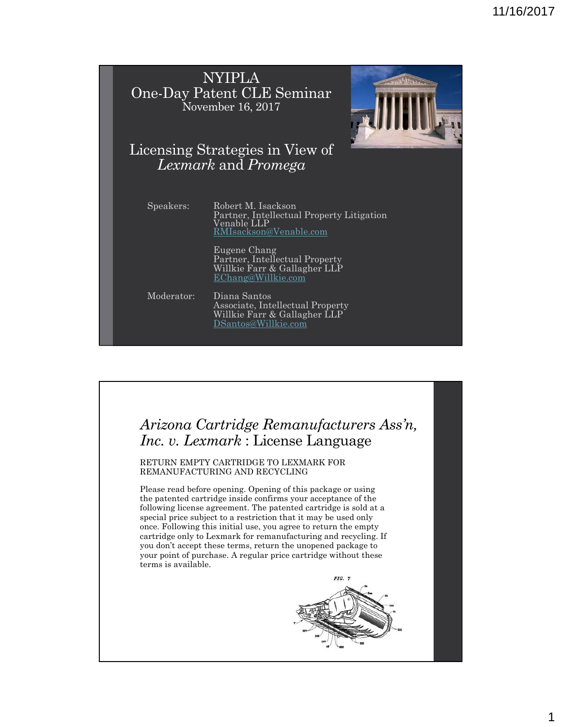

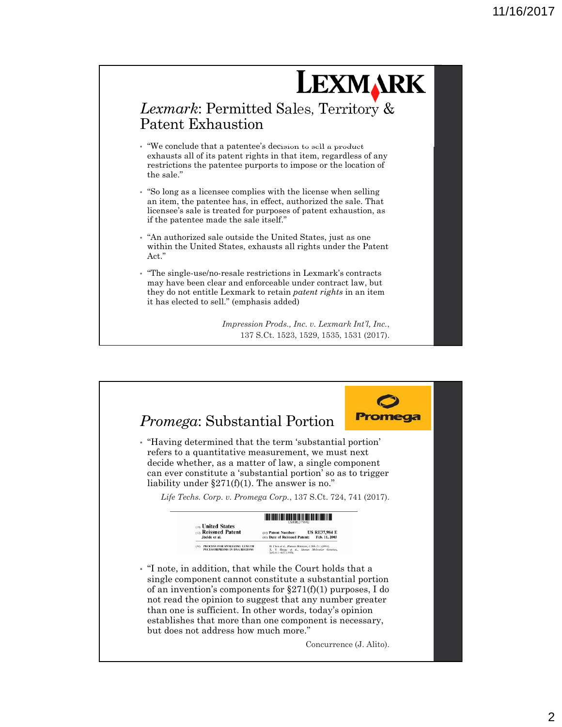

# *Lexmark*: Permitted Sales, Territory & Patent Exhaustion

- "We conclude that a patentee's decision to sell a product exhausts all of its patent rights in that item, regardless of any restrictions the patentee purports to impose or the location of the sale."
- "So long as a licensee complies with the license when selling an item, the patentee has, in effect, authorized the sale. That licensee's sale is treated for purposes of patent exhaustion, as if the patentee made the sale itself."
- "An authorized sale outside the United States, just as one within the United States, exhausts all rights under the Patent Act."
- "The single-use/no-resale restrictions in Lexmark's contracts may have been clear and enforceable under contract law, but they do not entitle Lexmark to retain *patent rights* in an item it has elected to sell." (emphasis added)

*Impression Prods., Inc. v. Lexmark Int'l, Inc.*, 137 S.Ct. 1523, 1529, 1535, 1531 (2017).